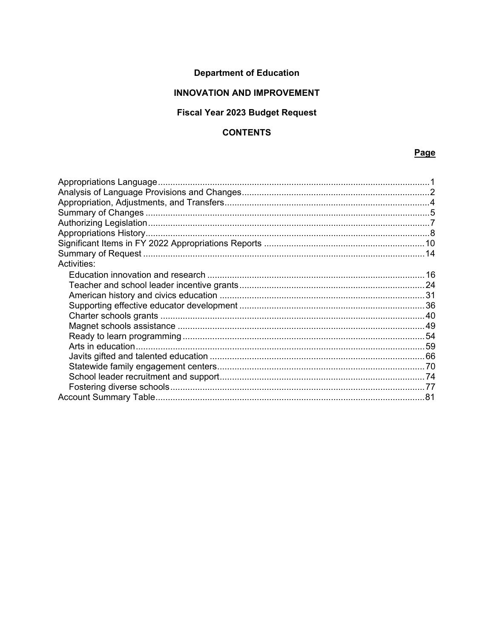# **Department of Education**

## **INNOVATION AND IMPROVEMENT**

## Fiscal Year 2023 Budget Request

## **CONTENTS**

## Page

| Activities: |  |
|-------------|--|
|             |  |
|             |  |
|             |  |
|             |  |
|             |  |
|             |  |
|             |  |
|             |  |
|             |  |
|             |  |
|             |  |
|             |  |
|             |  |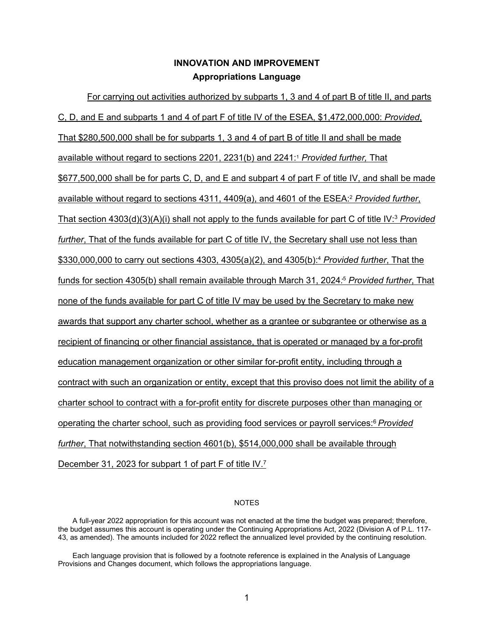## <span id="page-1-1"></span>**INNOVATION AND IMPROVEMENT Appropriations Language**

<span id="page-1-0"></span>For carrying out activities authorized by subparts 1, 3 and 4 of part B of title II, and parts C, D, and E and subparts 1 and 4 of part F of title IV of the ESEA, \$1,472,000,000: *Provided*, That \$280,500,000 shall be for subparts 1, 3 and 4 of part B of title II and shall be made available without regard to sections 2201, 2231(b) and 2241[:1](#page-2-1) *Provided further,* That \$677,500,000 shall be for parts C, D, and E and subpart 4 of part F of title IV, and shall be made available without regard to sections 4311, 4409(a), and 4601 of the ESEA[:](#page-2-2) <sup>2</sup> *Provided further*, That section 4303(d)(3)(A)(i) shall not apply to the funds available for part C of title IV:3 *Provided further*, That of the funds available for part C of title IV, the Secretary shall use not less than \$330,000,000 to carry out sections 4303, 4305(a)(2), and 4305(b)[:](#page-2-3) <sup>4</sup> *Provided further*, That the funds for section 4305(b) shall remain available through March 31, 2024*[:](#page-3-0)* <sup>5</sup> *Provided further*, That none of the funds available for part C of title IV may be used by the Secretary to make new awards that support any charter school, whether as a grantee or subgrantee or otherwise as a recipient of financing or other financial assistance, that is operated or managed by a for-profit education management organization or other similar for-profit entity, including through a contract with such an organization or entity, except that this proviso does not limit the ability of a charter school to contract with a for-profit entity for discrete purposes other than managing or operating the charter school, such as providing food services or payroll services[:6](#page-3-1) *Provided further*, That notwithstanding section 4601(b), \$514,000,000 shall be available through December 31, 2023 for subpart 1 of part F of title IV.<sup>[7](#page-3-2)</sup>

#### <span id="page-1-2"></span>NOTES

A full-year 2022 appropriation for this account was not enacted at the time the budget was prepared; therefore, the budget assumes this account is operating under the Continuing Appropriations Act, 2022 (Division A of P.L. 117- 43, as amended). The amounts included for 2022 reflect the annualized level provided by the continuing resolution.

Each language provision that is followed by a footnote reference is explained in the Analysis of Language Provisions and Changes document, which follows the appropriations language.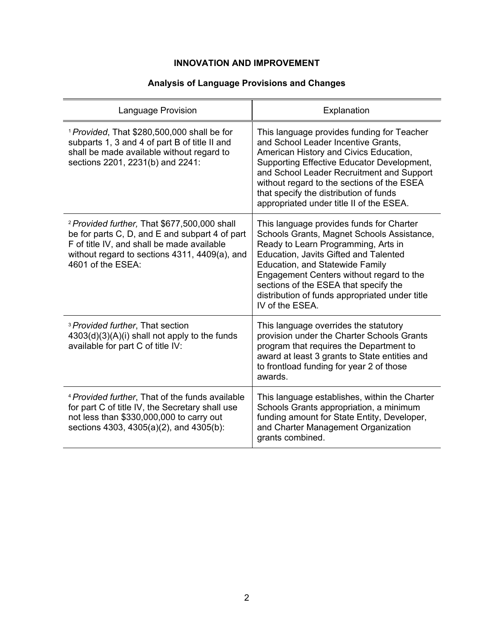## **Analysis of Language Provisions and Changes**

<span id="page-2-3"></span><span id="page-2-2"></span><span id="page-2-1"></span><span id="page-2-0"></span>

| Language Provision                                                                                                                                                                                                            | Explanation                                                                                                                                                                                                                                                                                                                                                                       |
|-------------------------------------------------------------------------------------------------------------------------------------------------------------------------------------------------------------------------------|-----------------------------------------------------------------------------------------------------------------------------------------------------------------------------------------------------------------------------------------------------------------------------------------------------------------------------------------------------------------------------------|
| <sup>1</sup> Provided, That \$280,500,000 shall be for<br>subparts 1, 3 and 4 of part B of title II and<br>shall be made available without regard to<br>sections 2201, 2231(b) and 2241:                                      | This language provides funding for Teacher<br>and School Leader Incentive Grants,<br>American History and Civics Education,<br>Supporting Effective Educator Development,<br>and School Leader Recruitment and Support<br>without regard to the sections of the ESEA<br>that specify the distribution of funds<br>appropriated under title II of the ESEA.                        |
| <sup>2</sup> Provided further, That \$677,500,000 shall<br>be for parts C, D, and E and subpart 4 of part<br>F of title IV, and shall be made available<br>without regard to sections 4311, 4409(a), and<br>4601 of the ESEA: | This language provides funds for Charter<br>Schools Grants, Magnet Schools Assistance,<br>Ready to Learn Programming, Arts in<br><b>Education, Javits Gifted and Talented</b><br><b>Education, and Statewide Family</b><br>Engagement Centers without regard to the<br>sections of the ESEA that specify the<br>distribution of funds appropriated under title<br>IV of the ESEA. |
| <sup>3</sup> Provided further, That section<br>$4303(d)(3)(A)(i)$ shall not apply to the funds<br>available for part C of title IV:                                                                                           | This language overrides the statutory<br>provision under the Charter Schools Grants<br>program that requires the Department to<br>award at least 3 grants to State entities and<br>to frontload funding for year 2 of those<br>awards.                                                                                                                                            |
| <sup>4</sup> Provided further, That of the funds available<br>for part C of title IV, the Secretary shall use<br>not less than \$330,000,000 to carry out<br>sections 4303, 4305(a)(2), and 4305(b):                          | This language establishes, within the Charter<br>Schools Grants appropriation, a minimum<br>funding amount for State Entity, Developer,<br>and Charter Management Organization<br>grants combined.                                                                                                                                                                                |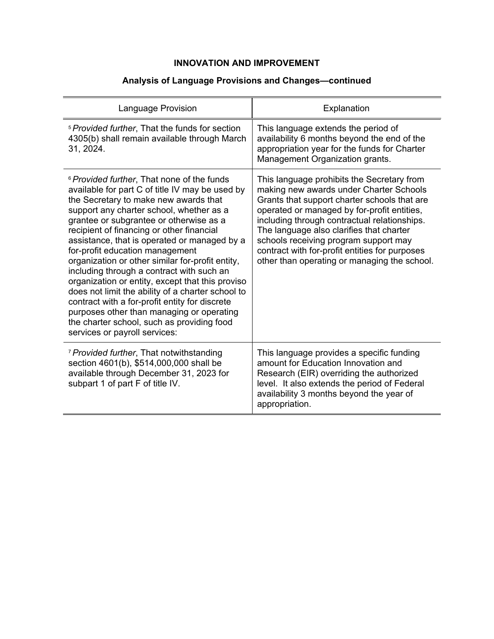## **Analysis of Language Provisions and Changes—continued**

<span id="page-3-2"></span><span id="page-3-1"></span><span id="page-3-0"></span>

| <b>Language Provision</b>                                                                                                                                                                                                                                                                                                                                                                                                                                                                                                                                                                                                                                                                                                                                        | Explanation                                                                                                                                                                                                                                                                                                                                                                                                                 |
|------------------------------------------------------------------------------------------------------------------------------------------------------------------------------------------------------------------------------------------------------------------------------------------------------------------------------------------------------------------------------------------------------------------------------------------------------------------------------------------------------------------------------------------------------------------------------------------------------------------------------------------------------------------------------------------------------------------------------------------------------------------|-----------------------------------------------------------------------------------------------------------------------------------------------------------------------------------------------------------------------------------------------------------------------------------------------------------------------------------------------------------------------------------------------------------------------------|
| <sup>5</sup> Provided further, That the funds for section<br>4305(b) shall remain available through March<br>31, 2024.                                                                                                                                                                                                                                                                                                                                                                                                                                                                                                                                                                                                                                           | This language extends the period of<br>availability 6 months beyond the end of the<br>appropriation year for the funds for Charter<br>Management Organization grants.                                                                                                                                                                                                                                                       |
| <sup>6</sup> Provided further, That none of the funds<br>available for part C of title IV may be used by<br>the Secretary to make new awards that<br>support any charter school, whether as a<br>grantee or subgrantee or otherwise as a<br>recipient of financing or other financial<br>assistance, that is operated or managed by a<br>for-profit education management<br>organization or other similar for-profit entity,<br>including through a contract with such an<br>organization or entity, except that this proviso<br>does not limit the ability of a charter school to<br>contract with a for-profit entity for discrete<br>purposes other than managing or operating<br>the charter school, such as providing food<br>services or payroll services: | This language prohibits the Secretary from<br>making new awards under Charter Schools<br>Grants that support charter schools that are<br>operated or managed by for-profit entities,<br>including through contractual relationships.<br>The language also clarifies that charter<br>schools receiving program support may<br>contract with for-profit entities for purposes<br>other than operating or managing the school. |
| <sup>7</sup> Provided further, That notwithstanding<br>section 4601(b), \$514,000,000 shall be<br>available through December 31, 2023 for<br>subpart 1 of part F of title IV.                                                                                                                                                                                                                                                                                                                                                                                                                                                                                                                                                                                    | This language provides a specific funding<br>amount for Education Innovation and<br>Research (EIR) overriding the authorized<br>level. It also extends the period of Federal<br>availability 3 months beyond the year of<br>appropriation.                                                                                                                                                                                  |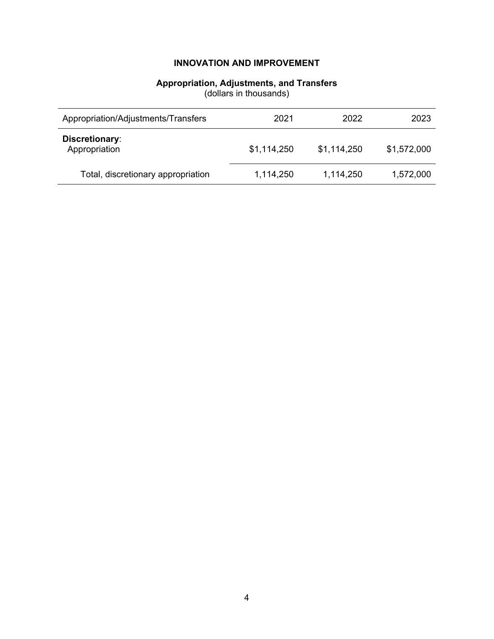## **Appropriation, Adjustments, and Transfers**

(dollars in thousands)

<span id="page-4-0"></span>

| Appropriation/Adjustments/Transfers | 2021        | 2022        | 2023        |
|-------------------------------------|-------------|-------------|-------------|
| Discretionary:<br>Appropriation     | \$1,114,250 | \$1,114,250 | \$1,572,000 |
| Total, discretionary appropriation  | 1,114,250   | 1,114,250   | 1,572,000   |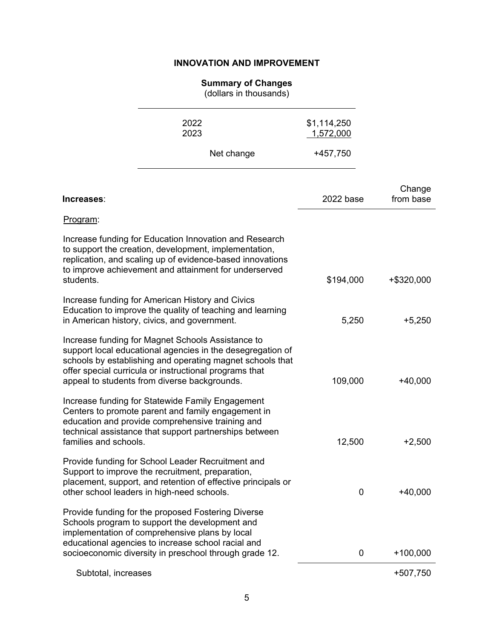#### **Summary of Changes**

(dollars in thousands)

2022 \$1,114,250

<span id="page-5-0"></span>

| 2023                                                                                                                                                                                                                                                                                   |            | 1,572,000 |                     |
|----------------------------------------------------------------------------------------------------------------------------------------------------------------------------------------------------------------------------------------------------------------------------------------|------------|-----------|---------------------|
|                                                                                                                                                                                                                                                                                        | Net change | +457,750  |                     |
| Increases:                                                                                                                                                                                                                                                                             |            | 2022 base | Change<br>from base |
| Program:                                                                                                                                                                                                                                                                               |            |           |                     |
| Increase funding for Education Innovation and Research<br>to support the creation, development, implementation,<br>replication, and scaling up of evidence-based innovations<br>to improve achievement and attainment for underserved                                                  |            |           |                     |
| students.                                                                                                                                                                                                                                                                              |            | \$194,000 | +\$320,000          |
| Increase funding for American History and Civics<br>Education to improve the quality of teaching and learning<br>in American history, civics, and government.                                                                                                                          |            | 5,250     | $+5,250$            |
| Increase funding for Magnet Schools Assistance to<br>support local educational agencies in the desegregation of<br>schools by establishing and operating magnet schools that<br>offer special curricula or instructional programs that<br>appeal to students from diverse backgrounds. |            | 109,000   | $+40,000$           |
| Increase funding for Statewide Family Engagement<br>Centers to promote parent and family engagement in<br>education and provide comprehensive training and<br>technical assistance that support partnerships between<br>families and schools.                                          |            | 12,500    | $+2,500$            |
| Provide funding for School Leader Recruitment and<br>Support to improve the recruitment, preparation,<br>placement, support, and retention of effective principals or<br>other school leaders in high-need schools.                                                                    |            | 0         | $+40,000$           |
| Provide funding for the proposed Fostering Diverse<br>Schools program to support the development and<br>implementation of comprehensive plans by local<br>educational agencies to increase school racial and<br>socioeconomic diversity in preschool through grade 12.                 |            | 0         | $+100,000$          |
| Subtotal, increases                                                                                                                                                                                                                                                                    |            |           | +507,750            |
|                                                                                                                                                                                                                                                                                        |            |           |                     |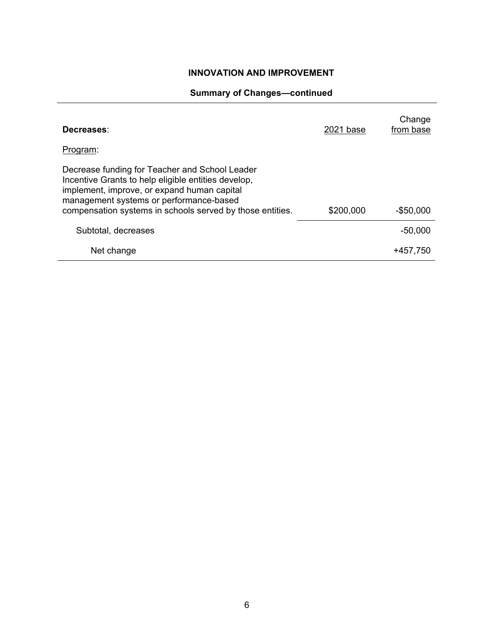## **H. Summary of Changes—continued**

| Decreases:                                                                                                                                                                                                                                                   | 2021 base | Change<br>from base |
|--------------------------------------------------------------------------------------------------------------------------------------------------------------------------------------------------------------------------------------------------------------|-----------|---------------------|
| Program:                                                                                                                                                                                                                                                     |           |                     |
| Decrease funding for Teacher and School Leader<br>Incentive Grants to help eligible entities develop,<br>implement, improve, or expand human capital<br>management systems or performance-based<br>compensation systems in schools served by those entities. | \$200,000 | $-$50,000$          |
| Subtotal, decreases                                                                                                                                                                                                                                          |           | $-50,000$           |
| Net change                                                                                                                                                                                                                                                   |           | +457.750            |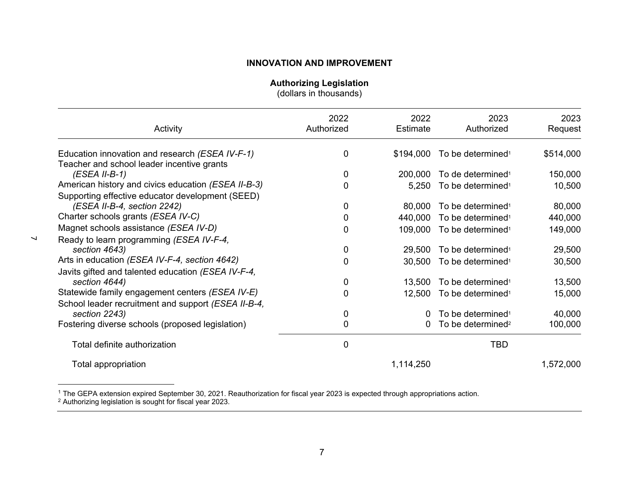**Authorizing Legislation**

(dollars in thousands)

<span id="page-7-0"></span>

| Activity                                            | 2022<br>Authorized | 2022<br>Estimate | 2023<br>Authorized            | 2023<br>Request |
|-----------------------------------------------------|--------------------|------------------|-------------------------------|-----------------|
| Education innovation and research (ESEA IV-F-1)     | 0                  | \$194,000        | To be determined <sup>1</sup> | \$514,000       |
| Teacher and school leader incentive grants          |                    |                  |                               |                 |
| $(ESEA II-B-1)$                                     | 0                  | 200,000          | To de determined <sup>1</sup> | 150,000         |
| American history and civics education (ESEA II-B-3) | 0                  | 5,250            | To be determined <sup>1</sup> | 10,500          |
| Supporting effective educator development (SEED)    |                    |                  |                               |                 |
| (ESEA II-B-4, section 2242)                         | 0                  | 80,000           | To be determined <sup>1</sup> | 80,000          |
| Charter schools grants (ESEA IV-C)                  | 0                  | 440,000          | To be determined <sup>1</sup> | 440,000         |
| Magnet schools assistance (ESEA IV-D)               | 0                  | 109,000          | To be determined <sup>1</sup> | 149,000         |
| Ready to learn programming (ESEA IV-F-4,            |                    |                  |                               |                 |
| section 4643)                                       | 0                  | 29,500           | To be determined <sup>1</sup> | 29,500          |
| Arts in education (ESEA IV-F-4, section 4642)       | 0                  | 30,500           | To be determined <sup>1</sup> | 30,500          |
| Javits gifted and talented education (ESEA IV-F-4,  |                    |                  |                               |                 |
| section 4644)                                       | 0                  | 13,500           | To be determined <sup>1</sup> | 13,500          |
| Statewide family engagement centers (ESEA IV-E)     | 0                  | 12,500           | To be determined <sup>1</sup> | 15,000          |
| School leader recruitment and support (ESEA II-B-4, |                    |                  |                               |                 |
| section 2243)                                       | 0                  | 0                | To be determined <sup>1</sup> | 40,000          |
| Fostering diverse schools (proposed legislation)    | 0                  | 0                | To be determined <sup>2</sup> | 100,000         |
| Total definite authorization                        | 0                  |                  | <b>TBD</b>                    |                 |
| Total appropriation                                 |                    | 1,114,250        |                               | 1,572,000       |

<span id="page-7-1"></span> $^1$  The GEPA extension expired September 30, 2021. Reauthorization for fiscal year 2023 is expected through appropriations action.

 $^{\rm 2}$  Authorizing legislation is sought for fiscal year 2023.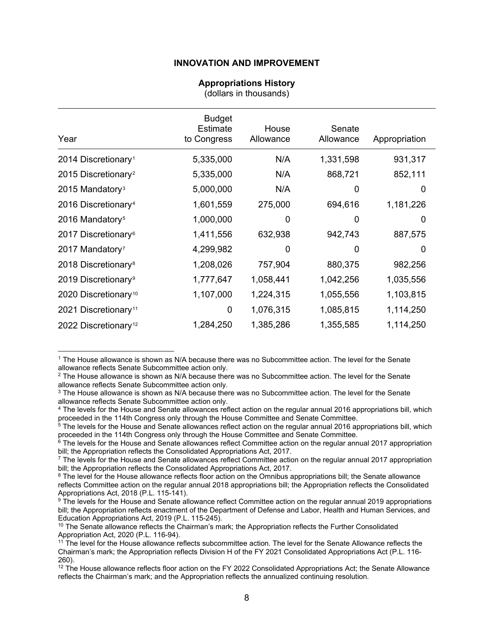#### **Appropriations History**

(dollars in thousands)

<span id="page-8-0"></span>

| Year                             | <b>Budget</b><br>Estimate<br>to Congress | House<br>Allowance | Senate<br>Allowance | Appropriation |
|----------------------------------|------------------------------------------|--------------------|---------------------|---------------|
| 2014 Discretionary <sup>1</sup>  | 5,335,000                                | N/A                | 1,331,598           | 931,317       |
| 2015 Discretionary <sup>2</sup>  | 5,335,000                                | N/A                | 868,721             | 852,111       |
| 2015 Mandatory <sup>3</sup>      | 5,000,000                                | N/A                | 0                   | 0             |
| 2016 Discretionary <sup>4</sup>  | 1,601,559                                | 275,000            | 694,616             | 1,181,226     |
| 2016 Mandatory <sup>5</sup>      | 1,000,000                                | 0                  | $\Omega$            | 0             |
| 2017 Discretionary <sup>6</sup>  | 1,411,556                                | 632,938            | 942,743             | 887,575       |
| 2017 Mandatory <sup>7</sup>      | 4,299,982                                | 0                  | 0                   | 0             |
| 2018 Discretionary <sup>8</sup>  | 1,208,026                                | 757,904            | 880,375             | 982,256       |
| 2019 Discretionary <sup>9</sup>  | 1,777,647                                | 1,058,441          | 1,042,256           | 1,035,556     |
| 2020 Discretionary <sup>10</sup> | 1,107,000                                | 1,224,315          | 1,055,556           | 1,103,815     |
| 2021 Discretionary <sup>11</sup> | 0                                        | 1,076,315          | 1,085,815           | 1,114,250     |
| 2022 Discretionary <sup>12</sup> | 1,284,250                                | 1,385,286          | 1,355,585           | 1,114,250     |

<span id="page-8-1"></span><sup>1</sup> The House allowance is shown as N/A because there was no Subcommittee action. The level for the Senate allowance reflects Senate Subcommittee action only.

<span id="page-8-2"></span><sup>2</sup> The House allowance is shown as N/A because there was no Subcommittee action. The level for the Senate allowance reflects Senate Subcommittee action only.

<span id="page-8-4"></span><sup>4</sup> The levels for the House and Senate allowances reflect action on the regular annual 2016 appropriations bill, which proceeded in the 114th Congress only through the House Committee and Senate Committee.

<span id="page-8-5"></span> $5$  The levels for the House and Senate allowances reflect action on the regular annual 2016 appropriations bill, which proceeded in the 114th Congress only through the House Committee and Senate Committee.

<span id="page-8-6"></span><sup>6</sup> The levels for the House and Senate allowances reflect Committee action on the regular annual 2017 appropriation bill; the Appropriation reflects the Consolidated Appropriations Act, 2017.

<span id="page-8-7"></span> $7$  The levels for the House and Senate allowances reflect Committee action on the regular annual 2017 appropriation bill; the Appropriation reflects the Consolidated Appropriations Act, 2017.

<span id="page-8-8"></span><sup>8</sup> The level for the House allowance reflects floor action on the Omnibus appropriations bill; the Senate allowance reflects Committee action on the regular annual 2018 appropriations bill; the Appropriation reflects the Consolidated Appropriations Act, 2018 (P.L. 115-141).

<span id="page-8-9"></span>9 The levels for the House and Senate allowance reflect Committee action on the regular annual 2019 appropriations bill; the Appropriation reflects enactment of the Department of Defense and Labor, Health and Human Services, and Education Appropriations Act, 2019 (P.L. 115-245).

<span id="page-8-10"></span> $10$  The Senate allowance reflects the Chairman's mark; the Appropriation reflects the Further Consolidated Appropriation Act, 2020 (P.L. 116-94).

<span id="page-8-3"></span><sup>&</sup>lt;sup>3</sup> The House allowance is shown as N/A because there was no Subcommittee action. The level for the Senate allowance reflects Senate Subcommittee action only.

<span id="page-8-11"></span><sup>11</sup> The level for the House allowance reflects subcommittee action. The level for the Senate Allowance reflects the Chairman's mark; the Appropriation reflects Division H of the FY 2021 Consolidated Appropriations Act (P.L. 116- 260).

<span id="page-8-12"></span><sup>&</sup>lt;sup>12</sup> The House allowance reflects floor action on the FY 2022 Consolidated Appropriations Act; the Senate Allowance reflects the Chairman's mark; and the Appropriation reflects the annualized continuing resolution.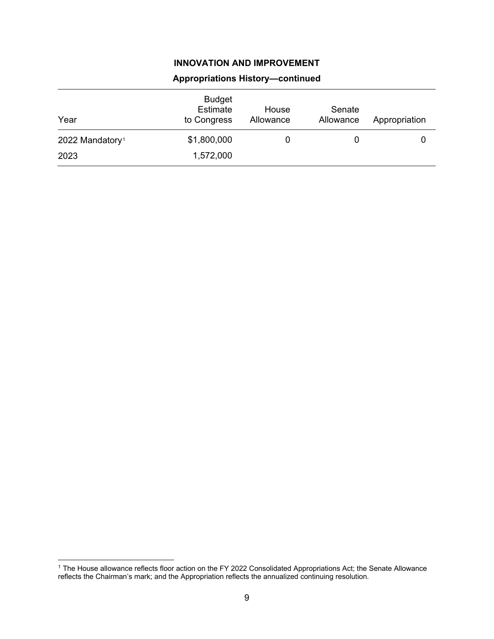| Year                        | <b>Budget</b><br>Estimate<br>to Congress | House<br>Allowance | Senate<br>Allowance | Appropriation |
|-----------------------------|------------------------------------------|--------------------|---------------------|---------------|
| 2022 Mandatory <sup>1</sup> | \$1,800,000                              | 0                  |                     |               |
| 2023                        | 1,572,000                                |                    |                     |               |

## **Appropriations History—continued**

<span id="page-9-0"></span><sup>1</sup> The House allowance reflects floor action on the FY 2022 Consolidated Appropriations Act; the Senate Allowance reflects the Chairman's mark; and the Appropriation reflects the annualized continuing resolution.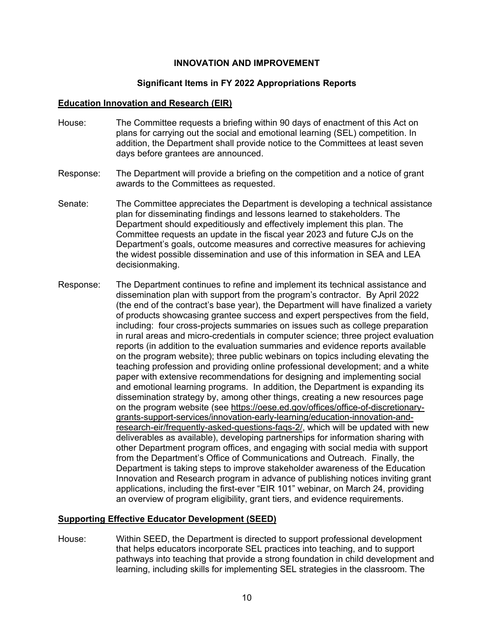### **Significant Items in FY 2022 Appropriations Reports**

#### <span id="page-10-0"></span>**Education Innovation and Research (EIR)**

- House: The Committee requests a briefing within 90 days of enactment of this Act on plans for carrying out the social and emotional learning (SEL) competition. In addition, the Department shall provide notice to the Committees at least seven days before grantees are announced.
- Response: The Department will provide a briefing on the competition and a notice of grant awards to the Committees as requested.
- Senate: The Committee appreciates the Department is developing a technical assistance plan for disseminating findings and lessons learned to stakeholders. The Department should expeditiously and effectively implement this plan. The Committee requests an update in the fiscal year 2023 and future CJs on the Department's goals, outcome measures and corrective measures for achieving the widest possible dissemination and use of this information in SEA and LEA decisionmaking.
- Response: The Department continues to refine and implement its technical assistance and dissemination plan with support from the program's contractor. By April 2022 (the end of the contract's base year), the Department will have finalized a variety of products showcasing grantee success and expert perspectives from the field, including: four cross-projects summaries on issues such as college preparation in rural areas and micro-credentials in computer science; three project evaluation reports (in addition to the evaluation summaries and evidence reports available on the program website); three public webinars on topics including elevating the teaching profession and providing online professional development; and a white paper with extensive recommendations for designing and implementing social and emotional learning programs. In addition, the Department is expanding its dissemination strategy by, among other things, creating a new resources page on the program website (see [https://oese.ed.gov/offices/office-of-discretionary](https://oese.ed.gov/offices/office-of-discretionary-grants-support-services/innovation-early-learning/education-innovation-and-research-eir/frequently-asked-questions-faqs-2/)[grants-support-services/innovation-early-learning/education-innovation-and](https://oese.ed.gov/offices/office-of-discretionary-grants-support-services/innovation-early-learning/education-innovation-and-research-eir/frequently-asked-questions-faqs-2/)[research-eir/frequently-asked-questions-faqs-2/,](https://oese.ed.gov/offices/office-of-discretionary-grants-support-services/innovation-early-learning/education-innovation-and-research-eir/frequently-asked-questions-faqs-2/) which will be updated with new deliverables as available), developing partnerships for information sharing with other Department program offices, and engaging with social media with support from the Department's Office of Communications and Outreach. Finally, the Department is taking steps to improve stakeholder awareness of the Education Innovation and Research program in advance of publishing notices inviting grant applications, including the first-ever "EIR 101" webinar, on March 24, providing an overview of program eligibility, grant tiers, and evidence requirements.

#### **Supporting Effective Educator Development (SEED)**

House: Within SEED, the Department is directed to support professional development that helps educators incorporate SEL practices into teaching, and to support pathways into teaching that provide a strong foundation in child development and learning, including skills for implementing SEL strategies in the classroom. The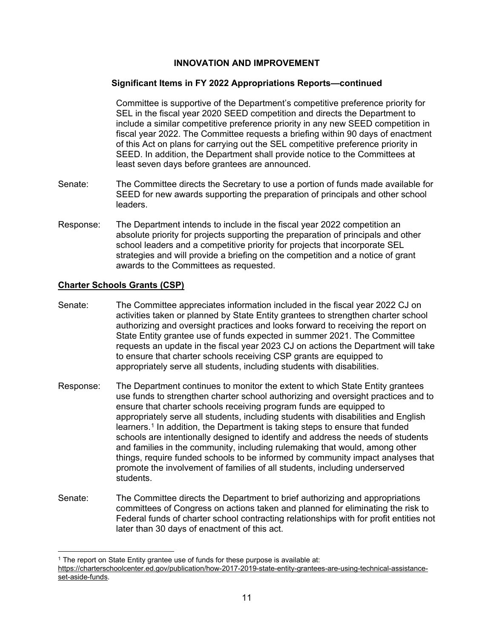### **Significant Items in FY 2022 Appropriations Reports—continued**

Committee is supportive of the Department's competitive preference priority for SEL in the fiscal year 2020 SEED competition and directs the Department to include a similar competitive preference priority in any new SEED competition in fiscal year 2022. The Committee requests a briefing within 90 days of enactment of this Act on plans for carrying out the SEL competitive preference priority in SEED. In addition, the Department shall provide notice to the Committees at least seven days before grantees are announced.

- Senate: The Committee directs the Secretary to use a portion of funds made available for SEED for new awards supporting the preparation of principals and other school leaders.
- Response: The Department intends to include in the fiscal year 2022 competition an absolute priority for projects supporting the preparation of principals and other school leaders and a competitive priority for projects that incorporate SEL strategies and will provide a briefing on the competition and a notice of grant awards to the Committees as requested.

### **Charter Schools Grants (CSP)**

- Senate: The Committee appreciates information included in the fiscal year 2022 CJ on activities taken or planned by State Entity grantees to strengthen charter school authorizing and oversight practices and looks forward to receiving the report on State Entity grantee use of funds expected in summer 2021. The Committee requests an update in the fiscal year 2023 CJ on actions the Department will take to ensure that charter schools receiving CSP grants are equipped to appropriately serve all students, including students with disabilities.
- Response: The Department continues to monitor the extent to which State Entity grantees use funds to strengthen charter school authorizing and oversight practices and to ensure that charter schools receiving program funds are equipped to appropriately serve all students, including students with disabilities and English learners.<sup>[1](#page-11-0)</sup> In addition, the Department is taking steps to ensure that funded schools are intentionally designed to identify and address the needs of students and families in the community, including rulemaking that would, among other things, require funded schools to be informed by community impact analyses that promote the involvement of families of all students, including underserved students.
- Senate: The Committee directs the Department to brief authorizing and appropriations committees of Congress on actions taken and planned for eliminating the risk to Federal funds of charter school contracting relationships with for profit entities not later than 30 days of enactment of this act.

<span id="page-11-0"></span> $1$  The report on State Entity grantee use of funds for these purpose is available at: [https://charterschoolcenter.ed.gov/publication/how-2017-2019-state-entity-grantees-are-using-technical-assistance](https://charterschoolcenter.ed.gov/publication/how-2017-2019-state-entity-grantees-are-using-technical-assistance-set-aside-funds)[set-aside-funds.](https://charterschoolcenter.ed.gov/publication/how-2017-2019-state-entity-grantees-are-using-technical-assistance-set-aside-funds)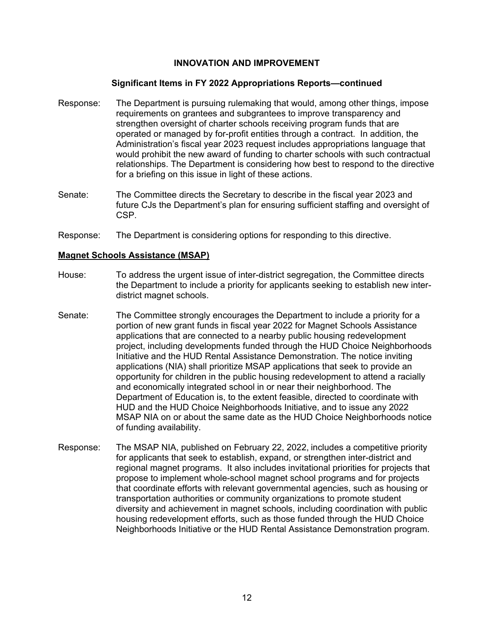#### **Significant Items in FY 2022 Appropriations Reports—continued**

- Response: The Department is pursuing rulemaking that would, among other things, impose requirements on grantees and subgrantees to improve transparency and strengthen oversight of charter schools receiving program funds that are operated or managed by for-profit entities through a contract. In addition, the Administration's fiscal year 2023 request includes appropriations language that would prohibit the new award of funding to charter schools with such contractual relationships. The Department is considering how best to respond to the directive for a briefing on this issue in light of these actions.
- Senate: The Committee directs the Secretary to describe in the fiscal year 2023 and future CJs the Department's plan for ensuring sufficient staffing and oversight of CSP.
- Response: The Department is considering options for responding to this directive.

### **Magnet Schools Assistance (MSAP)**

- House: To address the urgent issue of inter-district segregation, the Committee directs the Department to include a priority for applicants seeking to establish new interdistrict magnet schools.
- Senate: The Committee strongly encourages the Department to include a priority for a portion of new grant funds in fiscal year 2022 for Magnet Schools Assistance applications that are connected to a nearby public housing redevelopment project, including developments funded through the HUD Choice Neighborhoods Initiative and the HUD Rental Assistance Demonstration. The notice inviting applications (NIA) shall prioritize MSAP applications that seek to provide an opportunity for children in the public housing redevelopment to attend a racially and economically integrated school in or near their neighborhood. The Department of Education is, to the extent feasible, directed to coordinate with HUD and the HUD Choice Neighborhoods Initiative, and to issue any 2022 MSAP NIA on or about the same date as the HUD Choice Neighborhoods notice of funding availability.
- Response: The MSAP NIA, published on February 22, 2022, includes a competitive priority for applicants that seek to establish, expand, or strengthen inter-district and regional magnet programs. It also includes invitational priorities for projects that propose to implement whole-school magnet school programs and for projects that coordinate efforts with relevant governmental agencies, such as housing or transportation authorities or community organizations to promote student diversity and achievement in magnet schools, including coordination with public housing redevelopment efforts, such as those funded through the HUD Choice Neighborhoods Initiative or the HUD Rental Assistance Demonstration program.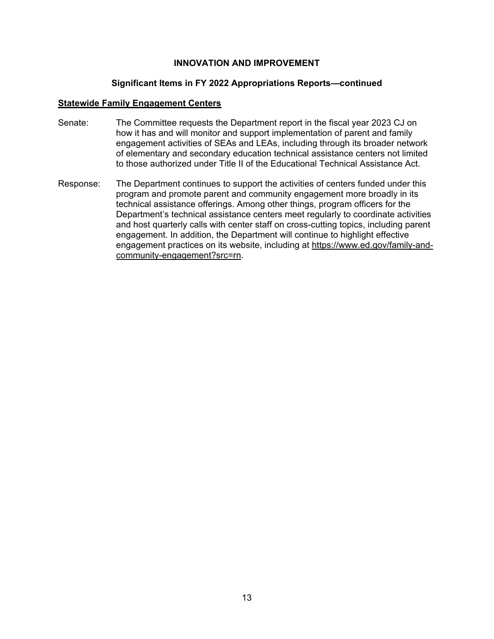#### **Significant Items in FY 2022 Appropriations Reports—continued**

#### **Statewide Family Engagement Centers**

- Senate: The Committee requests the Department report in the fiscal year 2023 CJ on how it has and will monitor and support implementation of parent and family engagement activities of SEAs and LEAs, including through its broader network of elementary and secondary education technical assistance centers not limited to those authorized under Title II of the Educational Technical Assistance Act.
- Response: The Department continues to support the activities of centers funded under this program and promote parent and community engagement more broadly in its technical assistance offerings. Among other things, program officers for the Department's technical assistance centers meet regularly to coordinate activities and host quarterly calls with center staff on cross-cutting topics, including parent engagement. In addition, the Department will continue to highlight effective engagement practices on its website, including at [https://www.ed.gov/family-and](https://www.ed.gov/family-and-community-engagement?src=rn)[community-engagement?src=rn.](https://www.ed.gov/family-and-community-engagement?src=rn)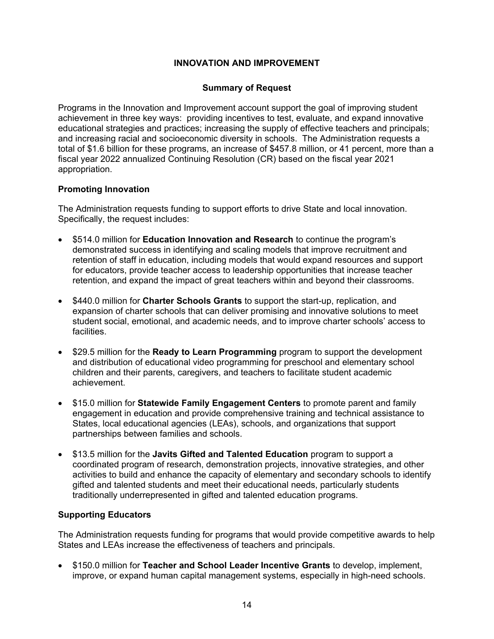### **Summary of Request**

<span id="page-14-0"></span>Programs in the Innovation and Improvement account support the goal of improving student achievement in three key ways: providing incentives to test, evaluate, and expand innovative educational strategies and practices; increasing the supply of effective teachers and principals; and increasing racial and socioeconomic diversity in schools. The Administration requests a total of \$1.6 billion for these programs, an increase of \$457.8 million, or 41 percent, more than a fiscal year 2022 annualized Continuing Resolution (CR) based on the fiscal year 2021 appropriation.

## **Promoting Innovation**

The Administration requests funding to support efforts to drive State and local innovation. Specifically, the request includes:

- \$514.0 million for **Education Innovation and Research** to continue the program's demonstrated success in identifying and scaling models that improve recruitment and retention of staff in education, including models that would expand resources and support for educators, provide teacher access to leadership opportunities that increase teacher retention, and expand the impact of great teachers within and beyond their classrooms.
- \$440.0 million for **Charter Schools Grants** to support the start-up, replication, and expansion of charter schools that can deliver promising and innovative solutions to meet student social, emotional, and academic needs, and to improve charter schools' access to facilities.
- \$29.5 million for the **Ready to Learn Programming** program to support the development and distribution of educational video programming for preschool and elementary school children and their parents, caregivers, and teachers to facilitate student academic achievement.
- \$15.0 million for **Statewide Family Engagement Centers** to promote parent and family engagement in education and provide comprehensive training and technical assistance to States, local educational agencies (LEAs), schools, and organizations that support partnerships between families and schools.
- \$13.5 million for the **Javits Gifted and Talented Education** program to support a coordinated program of research, demonstration projects, innovative strategies, and other activities to build and enhance the capacity of elementary and secondary schools to identify gifted and talented students and meet their educational needs, particularly students traditionally underrepresented in gifted and talented education programs.

## **Supporting Educators**

The Administration requests funding for programs that would provide competitive awards to help States and LEAs increase the effectiveness of teachers and principals.

• \$150.0 million for **Teacher and School Leader Incentive Grants** to develop, implement, improve, or expand human capital management systems, especially in high-need schools.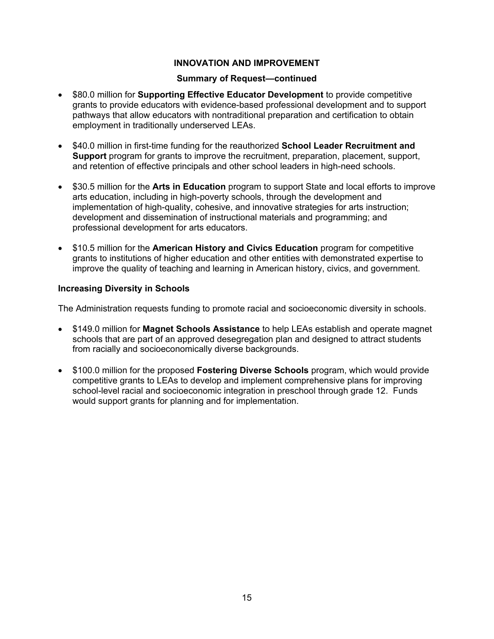#### **Summary of Request—continued**

- \$80.0 million for **Supporting Effective Educator Development** to provide competitive grants to provide educators with evidence-based professional development and to support pathways that allow educators with nontraditional preparation and certification to obtain employment in traditionally underserved LEAs.
- \$40.0 million in first-time funding for the reauthorized **School Leader Recruitment and Support** program for grants to improve the recruitment, preparation, placement, support, and retention of effective principals and other school leaders in high-need schools.
- \$30.5 million for the **Arts in Education** program to support State and local efforts to improve arts education, including in high-poverty schools, through the development and implementation of high-quality, cohesive, and innovative strategies for arts instruction; development and dissemination of instructional materials and programming; and professional development for arts educators.
- \$10.5 million for the **American History and Civics Education** program for competitive grants to institutions of higher education and other entities with demonstrated expertise to improve the quality of teaching and learning in American history, civics, and government.

### **Increasing Diversity in Schools**

The Administration requests funding to promote racial and socioeconomic diversity in schools.

- \$149.0 million for **Magnet Schools Assistance** to help LEAs establish and operate magnet schools that are part of an approved desegregation plan and designed to attract students from racially and socioeconomically diverse backgrounds.
- \$100.0 million for the proposed **Fostering Diverse Schools** program, which would provide competitive grants to LEAs to develop and implement comprehensive plans for improving school-level racial and socioeconomic integration in preschool through grade 12. Funds would support grants for planning and for implementation.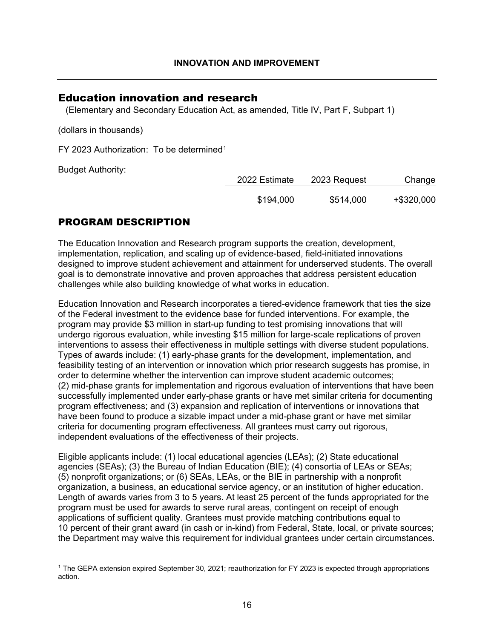## <span id="page-16-0"></span>Education innovation and research

(Elementary and Secondary Education Act, as amended, Title IV, Part F, Subpart 1)

(dollars in thousands)

FY 2023 Authorization: To be determined<sup>[1](#page-16-1)</sup>

Budget Authority:

| 2022 Estimate | 2023 Request | Change     |
|---------------|--------------|------------|
| \$194,000     | \$514,000    | +\$320,000 |

## PROGRAM DESCRIPTION

The Education Innovation and Research program supports the creation, development, implementation, replication, and scaling up of evidence-based, field-initiated innovations designed to improve student achievement and attainment for underserved students. The overall goal is to demonstrate innovative and proven approaches that address persistent education challenges while also building knowledge of what works in education.

Education Innovation and Research incorporates a tiered-evidence framework that ties the size of the Federal investment to the evidence base for funded interventions. For example, the program may provide \$3 million in start-up funding to test promising innovations that will undergo rigorous evaluation, while investing \$15 million for large-scale replications of proven interventions to assess their effectiveness in multiple settings with diverse student populations. Types of awards include: (1) early-phase grants for the development, implementation, and feasibility testing of an intervention or innovation which prior research suggests has promise, in order to determine whether the intervention can improve student academic outcomes; (2) mid-phase grants for implementation and rigorous evaluation of interventions that have been successfully implemented under early-phase grants or have met similar criteria for documenting program effectiveness; and (3) expansion and replication of interventions or innovations that have been found to produce a sizable impact under a mid-phase grant or have met similar criteria for documenting program effectiveness. All grantees must carry out rigorous, independent evaluations of the effectiveness of their projects.

Eligible applicants include: (1) local educational agencies (LEAs); (2) State educational agencies (SEAs); (3) the Bureau of Indian Education (BIE); (4) consortia of LEAs or SEAs; (5) nonprofit organizations; or (6) SEAs, LEAs, or the BIE in partnership with a nonprofit organization, a business, an educational service agency, or an institution of higher education. Length of awards varies from 3 to 5 years. At least 25 percent of the funds appropriated for the program must be used for awards to serve rural areas, contingent on receipt of enough applications of sufficient quality. Grantees must provide matching contributions equal to 10 percent of their grant award (in cash or in-kind) from Federal, State, local, or private sources; the Department may waive this requirement for individual grantees under certain circumstances.

<span id="page-16-1"></span><sup>1</sup> The GEPA extension expired September 30, 2021; reauthorization for FY 2023 is expected through appropriations action.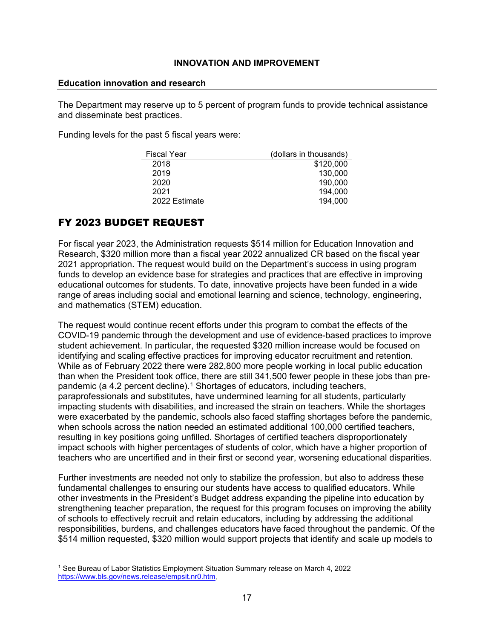#### **Education innovation and research**

The Department may reserve up to 5 percent of program funds to provide technical assistance and disseminate best practices.

Funding levels for the past 5 fiscal years were:

| <b>Fiscal Year</b> | (dollars in thousands) |
|--------------------|------------------------|
| 2018               | \$120,000              |
| 2019               | 130,000                |
| 2020               | 190,000                |
| 2021               | 194,000                |
| 2022 Estimate      | 194,000                |

## FY 2023 BUDGET REQUEST

For fiscal year 2023, the Administration requests \$514 million for Education Innovation and Research, \$320 million more than a fiscal year 2022 annualized CR based on the fiscal year 2021 appropriation. The request would build on the Department's success in using program funds to develop an evidence base for strategies and practices that are effective in improving educational outcomes for students. To date, innovative projects have been funded in a wide range of areas including social and emotional learning and science, technology, engineering, and mathematics (STEM) education.

The request would continue recent efforts under this program to combat the effects of the COVID-19 pandemic through the development and use of evidence-based practices to improve student achievement. In particular, the requested \$320 million increase would be focused on identifying and scaling effective practices for improving educator recruitment and retention. While as of February 2022 there were 282,800 more people working in local public education than when the President took office, there are still 341,500 fewer people in these jobs than pre-pandemic (a 4.2 percent decline).<sup>[1](#page-17-0)</sup> Shortages of educators, including teachers, paraprofessionals and substitutes, have undermined learning for all students, particularly impacting students with disabilities, and increased the strain on teachers. While the shortages were exacerbated by the pandemic, schools also faced staffing shortages before the pandemic, when schools across the nation needed an estimated additional 100,000 certified teachers, resulting in key positions going unfilled. Shortages of certified teachers disproportionately impact schools with higher percentages of students of color, which have a higher proportion of teachers who are uncertified and in their first or second year, worsening educational disparities.

Further investments are needed not only to stabilize the profession, but also to address these fundamental challenges to ensuring our students have access to qualified educators. While other investments in the President's Budget address expanding the pipeline into education by strengthening teacher preparation, the request for this program focuses on improving the ability of schools to effectively recruit and retain educators, including by addressing the additional responsibilities, burdens, and challenges educators have faced throughout the pandemic. Of the \$514 million requested, \$320 million would support projects that identify and scale up models to

<span id="page-17-0"></span><sup>1</sup> See Bureau of Labor Statistics Employment Situation Summary release on March 4, 2022 [https://www.bls.gov/news.release/empsit.nr0.htm.](https://www.bls.gov/news.release/empsit.nr0.htm)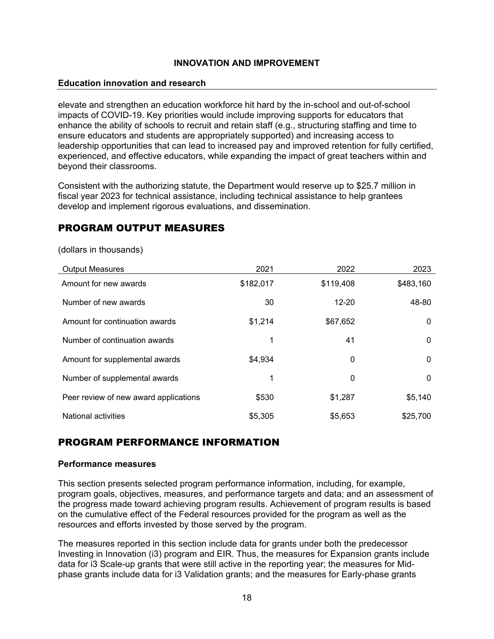### **Education innovation and research**

elevate and strengthen an education workforce hit hard by the in-school and out-of-school impacts of COVID-19. Key priorities would include improving supports for educators that enhance the ability of schools to recruit and retain staff (e.g., structuring staffing and time to ensure educators and students are appropriately supported) and increasing access to leadership opportunities that can lead to increased pay and improved retention for fully certified, experienced, and effective educators, while expanding the impact of great teachers within and beyond their classrooms.

Consistent with the authorizing statute, the Department would reserve up to \$25.7 million in fiscal year 2023 for technical assistance, including technical assistance to help grantees develop and implement rigorous evaluations, and dissemination.

## PROGRAM OUTPUT MEASURES

| <b>Output Measures</b>                | 2021      | 2022      | 2023      |
|---------------------------------------|-----------|-----------|-----------|
| Amount for new awards                 | \$182,017 | \$119,408 | \$483,160 |
| Number of new awards                  | 30        | $12 - 20$ | 48-80     |
| Amount for continuation awards        | \$1,214   | \$67,652  | $\Omega$  |
| Number of continuation awards         | 1         | 41        | $\Omega$  |
| Amount for supplemental awards        | \$4,934   | 0         | $\Omega$  |
| Number of supplemental awards         | 1         | 0         | $\Omega$  |
| Peer review of new award applications | \$530     | \$1,287   | \$5,140   |
| National activities                   | \$5,305   | \$5,653   | \$25,700  |

(dollars in thousands)

## PROGRAM PERFORMANCE INFORMATION

### **Performance measures**

This section presents selected program performance information, including, for example, program goals, objectives, measures, and performance targets and data; and an assessment of the progress made toward achieving program results. Achievement of program results is based on the cumulative effect of the Federal resources provided for the program as well as the resources and efforts invested by those served by the program.

The measures reported in this section include data for grants under both the predecessor Investing in Innovation (i3) program and EIR. Thus, the measures for Expansion grants include data for i3 Scale-up grants that were still active in the reporting year; the measures for Midphase grants include data for i3 Validation grants; and the measures for Early-phase grants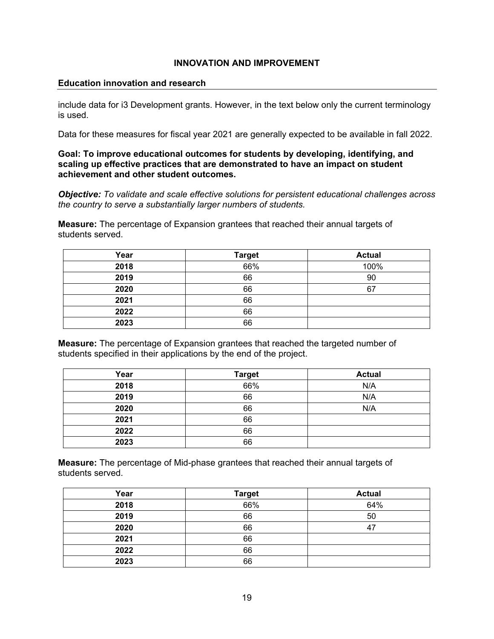#### **Education innovation and research**

include data for i3 Development grants. However, in the text below only the current terminology is used.

Data for these measures for fiscal year 2021 are generally expected to be available in fall 2022.

#### **Goal: To improve educational outcomes for students by developing, identifying, and scaling up effective practices that are demonstrated to have an impact on student achievement and other student outcomes.**

*Objective: To validate and scale effective solutions for persistent educational challenges across the country to serve a substantially larger numbers of students.*

**Measure:** The percentage of Expansion grantees that reached their annual targets of students served.

| Year | <b>Target</b> | <b>Actual</b> |
|------|---------------|---------------|
| 2018 | 66%           | 100%          |
| 2019 | 66            | 90            |
| 2020 | 66            | 67            |
| 2021 | 66            |               |
| 2022 | 66            |               |
| 2023 | 66            |               |

**Measure:** The percentage of Expansion grantees that reached the targeted number of students specified in their applications by the end of the project.

| Year | <b>Target</b> | <b>Actual</b> |  |
|------|---------------|---------------|--|
| 2018 | 66%           | N/A           |  |
| 2019 | 66            | N/A           |  |
| 2020 | 66            | N/A           |  |
| 2021 | 66            |               |  |
| 2022 | 66            |               |  |
| 2023 | 66            |               |  |

**Measure:** The percentage of Mid-phase grantees that reached their annual targets of students served.

| Year | <b>Target</b> | <b>Actual</b> |
|------|---------------|---------------|
| 2018 | 66%           | 64%           |
| 2019 | 66            | 50            |
| 2020 | 66            | -47           |
| 2021 | 66            |               |
| 2022 | 66            |               |
| 2023 | 66            |               |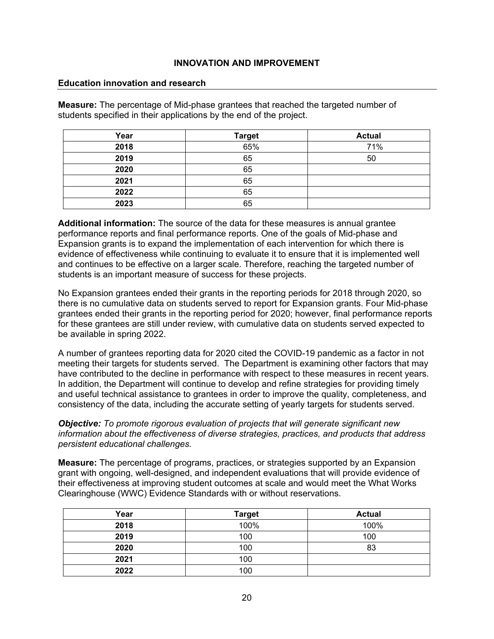#### **Education innovation and research**

**Measure:** The percentage of Mid-phase grantees that reached the targeted number of students specified in their applications by the end of the project.

| Year | <b>Target</b> | <b>Actual</b> |
|------|---------------|---------------|
| 2018 | 65%           | 71%           |
| 2019 | 65            | 50            |
| 2020 | 65            |               |
| 2021 | 65            |               |
| 2022 | 65            |               |
| 2023 | 65            |               |

**Additional information:** The source of the data for these measures is annual grantee performance reports and final performance reports. One of the goals of Mid-phase and Expansion grants is to expand the implementation of each intervention for which there is evidence of effectiveness while continuing to evaluate it to ensure that it is implemented well and continues to be effective on a larger scale. Therefore, reaching the targeted number of students is an important measure of success for these projects.

No Expansion grantees ended their grants in the reporting periods for 2018 through 2020, so there is no cumulative data on students served to report for Expansion grants. Four Mid-phase grantees ended their grants in the reporting period for 2020; however, final performance reports for these grantees are still under review, with cumulative data on students served expected to be available in spring 2022.

A number of grantees reporting data for 2020 cited the COVID-19 pandemic as a factor in not meeting their targets for students served. The Department is examining other factors that may have contributed to the decline in performance with respect to these measures in recent years. In addition, the Department will continue to develop and refine strategies for providing timely and useful technical assistance to grantees in order to improve the quality, completeness, and consistency of the data, including the accurate setting of yearly targets for students served.

*Objective: To promote rigorous evaluation of projects that will generate significant new information about the effectiveness of diverse strategies, practices, and products that address persistent educational challenges.*

**Measure:** The percentage of programs, practices, or strategies supported by an Expansion grant with ongoing, well-designed, and independent evaluations that will provide evidence of their effectiveness at improving student outcomes at scale and would meet the What Works Clearinghouse (WWC) Evidence Standards with or without reservations.

| Year | <b>Target</b> | <b>Actual</b> |
|------|---------------|---------------|
| 2018 | 100%          | 100%          |
| 2019 | 100           | 100           |
| 2020 | 100           | 83            |
| 2021 | 100           |               |
| 2022 | 100           |               |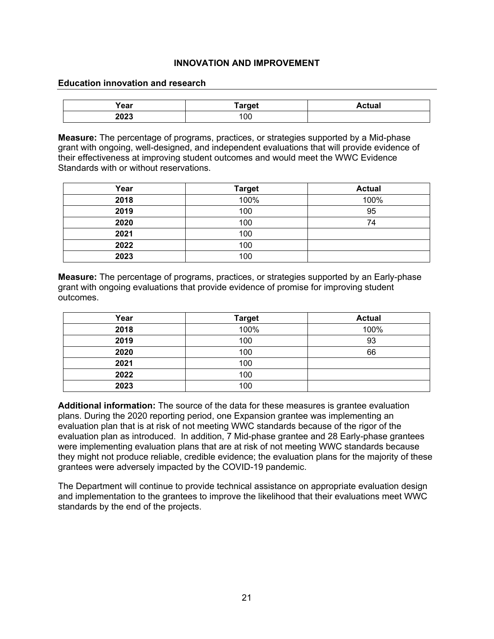#### **Education innovation and research**

| Year | Target | Actual |
|------|--------|--------|
| 2023 | '00    |        |

**Measure:** The percentage of programs, practices, or strategies supported by a Mid-phase grant with ongoing, well-designed, and independent evaluations that will provide evidence of their effectiveness at improving student outcomes and would meet the WWC Evidence Standards with or without reservations.

| Year | <b>Target</b> | <b>Actual</b> |
|------|---------------|---------------|
| 2018 | 100%          | 100%          |
| 2019 | 100           | 95            |
| 2020 | 100           | 74            |
| 2021 | 100           |               |
| 2022 | 100           |               |
| 2023 | 100           |               |

**Measure:** The percentage of programs, practices, or strategies supported by an Early-phase grant with ongoing evaluations that provide evidence of promise for improving student outcomes.

| Year | <b>Target</b> | <b>Actual</b> |
|------|---------------|---------------|
| 2018 | 100%          | 100%          |
| 2019 | 100           | 93            |
| 2020 | 100           | 66            |
| 2021 | 100           |               |
| 2022 | 100           |               |
| 2023 | 100           |               |

**Additional information:** The source of the data for these measures is grantee evaluation plans. During the 2020 reporting period, one Expansion grantee was implementing an evaluation plan that is at risk of not meeting WWC standards because of the rigor of the evaluation plan as introduced. In addition, 7 Mid-phase grantee and 28 Early-phase grantees were implementing evaluation plans that are at risk of not meeting WWC standards because they might not produce reliable, credible evidence; the evaluation plans for the majority of these grantees were adversely impacted by the COVID-19 pandemic.

The Department will continue to provide technical assistance on appropriate evaluation design and implementation to the grantees to improve the likelihood that their evaluations meet WWC standards by the end of the projects.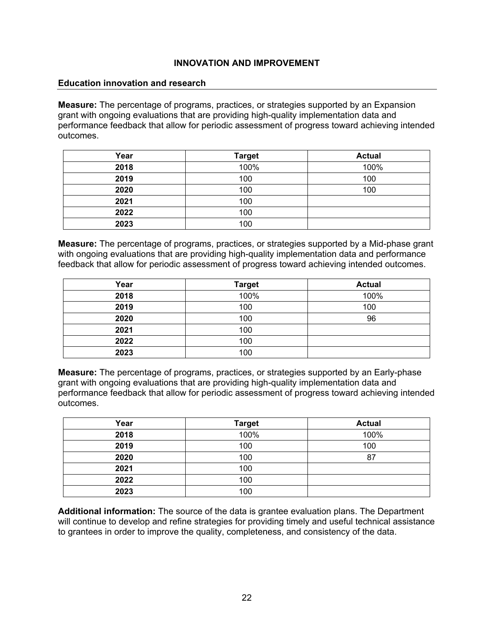#### **Education innovation and research**

**Measure:** The percentage of programs, practices, or strategies supported by an Expansion grant with ongoing evaluations that are providing high-quality implementation data and performance feedback that allow for periodic assessment of progress toward achieving intended outcomes.

| Year | <b>Target</b> | <b>Actual</b> |
|------|---------------|---------------|
| 2018 | 100%          | 100%          |
| 2019 | 100           | 100           |
| 2020 | 100           | 100           |
| 2021 | 100           |               |
| 2022 | 100           |               |
| 2023 | 100           |               |

**Measure:** The percentage of programs, practices, or strategies supported by a Mid-phase grant with ongoing evaluations that are providing high-quality implementation data and performance feedback that allow for periodic assessment of progress toward achieving intended outcomes.

| Year | <b>Target</b> | <b>Actual</b> |
|------|---------------|---------------|
| 2018 | 100%          | 100%          |
| 2019 | 100           | 100           |
| 2020 | 100           | 96            |
| 2021 | 100           |               |
| 2022 | 100           |               |
| 2023 | 100           |               |

**Measure:** The percentage of programs, practices, or strategies supported by an Early-phase grant with ongoing evaluations that are providing high-quality implementation data and performance feedback that allow for periodic assessment of progress toward achieving intended outcomes.

| Year | <b>Target</b> | <b>Actual</b> |
|------|---------------|---------------|
| 2018 | 100%          | 100%          |
| 2019 | 100           | 100           |
| 2020 | 100           | 87            |
| 2021 | 100           |               |
| 2022 | 100           |               |
| 2023 | 100           |               |

**Additional information:** The source of the data is grantee evaluation plans. The Department will continue to develop and refine strategies for providing timely and useful technical assistance to grantees in order to improve the quality, completeness, and consistency of the data.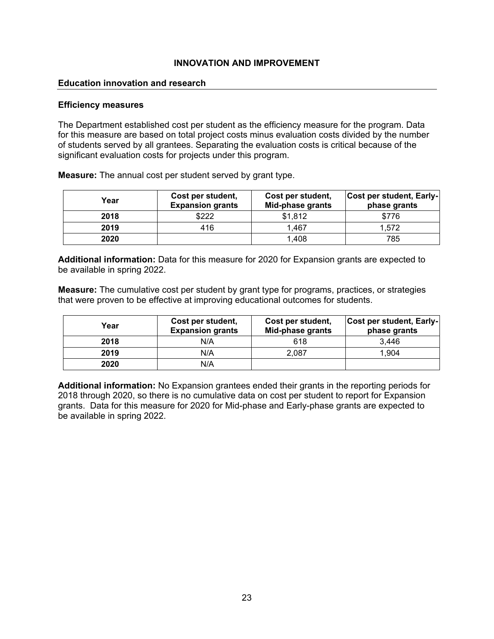### **Education innovation and research**

#### **Efficiency measures**

The Department established cost per student as the efficiency measure for the program. Data for this measure are based on total project costs minus evaluation costs divided by the number of students served by all grantees. Separating the evaluation costs is critical because of the significant evaluation costs for projects under this program.

**Measure:** The annual cost per student served by grant type.

| Year | Cost per student,<br><b>Expansion grants</b> | Cost per student,<br>Mid-phase grants | Cost per student, Early-<br>phase grants |
|------|----------------------------------------------|---------------------------------------|------------------------------------------|
| 2018 | \$222                                        | \$1,812                               | \$776                                    |
| 2019 | 416                                          | 1,467                                 | 1,572                                    |
| 2020 |                                              | 1,408                                 | 785                                      |

**Additional information:** Data for this measure for 2020 for Expansion grants are expected to be available in spring 2022.

**Measure:** The cumulative cost per student by grant type for programs, practices, or strategies that were proven to be effective at improving educational outcomes for students.

| Year | Cost per student,<br><b>Expansion grants</b> | Cost per student,<br>Mid-phase grants | Cost per student, Early-<br>phase grants |
|------|----------------------------------------------|---------------------------------------|------------------------------------------|
| 2018 | N/A                                          | 618                                   | 3.446                                    |
| 2019 | N/A                                          | 2.087                                 | 1.904                                    |
| 2020 | N/A                                          |                                       |                                          |

**Additional information:** No Expansion grantees ended their grants in the reporting periods for 2018 through 2020, so there is no cumulative data on cost per student to report for Expansion grants. Data for this measure for 2020 for Mid-phase and Early-phase grants are expected to be available in spring 2022.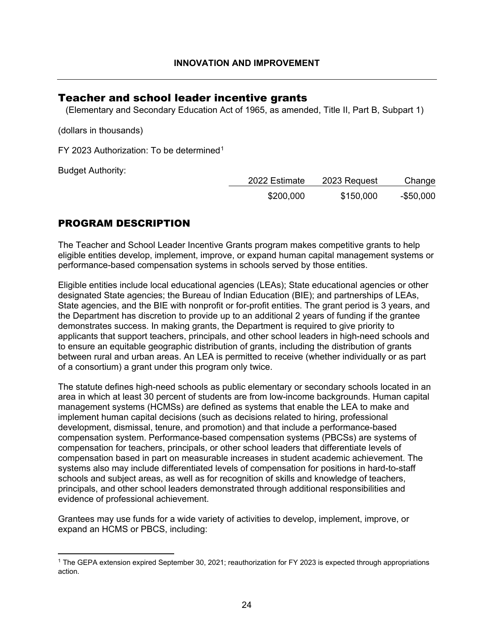## <span id="page-24-0"></span>Teacher and school leader incentive grants

(Elementary and Secondary Education Act of 1965, as amended, Title II, Part B, Subpart 1)

(dollars in thousands)

FY 2023 Authorization: To be determined<sup>[1](#page-24-1)</sup>

Budget Authority:

| 2022 Estimate | 2023 Request | Change     |
|---------------|--------------|------------|
| \$200,000     | \$150,000    | $-$50,000$ |

## PROGRAM DESCRIPTION

The Teacher and School Leader Incentive Grants program makes competitive grants to help eligible entities develop, implement, improve, or expand human capital management systems or performance-based compensation systems in schools served by those entities.

Eligible entities include local educational agencies (LEAs); State educational agencies or other designated State agencies; the Bureau of Indian Education (BIE); and partnerships of LEAs, State agencies, and the BIE with nonprofit or for-profit entities. The grant period is 3 years, and the Department has discretion to provide up to an additional 2 years of funding if the grantee demonstrates success. In making grants, the Department is required to give priority to applicants that support teachers, principals, and other school leaders in high-need schools and to ensure an equitable geographic distribution of grants, including the distribution of grants between rural and urban areas. An LEA is permitted to receive (whether individually or as part of a consortium) a grant under this program only twice.

The statute defines high-need schools as public elementary or secondary schools located in an area in which at least 30 percent of students are from low-income backgrounds. Human capital management systems (HCMSs) are defined as systems that enable the LEA to make and implement human capital decisions (such as decisions related to hiring, professional development, dismissal, tenure, and promotion) and that include a performance-based compensation system. Performance-based compensation systems (PBCSs) are systems of compensation for teachers, principals, or other school leaders that differentiate levels of compensation based in part on measurable increases in student academic achievement. The systems also may include differentiated levels of compensation for positions in hard-to-staff schools and subject areas, as well as for recognition of skills and knowledge of teachers, principals, and other school leaders demonstrated through additional responsibilities and evidence of professional achievement.

Grantees may use funds for a wide variety of activities to develop, implement, improve, or expand an HCMS or PBCS, including:

<span id="page-24-1"></span><sup>1</sup> The GEPA extension expired September 30, 2021; reauthorization for FY 2023 is expected through appropriations action.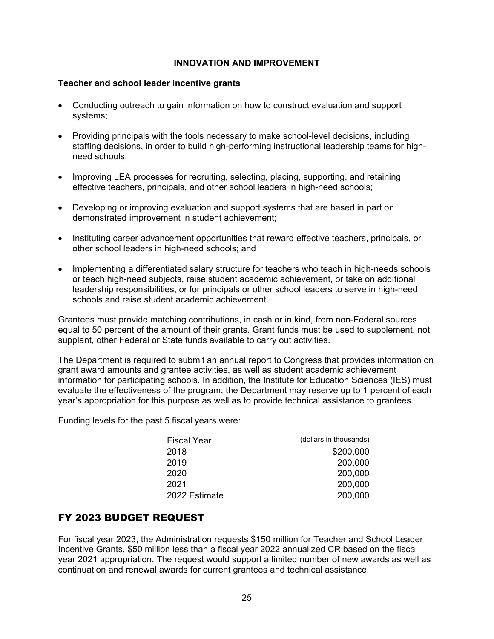### **Teacher and school leader incentive grants**

- Conducting outreach to gain information on how to construct evaluation and support systems;
- Providing principals with the tools necessary to make school-level decisions, including staffing decisions, in order to build high-performing instructional leadership teams for highneed schools;
- Improving LEA processes for recruiting, selecting, placing, supporting, and retaining effective teachers, principals, and other school leaders in high-need schools;
- Developing or improving evaluation and support systems that are based in part on demonstrated improvement in student achievement;
- Instituting career advancement opportunities that reward effective teachers, principals, or other school leaders in high-need schools; and
- Implementing a differentiated salary structure for teachers who teach in high-needs schools or teach high-need subjects, raise student academic achievement, or take on additional leadership responsibilities, or for principals or other school leaders to serve in high-need schools and raise student academic achievement.

Grantees must provide matching contributions, in cash or in kind, from non-Federal sources equal to 50 percent of the amount of their grants. Grant funds must be used to supplement, not supplant, other Federal or State funds available to carry out activities.

The Department is required to submit an annual report to Congress that provides information on grant award amounts and grantee activities, as well as student academic achievement information for participating schools. In addition, the Institute for Education Sciences (IES) must evaluate the effectiveness of the program; the Department may reserve up to 1 percent of each year's appropriation for this purpose as well as to provide technical assistance to grantees.

Funding levels for the past 5 fiscal years were:

| (dollars in thousands) |
|------------------------|
| \$200,000              |
| 200,000                |
| 200,000                |
| 200,000                |
| 200,000                |
|                        |

## FY 2023 BUDGET REQUEST

For fiscal year 2023, the Administration requests \$150 million for Teacher and School Leader Incentive Grants, \$50 million less than a fiscal year 2022 annualized CR based on the fiscal year 2021 appropriation. The request would support a limited number of new awards as well as continuation and renewal awards for current grantees and technical assistance.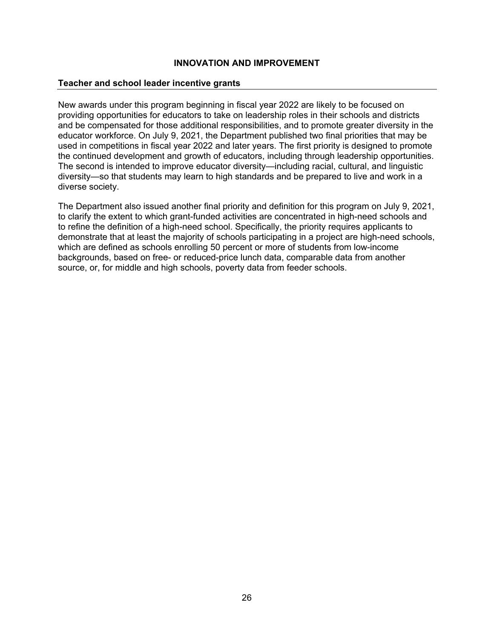#### **Teacher and school leader incentive grants**

New awards under this program beginning in fiscal year 2022 are likely to be focused on providing opportunities for educators to take on leadership roles in their schools and districts and be compensated for those additional responsibilities, and to promote greater diversity in the educator workforce. On July 9, 2021, the Department published two final priorities that may be used in competitions in fiscal year 2022 and later years. The first priority is designed to promote the continued development and growth of educators, including through leadership opportunities. The second is intended to improve educator diversity—including racial, cultural, and linguistic diversity—so that students may learn to high standards and be prepared to live and work in a diverse society.

The Department also issued another final priority and definition for this program on July 9, 2021, to clarify the extent to which grant-funded activities are concentrated in high-need schools and to refine the definition of a high-need school. Specifically, the priority requires applicants to demonstrate that at least the majority of schools participating in a project are high-need schools, which are defined as schools enrolling 50 percent or more of students from low-income backgrounds, based on free- or reduced-price lunch data, comparable data from another source, or, for middle and high schools, poverty data from feeder schools.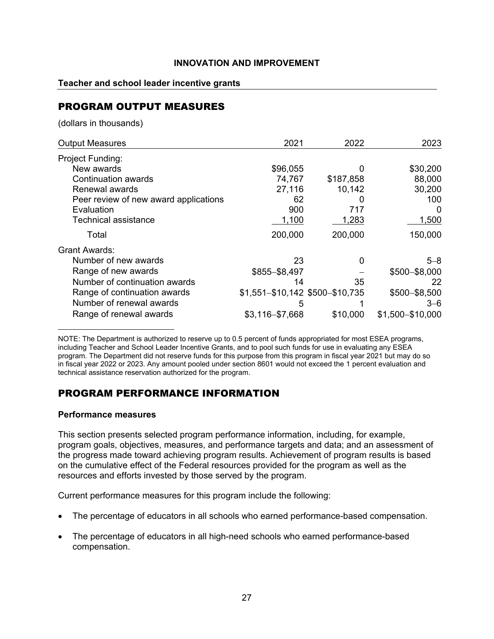#### **Teacher and school leader incentive grants**

## PROGRAM OUTPUT MEASURES

(dollars in thousands)

| <b>Output Measures</b>                | 2021                            | 2022      | 2023             |
|---------------------------------------|---------------------------------|-----------|------------------|
| Project Funding:                      |                                 |           |                  |
| New awards                            | \$96,055                        |           | \$30,200         |
| Continuation awards                   | 74,767                          | \$187,858 | 88,000           |
| Renewal awards                        | 27,116                          | 10,142    | 30,200           |
| Peer review of new award applications | 62                              |           | 100              |
| Evaluation                            | 900                             | 717       | 0                |
| <b>Technical assistance</b>           | 1,100                           | 1,283     | 1,500            |
| Total                                 | 200,000                         | 200,000   | 150,000          |
| <b>Grant Awards:</b>                  |                                 |           |                  |
| Number of new awards                  | 23                              | 0         | $5 - 8$          |
| Range of new awards                   | $$855 - $8,497$                 |           | \$500-\$8,000    |
| Number of continuation awards         | 14                              | 35        | 22               |
| Range of continuation awards          | \$1,551-\$10,142 \$500-\$10,735 |           | \$500-\$8,500    |
| Number of renewal awards              | 5                               |           | $3 - 6$          |
| Range of renewal awards               | $$3,116 - $7,668$               | \$10,000  | \$1,500-\$10,000 |

NOTE: The Department is authorized to reserve up to 0.5 percent of funds appropriated for most ESEA programs, including Teacher and School Leader Incentive Grants, and to pool such funds for use in evaluating any ESEA program. The Department did not reserve funds for this purpose from this program in fiscal year 2021 but may do so in fiscal year 2022 or 2023. Any amount pooled under section 8601 would not exceed the 1 percent evaluation and technical assistance reservation authorized for the program.

## PROGRAM PERFORMANCE INFORMATION

#### **Performance measures**

This section presents selected program performance information, including, for example, program goals, objectives, measures, and performance targets and data; and an assessment of the progress made toward achieving program results. Achievement of program results is based on the cumulative effect of the Federal resources provided for the program as well as the resources and efforts invested by those served by the program.

Current performance measures for this program include the following:

- The percentage of educators in all schools who earned performance-based compensation.
- The percentage of educators in all high-need schools who earned performance-based compensation.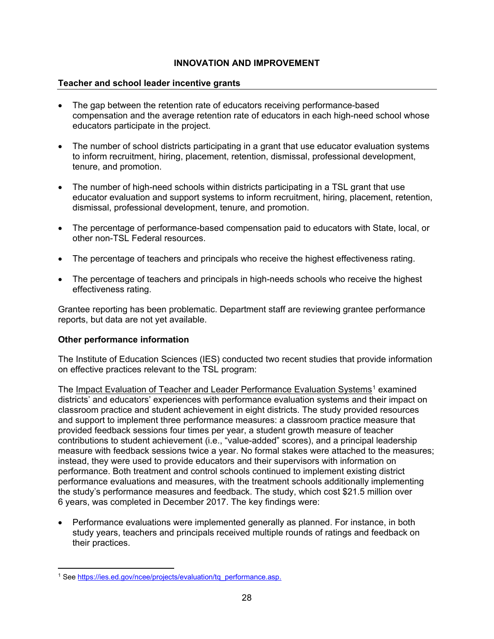### **Teacher and school leader incentive grants**

- The gap between the retention rate of educators receiving performance-based compensation and the average retention rate of educators in each high-need school whose educators participate in the project.
- The number of school districts participating in a grant that use educator evaluation systems to inform recruitment, hiring, placement, retention, dismissal, professional development, tenure, and promotion.
- The number of high-need schools within districts participating in a TSL grant that use educator evaluation and support systems to inform recruitment, hiring, placement, retention, dismissal, professional development, tenure, and promotion.
- The percentage of performance-based compensation paid to educators with State, local, or other non-TSL Federal resources.
- The percentage of teachers and principals who receive the highest effectiveness rating.
- The percentage of teachers and principals in high-needs schools who receive the highest effectiveness rating.

Grantee reporting has been problematic. Department staff are reviewing grantee performance reports, but data are not yet available.

#### **Other performance information**

The Institute of Education Sciences (IES) conducted two recent studies that provide information on effective practices relevant to the TSL program:

The Impact Evaluation of Teacher and Leader Performance Evaluation Systems<sup>[1](#page-28-0)</sup> examined districts' and educators' experiences with performance evaluation systems and their impact on classroom practice and student achievement in eight districts. The study provided resources and support to implement three performance measures: a classroom practice measure that provided feedback sessions four times per year, a student growth measure of teacher contributions to student achievement (i.e., "value-added" scores), and a principal leadership measure with feedback sessions twice a year. No formal stakes were attached to the measures; instead, they were used to provide educators and their supervisors with information on performance. Both treatment and control schools continued to implement existing district performance evaluations and measures, with the treatment schools additionally implementing the study's performance measures and feedback. The study, which cost \$21.5 million over 6 years, was completed in December 2017. The key findings were:

• Performance evaluations were implemented generally as planned. For instance, in both study years, teachers and principals received multiple rounds of ratings and feedback on their practices.

<span id="page-28-0"></span><sup>&</sup>lt;sup>1</sup> See https://ies.ed.gov/ncee/projects/evaluation/tg\_performance.asp.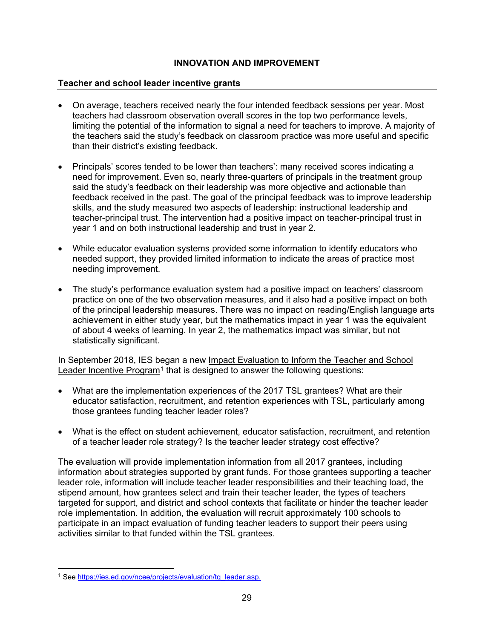### **Teacher and school leader incentive grants**

- On average, teachers received nearly the four intended feedback sessions per year. Most teachers had classroom observation overall scores in the top two performance levels, limiting the potential of the information to signal a need for teachers to improve. A majority of the teachers said the study's feedback on classroom practice was more useful and specific than their district's existing feedback.
- Principals' scores tended to be lower than teachers': many received scores indicating a need for improvement. Even so, nearly three-quarters of principals in the treatment group said the study's feedback on their leadership was more objective and actionable than feedback received in the past. The goal of the principal feedback was to improve leadership skills, and the study measured two aspects of leadership: instructional leadership and teacher-principal trust. The intervention had a positive impact on teacher-principal trust in year 1 and on both instructional leadership and trust in year 2.
- While educator evaluation systems provided some information to identify educators who needed support, they provided limited information to indicate the areas of practice most needing improvement.
- The study's performance evaluation system had a positive impact on teachers' classroom practice on one of the two observation measures, and it also had a positive impact on both of the principal leadership measures. There was no impact on reading/English language arts achievement in either study year, but the mathematics impact in year 1 was the equivalent of about 4 weeks of learning. In year 2, the mathematics impact was similar, but not statistically significant.

In September 2018, IES began a new Impact Evaluation to Inform the Teacher and School Leader Incentive Program<sup>[1](#page-29-0)</sup> that is designed to answer the following questions:

- What are the implementation experiences of the 2017 TSL grantees? What are their educator satisfaction, recruitment, and retention experiences with TSL, particularly among those grantees funding teacher leader roles?
- What is the effect on student achievement, educator satisfaction, recruitment, and retention of a teacher leader role strategy? Is the teacher leader strategy cost effective?

The evaluation will provide implementation information from all 2017 grantees, including information about strategies supported by grant funds. For those grantees supporting a teacher leader role, information will include teacher leader responsibilities and their teaching load, the stipend amount, how grantees select and train their teacher leader, the types of teachers targeted for support, and district and school contexts that facilitate or hinder the teacher leader role implementation. In addition, the evaluation will recruit approximately 100 schools to participate in an impact evaluation of funding teacher leaders to support their peers using activities similar to that funded within the TSL grantees.

<span id="page-29-0"></span><sup>1</sup> See [https://ies.ed.gov/ncee/projects/evaluation/tq\\_leader.asp.](https://ies.ed.gov/ncee/projects/evaluation/tq_leader.asp)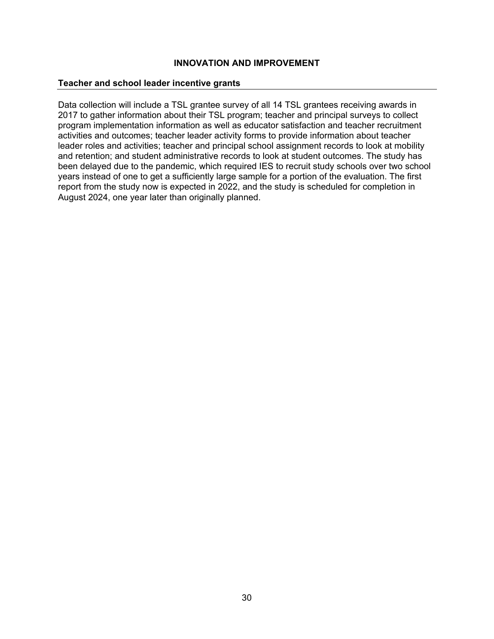#### **Teacher and school leader incentive grants**

Data collection will include a TSL grantee survey of all 14 TSL grantees receiving awards in 2017 to gather information about their TSL program; teacher and principal surveys to collect program implementation information as well as educator satisfaction and teacher recruitment activities and outcomes; teacher leader activity forms to provide information about teacher leader roles and activities; teacher and principal school assignment records to look at mobility and retention; and student administrative records to look at student outcomes. The study has been delayed due to the pandemic, which required IES to recruit study schools over two school years instead of one to get a sufficiently large sample for a portion of the evaluation. The first report from the study now is expected in 2022, and the study is scheduled for completion in August 2024, one year later than originally planned.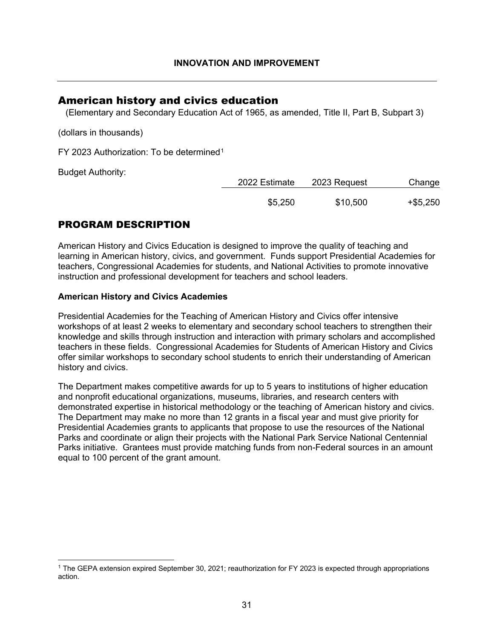## <span id="page-31-0"></span>American history and civics education

(Elementary and Secondary Education Act of 1965, as amended, Title II, Part B, Subpart 3)

(dollars in thousands)

FY 2023 Authorization: To be determined<sup>[1](#page-31-1)</sup>

Budget Authority:

| 2022 Estimate | 2023 Request | Change   |
|---------------|--------------|----------|
| \$5,250       | \$10,500     | +\$5,250 |

## PROGRAM DESCRIPTION

American History and Civics Education is designed to improve the quality of teaching and learning in American history, civics, and government. Funds support Presidential Academies for teachers, Congressional Academies for students, and National Activities to promote innovative instruction and professional development for teachers and school leaders.

### **American History and Civics Academies**

Presidential Academies for the Teaching of American History and Civics offer intensive workshops of at least 2 weeks to elementary and secondary school teachers to strengthen their knowledge and skills through instruction and interaction with primary scholars and accomplished teachers in these fields. Congressional Academies for Students of American History and Civics offer similar workshops to secondary school students to enrich their understanding of American history and civics.

The Department makes competitive awards for up to 5 years to institutions of higher education and nonprofit educational organizations, museums, libraries, and research centers with demonstrated expertise in historical methodology or the teaching of American history and civics. The Department may make no more than 12 grants in a fiscal year and must give priority for Presidential Academies grants to applicants that propose to use the resources of the National Parks and coordinate or align their projects with the National Park Service National Centennial Parks initiative. Grantees must provide matching funds from non-Federal sources in an amount equal to 100 percent of the grant amount.

<span id="page-31-1"></span><sup>1</sup> The GEPA extension expired September 30, 2021; reauthorization for FY 2023 is expected through appropriations action.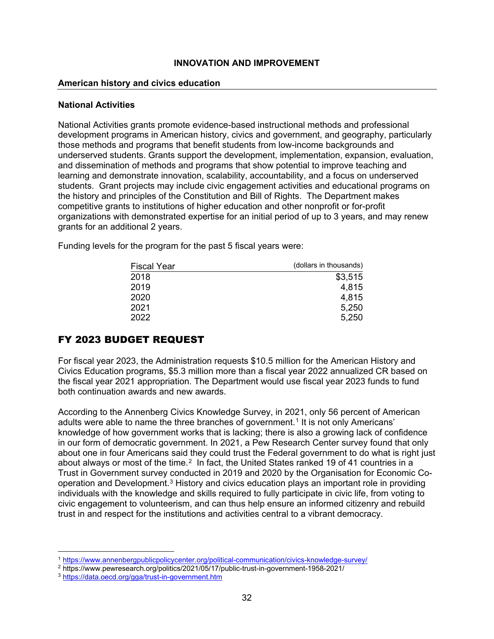#### **American history and civics education**

#### **National Activities**

National Activities grants promote evidence-based instructional methods and professional development programs in American history, civics and government, and geography, particularly those methods and programs that benefit students from low-income backgrounds and underserved students. Grants support the development, implementation, expansion, evaluation, and dissemination of methods and programs that show potential to improve teaching and learning and demonstrate innovation, scalability, accountability, and a focus on underserved students. Grant projects may include civic engagement activities and educational programs on the history and principles of the Constitution and Bill of Rights. The Department makes competitive grants to institutions of higher education and other nonprofit or for-profit organizations with demonstrated expertise for an initial period of up to 3 years, and may renew grants for an additional 2 years.

Funding levels for the program for the past 5 fiscal years were:

| Fiscal Year | (dollars in thousands) |  |
|-------------|------------------------|--|
| 2018        | \$3,515                |  |
| 2019        | 4,815                  |  |
| 2020        | 4,815                  |  |
| 2021        | 5,250                  |  |
| 2022        | 5,250                  |  |
|             |                        |  |

## FY 2023 BUDGET REQUEST

For fiscal year 2023, the Administration requests \$10.5 million for the American History and Civics Education programs, \$5.3 million more than a fiscal year 2022 annualized CR based on the fiscal year 2021 appropriation. The Department would use fiscal year 2023 funds to fund both continuation awards and new awards.

According to the Annenberg Civics Knowledge Survey, in 2021, only 56 percent of American adults were able to name the three branches of government.<sup>[1](#page-32-0)</sup> It is not only Americans' knowledge of how government works that is lacking; there is also a growing lack of confidence in our form of democratic government. In 2021, a Pew Research Center survey found that only about one in four Americans said they could trust the Federal government to do what is right just about always or most of the time.<sup>2</sup> In fact, the United States ranked 19 of 41 countries in a Trust in Government survey conducted in 2019 and 2020 by the Organisation for Economic Cooperation and Development.[3](#page-32-2) History and civics education plays an important role in providing individuals with the knowledge and skills required to fully participate in civic life, from voting to civic engagement to volunteerism, and can thus help ensure an informed citizenry and rebuild trust in and respect for the institutions and activities central to a vibrant democracy.

<sup>1</sup> <https://www.annenbergpublicpolicycenter.org/political-communication/civics-knowledge-survey/>

<span id="page-32-1"></span><span id="page-32-0"></span><sup>2</sup> https://www.pewresearch.org/politics/2021/05/17/public-trust-in-government-1958-2021/

<span id="page-32-2"></span><sup>3</sup> <https://data.oecd.org/gga/trust-in-government.htm>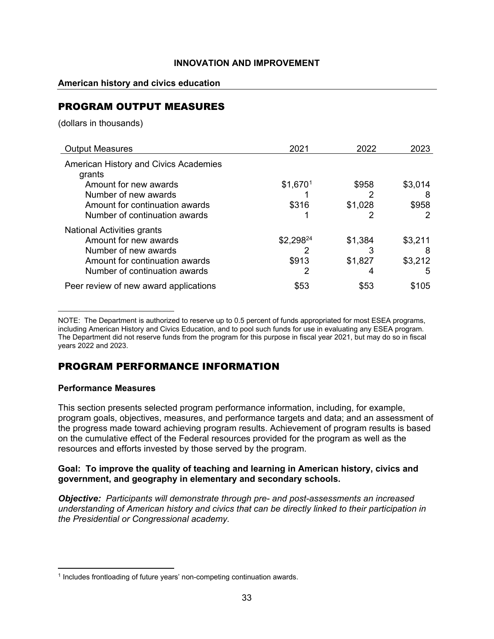### **American history and civics education**

## PROGRAM OUTPUT MEASURES

(dollars in thousands)

<span id="page-33-0"></span>

| <b>Output Measures</b>                | 2021      | 2022    | 2023    |
|---------------------------------------|-----------|---------|---------|
| American History and Civics Academies |           |         |         |
| grants                                |           |         |         |
| Amount for new awards                 | \$1,6701  | \$958   | \$3,014 |
| Number of new awards                  |           |         | 8       |
| Amount for continuation awards        | \$316     | \$1,028 | \$958   |
| Number of continuation awards         |           |         |         |
| National Activities grants            |           |         |         |
| Amount for new awards                 | \$2,29824 | \$1,384 | \$3,211 |
| Number of new awards                  |           |         | 8       |
| Amount for continuation awards        | \$913     | \$1,827 | \$3,212 |
| Number of continuation awards         |           | 4       | 5       |
| Peer review of new award applications | \$53      | \$53    | \$105   |

NOTE: The Department is authorized to reserve up to 0.5 percent of funds appropriated for most ESEA programs, including American History and Civics Education, and to pool such funds for use in evaluating any ESEA program. The Department did not reserve funds from the program for this purpose in fiscal year 2021, but may do so in fiscal years 2022 and 2023.

## PROGRAM PERFORMANCE INFORMATION

#### **Performance Measures**

This section presents selected program performance information, including, for example, program goals, objectives, measures, and performance targets and data; and an assessment of the progress made toward achieving program results. Achievement of program results is based on the cumulative effect of the Federal resources provided for the program as well as the resources and efforts invested by those served by the program.

### **Goal: To improve the quality of teaching and learning in American history, civics and government, and geography in elementary and secondary schools.**

*Objective: Participants will demonstrate through pre- and post-assessments an increased understanding of American history and civics that can be directly linked to their participation in the Presidential or Congressional academy.*

<span id="page-33-1"></span><sup>&</sup>lt;sup>1</sup> Includes frontloading of future years' non-competing continuation awards.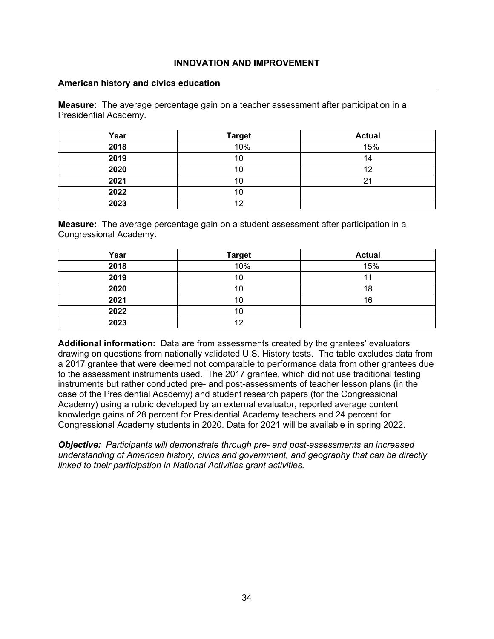#### **American history and civics education**

**Measure:** The average percentage gain on a teacher assessment after participation in a Presidential Academy.

| Year | <b>Target</b> | <b>Actual</b> |
|------|---------------|---------------|
| 2018 | 10%           | 15%           |
| 2019 | 10            | 14            |
| 2020 | 10            | 12            |
| 2021 | 10            | ◠             |
| 2022 | 10            |               |
| 2023 | 12            |               |

**Measure:** The average percentage gain on a student assessment after participation in a Congressional Academy.

| Year | <b>Target</b> | <b>Actual</b> |
|------|---------------|---------------|
| 2018 | 10%           | 15%           |
| 2019 | 10            |               |
| 2020 | 10            | 18            |
| 2021 | 10            | 16            |
| 2022 | 10            |               |
| 2023 | 12            |               |

**Additional information:** Data are from assessments created by the grantees' evaluators drawing on questions from nationally validated U.S. History tests. The table excludes data from a 2017 grantee that were deemed not comparable to performance data from other grantees due to the assessment instruments used. The 2017 grantee, which did not use traditional testing instruments but rather conducted pre- and post-assessments of teacher lesson plans (in the case of the Presidential Academy) and student research papers (for the Congressional Academy) using a rubric developed by an external evaluator, reported average content knowledge gains of 28 percent for Presidential Academy teachers and 24 percent for Congressional Academy students in 2020. Data for 2021 will be available in spring 2022.

*Objective: Participants will demonstrate through pre- and post-assessments an increased understanding of American history, civics and government, and geography that can be directly linked to their participation in National Activities grant activities.*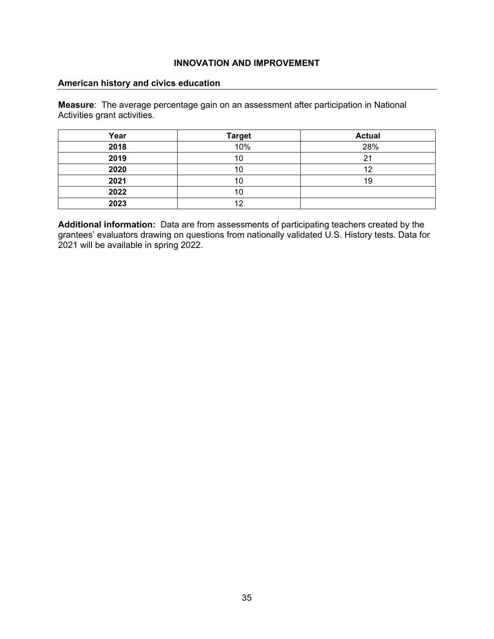### **American history and civics education**

**Measure**: The average percentage gain on an assessment after participation in National Activities grant activities.

| Year | <b>Target</b> | <b>Actual</b> |
|------|---------------|---------------|
| 2018 | 10%           | 28%           |
| 2019 | 10            | n,            |
| 2020 | 10            | 12            |
| 2021 | 10            | 19            |
| 2022 | 10            |               |
| 2023 | 12            |               |

**Additional information:** Data are from assessments of participating teachers created by the grantees' evaluators drawing on questions from nationally validated U.S. History tests. Data for 2021 will be available in spring 2022.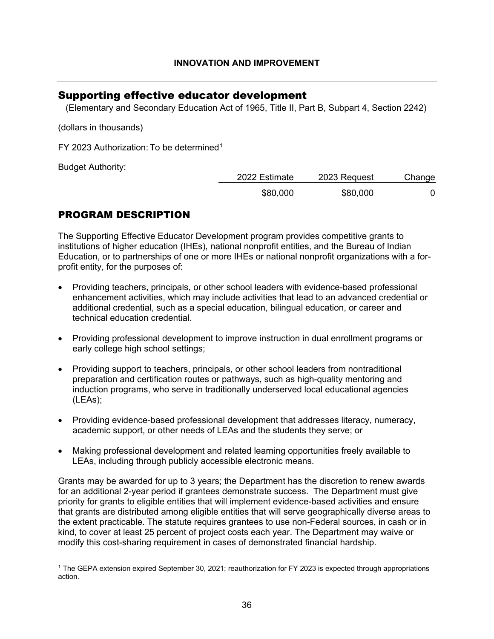## Supporting effective educator development

(Elementary and Secondary Education Act of 1965, Title II, Part B, Subpart 4, Section 2242)

(dollars in thousands)

FY 2023 Authorization: To be determined<sup>[1](#page-36-0)</sup>

Budget Authority:

| 2022 Estimate | 2023 Request | Change |
|---------------|--------------|--------|
| \$80,000      | \$80,000     |        |

# PROGRAM DESCRIPTION

The Supporting Effective Educator Development program provides competitive grants to institutions of higher education (IHEs), national nonprofit entities, and the Bureau of Indian Education, or to partnerships of one or more IHEs or national nonprofit organizations with a forprofit entity, for the purposes of:

- Providing teachers, principals, or other school leaders with evidence-based professional enhancement activities, which may include activities that lead to an advanced credential or additional credential, such as a special education, bilingual education, or career and technical education credential.
- Providing professional development to improve instruction in dual enrollment programs or early college high school settings;
- Providing support to teachers, principals, or other school leaders from nontraditional preparation and certification routes or pathways, such as high-quality mentoring and induction programs, who serve in traditionally underserved local educational agencies (LEAs);
- Providing evidence-based professional development that addresses literacy, numeracy, academic support, or other needs of LEAs and the students they serve; or
- Making professional development and related learning opportunities freely available to LEAs, including through publicly accessible electronic means.

Grants may be awarded for up to 3 years; the Department has the discretion to renew awards for an additional 2-year period if grantees demonstrate success. The Department must give priority for grants to eligible entities that will implement evidence-based activities and ensure that grants are distributed among eligible entities that will serve geographically diverse areas to the extent practicable. The statute requires grantees to use non-Federal sources, in cash or in kind, to cover at least 25 percent of project costs each year. The Department may waive or modify this cost-sharing requirement in cases of demonstrated financial hardship.

<span id="page-36-0"></span><sup>1</sup> The GEPA extension expired September 30, 2021; reauthorization for FY 2023 is expected through appropriations action.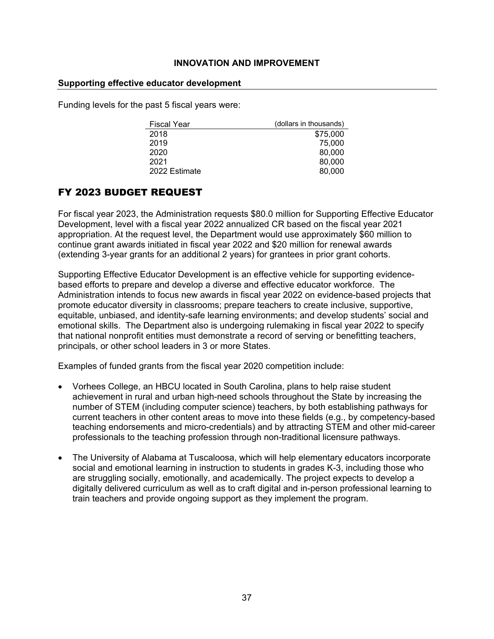### **Supporting effective educator development**

Funding levels for the past 5 fiscal years were:

| <b>Fiscal Year</b> | (dollars in thousands) |
|--------------------|------------------------|
| 2018               | \$75,000               |
| 2019               | 75,000                 |
| 2020               | 80,000                 |
| 2021               | 80,000                 |
| 2022 Estimate      | 80,000                 |

# FY 2023 BUDGET REQUEST

For fiscal year 2023, the Administration requests \$80.0 million for Supporting Effective Educator Development, level with a fiscal year 2022 annualized CR based on the fiscal year 2021 appropriation. At the request level, the Department would use approximately \$60 million to continue grant awards initiated in fiscal year 2022 and \$20 million for renewal awards (extending 3-year grants for an additional 2 years) for grantees in prior grant cohorts.

Supporting Effective Educator Development is an effective vehicle for supporting evidencebased efforts to prepare and develop a diverse and effective educator workforce. The Administration intends to focus new awards in fiscal year 2022 on evidence-based projects that promote educator diversity in classrooms; prepare teachers to create inclusive, supportive, equitable, unbiased, and identity-safe learning environments; and develop students' social and emotional skills. The Department also is undergoing rulemaking in fiscal year 2022 to specify that national nonprofit entities must demonstrate a record of serving or benefitting teachers, principals, or other school leaders in 3 or more States.

Examples of funded grants from the fiscal year 2020 competition include:

- Vorhees College, an HBCU located in South Carolina, plans to help raise student achievement in rural and urban high-need schools throughout the State by increasing the number of STEM (including computer science) teachers, by both establishing pathways for current teachers in other content areas to move into these fields (e.g., by competency-based teaching endorsements and micro-credentials) and by attracting STEM and other mid-career professionals to the teaching profession through non-traditional licensure pathways.
- The University of Alabama at Tuscaloosa, which will help elementary educators incorporate social and emotional learning in instruction to students in grades K-3, including those who are struggling socially, emotionally, and academically. The project expects to develop a digitally delivered curriculum as well as to craft digital and in-person professional learning to train teachers and provide ongoing support as they implement the program.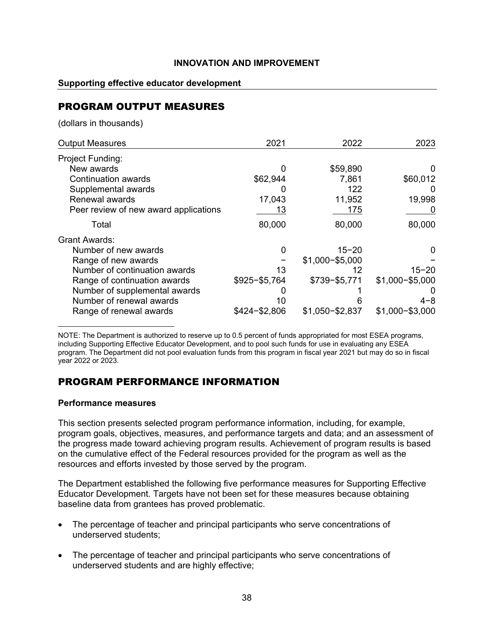### **Supporting effective educator development**

# PROGRAM OUTPUT MEASURES

(dollars in thousands)

| <b>Output Measures</b>                | 2021            | 2022              | 2023              |
|---------------------------------------|-----------------|-------------------|-------------------|
| Project Funding:                      |                 |                   |                   |
| New awards                            | 0               | \$59,890          |                   |
| Continuation awards                   | \$62,944        | 7,861             | \$60,012          |
| Supplemental awards                   | O               | 122               |                   |
| Renewal awards                        | 17,043          | 11,952            | 19,998            |
| Peer review of new award applications | 13              | 175               |                   |
| Total                                 | 80,000          | 80,000            | 80,000            |
| Grant Awards:                         |                 |                   |                   |
| Number of new awards                  | 0               | $15 - 20$         |                   |
| Range of new awards                   |                 | $$1,000 - $5,000$ |                   |
| Number of continuation awards         | 13              | 12                | $15 - 20$         |
| Range of continuation awards          | $$925 - $5,764$ | \$739-\$5,771     | $$1,000 - $5,000$ |
| Number of supplemental awards         | O               |                   |                   |
| Number of renewal awards              | 10              |                   | $4 - 8$           |
| Range of renewal awards               | $$424 - $2,806$ | $$1,050 - $2,837$ | $$1,000 - $3,000$ |

NOTE: The Department is authorized to reserve up to 0.5 percent of funds appropriated for most ESEA programs, including Supporting Effective Educator Development, and to pool such funds for use in evaluating any ESEA program. The Department did not pool evaluation funds from this program in fiscal year 2021 but may do so in fiscal year 2022 or 2023.

# PROGRAM PERFORMANCE INFORMATION

### **Performance measures**

This section presents selected program performance information, including, for example, program goals, objectives, measures, and performance targets and data; and an assessment of the progress made toward achieving program results. Achievement of program results is based on the cumulative effect of the Federal resources provided for the program as well as the resources and efforts invested by those served by the program.

The Department established the following five performance measures for Supporting Effective Educator Development. Targets have not been set for these measures because obtaining baseline data from grantees has proved problematic.

- The percentage of teacher and principal participants who serve concentrations of underserved students;
- The percentage of teacher and principal participants who serve concentrations of underserved students and are highly effective;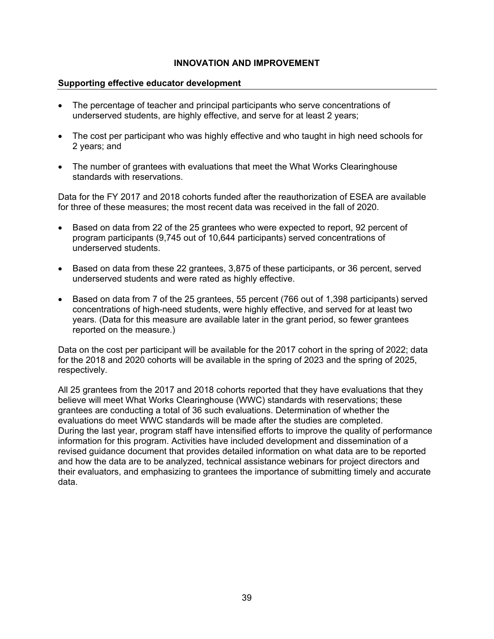### **Supporting effective educator development**

- The percentage of teacher and principal participants who serve concentrations of underserved students, are highly effective, and serve for at least 2 years;
- The cost per participant who was highly effective and who taught in high need schools for 2 years; and
- The number of grantees with evaluations that meet the What Works Clearinghouse standards with reservations.

Data for the FY 2017 and 2018 cohorts funded after the reauthorization of ESEA are available for three of these measures; the most recent data was received in the fall of 2020.

- Based on data from 22 of the 25 grantees who were expected to report, 92 percent of program participants (9,745 out of 10,644 participants) served concentrations of underserved students.
- Based on data from these 22 grantees, 3,875 of these participants, or 36 percent, served underserved students and were rated as highly effective.
- Based on data from 7 of the 25 grantees, 55 percent (766 out of 1,398 participants) served concentrations of high-need students, were highly effective, and served for at least two years. (Data for this measure are available later in the grant period, so fewer grantees reported on the measure.)

Data on the cost per participant will be available for the 2017 cohort in the spring of 2022; data for the 2018 and 2020 cohorts will be available in the spring of 2023 and the spring of 2025, respectively.

All 25 grantees from the 2017 and 2018 cohorts reported that they have evaluations that they believe will meet What Works Clearinghouse (WWC) standards with reservations; these grantees are conducting a total of 36 such evaluations. Determination of whether the evaluations do meet WWC standards will be made after the studies are completed. During the last year, program staff have intensified efforts to improve the quality of performance information for this program. Activities have included development and dissemination of a revised guidance document that provides detailed information on what data are to be reported and how the data are to be analyzed, technical assistance webinars for project directors and their evaluators, and emphasizing to grantees the importance of submitting timely and accurate data.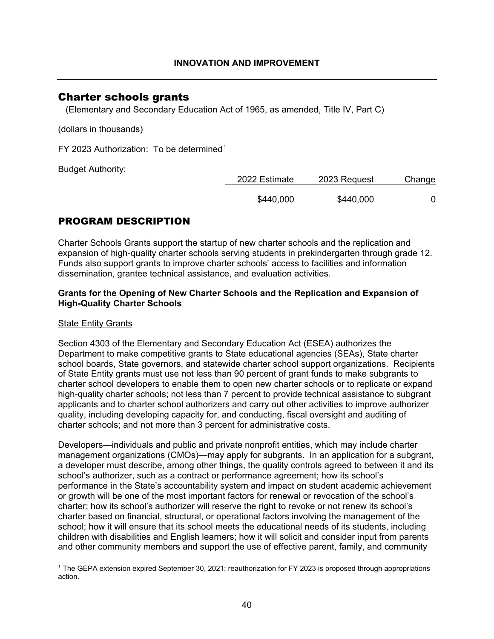## Charter schools grants

(Elementary and Secondary Education Act of 1965, as amended, Title IV, Part C)

(dollars in thousands)

FY 2023 Authorization: To be determined<sup>[1](#page-40-0)</sup>

Budget Authority:

| 2022 Estimate | 2023 Request | Change |
|---------------|--------------|--------|
| \$440,000     | \$440,000    |        |

# PROGRAM DESCRIPTION

Charter Schools Grants support the startup of new charter schools and the replication and expansion of high-quality charter schools serving students in prekindergarten through grade 12. Funds also support grants to improve charter schools' access to facilities and information dissemination, grantee technical assistance, and evaluation activities.

## **Grants for the Opening of New Charter Schools and the Replication and Expansion of High-Quality Charter Schools**

## State Entity Grants

Section 4303 of the Elementary and Secondary Education Act (ESEA) authorizes the Department to make competitive grants to State educational agencies (SEAs), State charter school boards, State governors, and statewide charter school support organizations. Recipients of State Entity grants must use not less than 90 percent of grant funds to make subgrants to charter school developers to enable them to open new charter schools or to replicate or expand high-quality charter schools; not less than 7 percent to provide technical assistance to subgrant applicants and to charter school authorizers and carry out other activities to improve authorizer quality, including developing capacity for, and conducting, fiscal oversight and auditing of charter schools; and not more than 3 percent for administrative costs.

Developers—individuals and public and private nonprofit entities, which may include charter management organizations (CMOs)—may apply for subgrants. In an application for a subgrant, a developer must describe, among other things, the quality controls agreed to between it and its school's authorizer, such as a contract or performance agreement; how its school's performance in the State's accountability system and impact on student academic achievement or growth will be one of the most important factors for renewal or revocation of the school's charter; how its school's authorizer will reserve the right to revoke or not renew its school's charter based on financial, structural, or operational factors involving the management of the school; how it will ensure that its school meets the educational needs of its students, including children with disabilities and English learners; how it will solicit and consider input from parents and other community members and support the use of effective parent, family, and community

<span id="page-40-0"></span><sup>1</sup> The GEPA extension expired September 30, 2021; reauthorization for FY 2023 is proposed through appropriations action.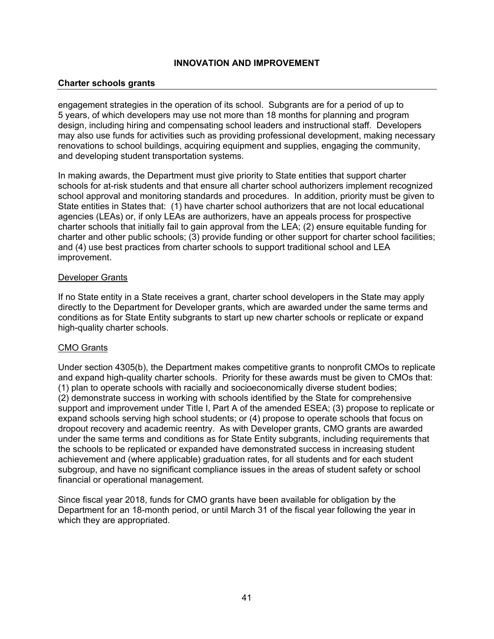### **Charter schools grants**

engagement strategies in the operation of its school. Subgrants are for a period of up to 5 years, of which developers may use not more than 18 months for planning and program design, including hiring and compensating school leaders and instructional staff. Developers may also use funds for activities such as providing professional development, making necessary renovations to school buildings, acquiring equipment and supplies, engaging the community, and developing student transportation systems.

In making awards, the Department must give priority to State entities that support charter schools for at-risk students and that ensure all charter school authorizers implement recognized school approval and monitoring standards and procedures. In addition, priority must be given to State entities in States that: (1) have charter school authorizers that are not local educational agencies (LEAs) or, if only LEAs are authorizers, have an appeals process for prospective charter schools that initially fail to gain approval from the LEA; (2) ensure equitable funding for charter and other public schools; (3) provide funding or other support for charter school facilities; and (4) use best practices from charter schools to support traditional school and LEA improvement.

### Developer Grants

If no State entity in a State receives a grant, charter school developers in the State may apply directly to the Department for Developer grants, which are awarded under the same terms and conditions as for State Entity subgrants to start up new charter schools or replicate or expand high-quality charter schools.

## CMO Grants

Under section 4305(b), the Department makes competitive grants to nonprofit CMOs to replicate and expand high-quality charter schools. Priority for these awards must be given to CMOs that: (1) plan to operate schools with racially and socioeconomically diverse student bodies; (2) demonstrate success in working with schools identified by the State for comprehensive support and improvement under Title I, Part A of the amended ESEA; (3) propose to replicate or expand schools serving high school students; or (4) propose to operate schools that focus on dropout recovery and academic reentry. As with Developer grants, CMO grants are awarded under the same terms and conditions as for State Entity subgrants, including requirements that the schools to be replicated or expanded have demonstrated success in increasing student achievement and (where applicable) graduation rates, for all students and for each student subgroup, and have no significant compliance issues in the areas of student safety or school financial or operational management.

Since fiscal year 2018, funds for CMO grants have been available for obligation by the Department for an 18-month period, or until March 31 of the fiscal year following the year in which they are appropriated.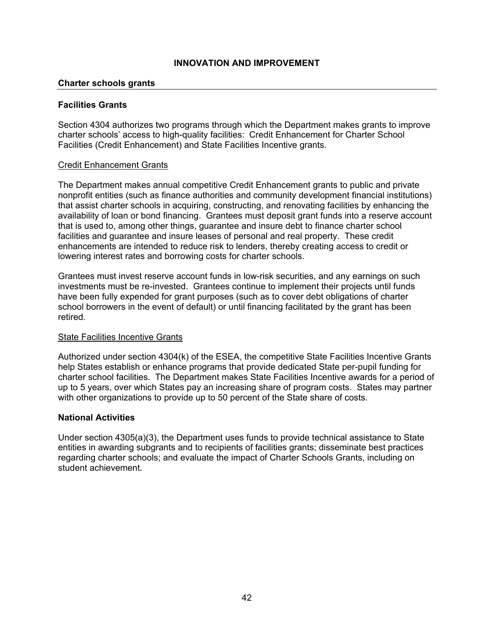### **Charter schools grants**

### **Facilities Grants**

Section 4304 authorizes two programs through which the Department makes grants to improve charter schools' access to high-quality facilities: Credit Enhancement for Charter School Facilities (Credit Enhancement) and State Facilities Incentive grants.

#### Credit Enhancement Grants

The Department makes annual competitive Credit Enhancement grants to public and private nonprofit entities (such as finance authorities and community development financial institutions) that assist charter schools in acquiring, constructing, and renovating facilities by enhancing the availability of loan or bond financing. Grantees must deposit grant funds into a reserve account that is used to, among other things, guarantee and insure debt to finance charter school facilities and guarantee and insure leases of personal and real property. These credit enhancements are intended to reduce risk to lenders, thereby creating access to credit or lowering interest rates and borrowing costs for charter schools.

Grantees must invest reserve account funds in low-risk securities, and any earnings on such investments must be re-invested. Grantees continue to implement their projects until funds have been fully expended for grant purposes (such as to cover debt obligations of charter school borrowers in the event of default) or until financing facilitated by the grant has been retired.

### **State Facilities Incentive Grants**

Authorized under section 4304(k) of the ESEA, the competitive State Facilities Incentive Grants help States establish or enhance programs that provide dedicated State per-pupil funding for charter school facilities. The Department makes State Facilities Incentive awards for a period of up to 5 years, over which States pay an increasing share of program costs. States may partner with other organizations to provide up to 50 percent of the State share of costs.

### **National Activities**

Under section 4305(a)(3), the Department uses funds to provide technical assistance to State entities in awarding subgrants and to recipients of facilities grants; disseminate best practices regarding charter schools; and evaluate the impact of Charter Schools Grants, including on student achievement.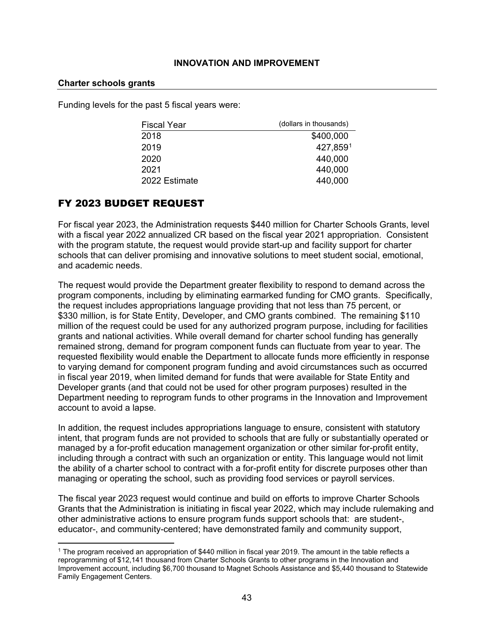#### **Charter schools grants**

Funding levels for the past 5 fiscal years were:

| <b>Fiscal Year</b> | (dollars in thousands) |
|--------------------|------------------------|
| 2018               | \$400,000              |
| 2019               | 427,8591               |
| 2020               | 440,000                |
| 2021               | 440,000                |
| 2022 Estimate      | 440,000                |

## FY 2023 BUDGET REQUEST

For fiscal year 2023, the Administration requests \$440 million for Charter Schools Grants, level with a fiscal year 2022 annualized CR based on the fiscal year 2021 appropriation. Consistent with the program statute, the request would provide start-up and facility support for charter schools that can deliver promising and innovative solutions to meet student social, emotional, and academic needs.

The request would provide the Department greater flexibility to respond to demand across the program components, including by eliminating earmarked funding for CMO grants. Specifically, the request includes appropriations language providing that not less than 75 percent, or \$330 million, is for State Entity, Developer, and CMO grants combined. The remaining \$110 million of the request could be used for any authorized program purpose, including for facilities grants and national activities. While overall demand for charter school funding has generally remained strong, demand for program component funds can fluctuate from year to year. The requested flexibility would enable the Department to allocate funds more efficiently in response to varying demand for component program funding and avoid circumstances such as occurred in fiscal year 2019, when limited demand for funds that were available for State Entity and Developer grants (and that could not be used for other program purposes) resulted in the Department needing to reprogram funds to other programs in the Innovation and Improvement account to avoid a lapse.

In addition, the request includes appropriations language to ensure, consistent with statutory intent, that program funds are not provided to schools that are fully or substantially operated or managed by a for-profit education management organization or other similar for-profit entity, including through a contract with such an organization or entity. This language would not limit the ability of a charter school to contract with a for-profit entity for discrete purposes other than managing or operating the school, such as providing food services or payroll services.

The fiscal year 2023 request would continue and build on efforts to improve Charter Schools Grants that the Administration is initiating in fiscal year 2022, which may include rulemaking and other administrative actions to ensure program funds support schools that: are student-, educator-, and community-centered; have demonstrated family and community support,

<span id="page-43-0"></span><sup>&</sup>lt;sup>1</sup> The program received an appropriation of \$440 million in fiscal year 2019. The amount in the table reflects a reprogramming of \$12,141 thousand from Charter Schools Grants to other programs in the Innovation and Improvement account, including \$6,700 thousand to Magnet Schools Assistance and \$5,440 thousand to Statewide Family Engagement Centers.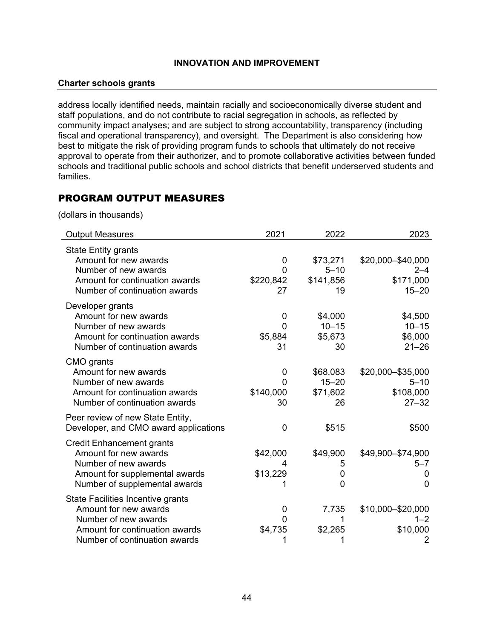#### **Charter schools grants**

address locally identified needs, maintain racially and socioeconomically diverse student and staff populations, and do not contribute to racial segregation in schools, as reflected by community impact analyses; and are subject to strong accountability, transparency (including fiscal and operational transparency), and oversight. The Department is also considering how best to mitigate the risk of providing program funds to schools that ultimately do not receive approval to operate from their authorizer, and to promote collaborative activities between funded schools and traditional public schools and school districts that benefit underserved students and families.

## PROGRAM OUTPUT MEASURES

(dollars in thousands)

| <b>Output Measures</b>                                                                                                                                | 2021                                        | 2022                                    | 2023                                                      |
|-------------------------------------------------------------------------------------------------------------------------------------------------------|---------------------------------------------|-----------------------------------------|-----------------------------------------------------------|
| <b>State Entity grants</b><br>Amount for new awards<br>Number of new awards<br>Amount for continuation awards<br>Number of continuation awards        | 0<br>0<br>\$220,842<br>27                   | \$73,271<br>$5 - 10$<br>\$141,856<br>19 | \$20,000-\$40,000<br>$2 - 4$<br>\$171,000<br>$15 - 20$    |
| Developer grants<br>Amount for new awards<br>Number of new awards<br>Amount for continuation awards<br>Number of continuation awards                  | $\overline{0}$<br>$\Omega$<br>\$5,884<br>31 | \$4,000<br>$10 - 15$<br>\$5,673<br>30   | \$4,500<br>$10 - 15$<br>\$6,000<br>$21 - 26$              |
| CMO grants<br>Amount for new awards<br>Number of new awards<br>Amount for continuation awards<br>Number of continuation awards                        | 0<br>0<br>\$140,000<br>30                   | \$68,083<br>$15 - 20$<br>\$71,602<br>26 | \$20,000 - \$35,000<br>$5 - 10$<br>\$108,000<br>$27 - 32$ |
| Peer review of new State Entity,<br>Developer, and CMO award applications                                                                             | $\overline{0}$                              | \$515                                   | \$500                                                     |
| <b>Credit Enhancement grants</b><br>Amount for new awards<br>Number of new awards<br>Amount for supplemental awards<br>Number of supplemental awards  | \$42,000<br>4<br>\$13,229                   | \$49,900<br>5<br>0<br>0                 | \$49,900-\$74,900<br>$5 - 7$<br>0<br>$\overline{0}$       |
| State Facilities Incentive grants<br>Amount for new awards<br>Number of new awards<br>Amount for continuation awards<br>Number of continuation awards | 0<br>0<br>\$4,735<br>1                      | 7,735<br>\$2,265<br>1                   | \$10,000 - \$20,000<br>$1 - 2$<br>\$10,000<br>2           |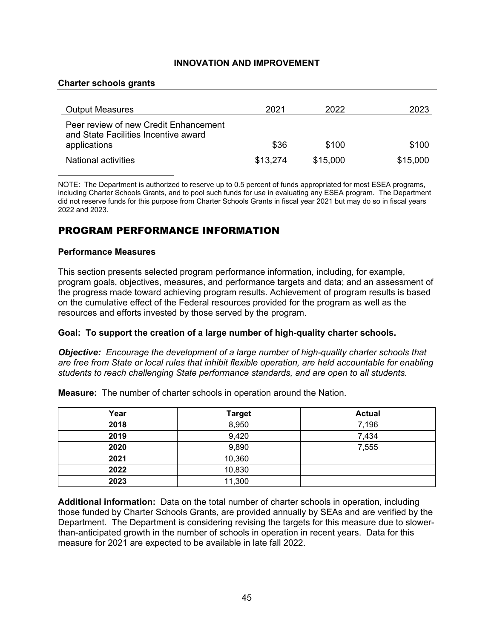#### **Charter schools grants**

| <b>Output Measures</b>                                                                        | 2021     | 2022     | 2023     |
|-----------------------------------------------------------------------------------------------|----------|----------|----------|
| Peer review of new Credit Enhancement<br>and State Facilities Incentive award<br>applications | \$36     | \$100    | \$100    |
| National activities                                                                           | \$13,274 | \$15,000 | \$15,000 |

NOTE: The Department is authorized to reserve up to 0.5 percent of funds appropriated for most ESEA programs, including Charter Schools Grants, and to pool such funds for use in evaluating any ESEA program. The Department did not reserve funds for this purpose from Charter Schools Grants in fiscal year 2021 but may do so in fiscal years 2022 and 2023.

## PROGRAM PERFORMANCE INFORMATION

#### **Performance Measures**

This section presents selected program performance information, including, for example, program goals, objectives, measures, and performance targets and data; and an assessment of the progress made toward achieving program results. Achievement of program results is based on the cumulative effect of the Federal resources provided for the program as well as the resources and efforts invested by those served by the program.

### **Goal: To support the creation of a large number of high-quality charter schools.**

*Objective: Encourage the development of a large number of high-quality charter schools that are free from State or local rules that inhibit flexible operation, are held accountable for enabling students to reach challenging State performance standards, and are open to all students.*

**Measure:** The number of charter schools in operation around the Nation.

| Year | <b>Target</b> | <b>Actual</b> |
|------|---------------|---------------|
| 2018 | 8,950         | 7,196         |
| 2019 | 9,420         | 7,434         |
| 2020 | 9,890         | 7,555         |
| 2021 | 10,360        |               |
| 2022 | 10,830        |               |
| 2023 | 11,300        |               |

**Additional information:** Data on the total number of charter schools in operation, including those funded by Charter Schools Grants, are provided annually by SEAs and are verified by the Department. The Department is considering revising the targets for this measure due to slowerthan-anticipated growth in the number of schools in operation in recent years. Data for this measure for 2021 are expected to be available in late fall 2022.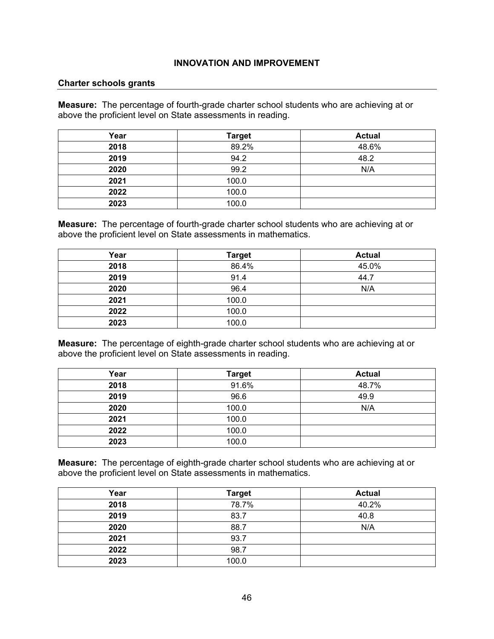#### **Charter schools grants**

**Measure:** The percentage of fourth-grade charter school students who are achieving at or above the proficient level on State assessments in reading.

| Year | <b>Target</b> | <b>Actual</b> |
|------|---------------|---------------|
| 2018 | 89.2%         | 48.6%         |
| 2019 | 94.2          | 48.2          |
| 2020 | 99.2          | N/A           |
| 2021 | 100.0         |               |
| 2022 | 100.0         |               |
| 2023 | 100.0         |               |

**Measure:** The percentage of fourth-grade charter school students who are achieving at or above the proficient level on State assessments in mathematics.

| Year | <b>Target</b> | <b>Actual</b> |
|------|---------------|---------------|
| 2018 | 86.4%         | 45.0%         |
| 2019 | 91.4          | 44.7          |
| 2020 | 96.4          | N/A           |
| 2021 | 100.0         |               |
| 2022 | 100.0         |               |
| 2023 | 100.0         |               |

**Measure:** The percentage of eighth-grade charter school students who are achieving at or above the proficient level on State assessments in reading.

| Year | <b>Target</b> | <b>Actual</b> |
|------|---------------|---------------|
| 2018 | 91.6%         | 48.7%         |
| 2019 | 96.6          | 49.9          |
| 2020 | 100.0         | N/A           |
| 2021 | 100.0         |               |
| 2022 | 100.0         |               |
| 2023 | 100.0         |               |

**Measure:** The percentage of eighth-grade charter school students who are achieving at or above the proficient level on State assessments in mathematics.

| Year | <b>Target</b> | <b>Actual</b> |
|------|---------------|---------------|
| 2018 | 78.7%         | 40.2%         |
| 2019 | 83.7          | 40.8          |
| 2020 | 88.7          | N/A           |
| 2021 | 93.7          |               |
| 2022 | 98.7          |               |
| 2023 | 100.0         |               |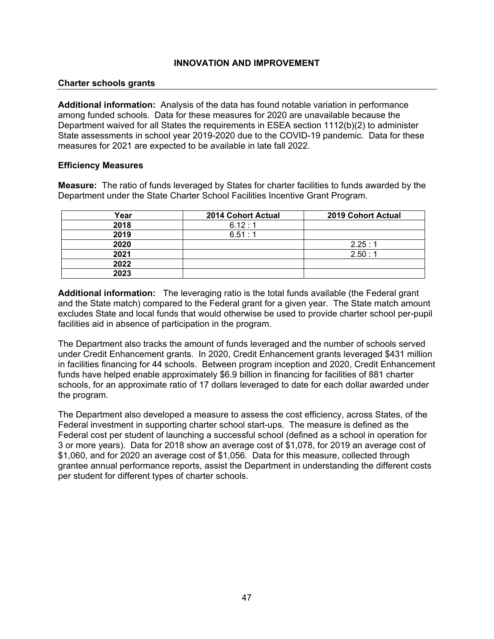### **Charter schools grants**

**Additional information:** Analysis of the data has found notable variation in performance among funded schools. Data for these measures for 2020 are unavailable because the Department waived for all States the requirements in ESEA section 1112(b)(2) to administer State assessments in school year 2019-2020 due to the COVID-19 pandemic. Data for these measures for 2021 are expected to be available in late fall 2022.

### **Efficiency Measures**

**Measure:** The ratio of funds leveraged by States for charter facilities to funds awarded by the Department under the State Charter School Facilities Incentive Grant Program.

| Year | <b>2014 Cohort Actual</b> | <b>2019 Cohort Actual</b> |
|------|---------------------------|---------------------------|
| 2018 | 6.12:1                    |                           |
| 2019 | 6.51:1                    |                           |
| 2020 |                           | 2.25:1                    |
| 2021 |                           | 2.50:1                    |
| 2022 |                           |                           |
| 2023 |                           |                           |

**Additional information:** The leveraging ratio is the total funds available (the Federal grant and the State match) compared to the Federal grant for a given year. The State match amount excludes State and local funds that would otherwise be used to provide charter school per-pupil facilities aid in absence of participation in the program.

The Department also tracks the amount of funds leveraged and the number of schools served under Credit Enhancement grants. In 2020, Credit Enhancement grants leveraged \$431 million in facilities financing for 44 schools. Between program inception and 2020, Credit Enhancement funds have helped enable approximately \$6.9 billion in financing for facilities of 881 charter schools, for an approximate ratio of 17 dollars leveraged to date for each dollar awarded under the program.

The Department also developed a measure to assess the cost efficiency, across States, of the Federal investment in supporting charter school start-ups. The measure is defined as the Federal cost per student of launching a successful school (defined as a school in operation for 3 or more years). Data for 2018 show an average cost of \$1,078, for 2019 an average cost of \$1,060, and for 2020 an average cost of \$1,056. Data for this measure, collected through grantee annual performance reports, assist the Department in understanding the different costs per student for different types of charter schools.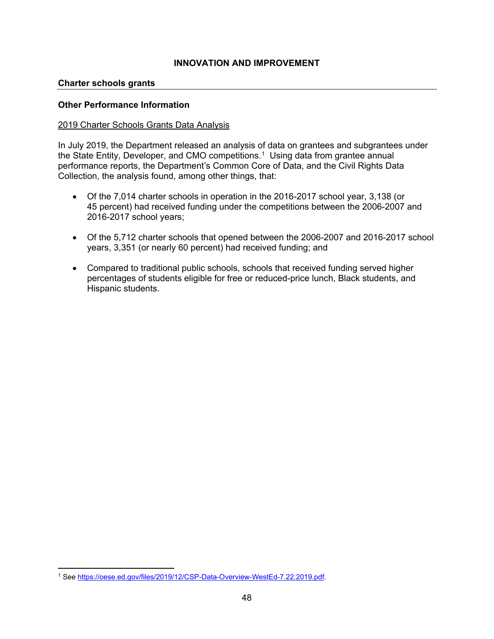### **Charter schools grants**

### **Other Performance Information**

### 2019 Charter Schools Grants Data Analysis

In July 2019, the Department released an analysis of data on grantees and subgrantees under the State Entity, Developer, and CMO competitions.<sup>[1](#page-48-0)</sup> Using data from grantee annual performance reports, the Department's Common Core of Data, and the Civil Rights Data Collection, the analysis found, among other things, that:

- Of the 7,014 charter schools in operation in the 2016-2017 school year, 3,138 (or 45 percent) had received funding under the competitions between the 2006-2007 and 2016-2017 school years;
- Of the 5,712 charter schools that opened between the 2006-2007 and 2016-2017 school years, 3,351 (or nearly 60 percent) had received funding; and
- Compared to traditional public schools, schools that received funding served higher percentages of students eligible for free or reduced-price lunch, Black students, and Hispanic students.

<span id="page-48-0"></span><sup>1</sup> See [https://oese.ed.gov/files/2019/12/CSP-Data-Overview-WestEd-7.22.2019.pdf.](https://oese.ed.gov/files/2019/12/CSP-Data-Overview-WestEd-7.22.2019.pdf)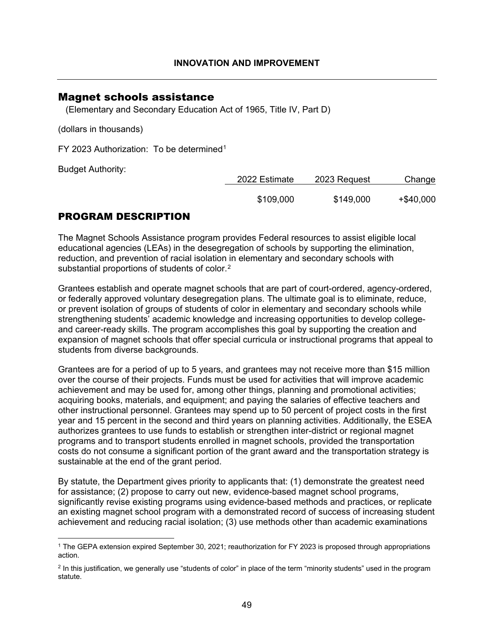## Magnet schools assistance

(Elementary and Secondary Education Act of 1965, Title IV, Part D)

(dollars in thousands)

FY 2023 Authorization: To be determined<sup>[1](#page-49-0)</sup>

Budget Authority:

| 2022 Estimate | 2023 Request | Change       |
|---------------|--------------|--------------|
| \$109,000     | \$149,000    | $+$ \$40,000 |

# PROGRAM DESCRIPTION

The Magnet Schools Assistance program provides Federal resources to assist eligible local educational agencies (LEAs) in the desegregation of schools by supporting the elimination, reduction, and prevention of racial isolation in elementary and secondary schools with substantial proportions of students of color.[2](#page-49-1)

Grantees establish and operate magnet schools that are part of court-ordered, agency-ordered, or federally approved voluntary desegregation plans. The ultimate goal is to eliminate, reduce, or prevent isolation of groups of students of color in elementary and secondary schools while strengthening students' academic knowledge and increasing opportunities to develop collegeand career-ready skills. The program accomplishes this goal by supporting the creation and expansion of magnet schools that offer special curricula or instructional programs that appeal to students from diverse backgrounds.

Grantees are for a period of up to 5 years, and grantees may not receive more than \$15 million over the course of their projects. Funds must be used for activities that will improve academic achievement and may be used for, among other things, planning and promotional activities; acquiring books, materials, and equipment; and paying the salaries of effective teachers and other instructional personnel. Grantees may spend up to 50 percent of project costs in the first year and 15 percent in the second and third years on planning activities. Additionally, the ESEA authorizes grantees to use funds to establish or strengthen inter-district or regional magnet programs and to transport students enrolled in magnet schools, provided the transportation costs do not consume a significant portion of the grant award and the transportation strategy is sustainable at the end of the grant period.

By statute, the Department gives priority to applicants that: (1) demonstrate the greatest need for assistance; (2) propose to carry out new, evidence-based magnet school programs, significantly revise existing programs using evidence-based methods and practices, or replicate an existing magnet school program with a demonstrated record of success of increasing student achievement and reducing racial isolation; (3) use methods other than academic examinations

<span id="page-49-0"></span><sup>1</sup> The GEPA extension expired September 30, 2021; reauthorization for FY 2023 is proposed through appropriations action.

<span id="page-49-1"></span><sup>&</sup>lt;sup>2</sup> In this justification, we generally use "students of color" in place of the term "minority students" used in the program statute.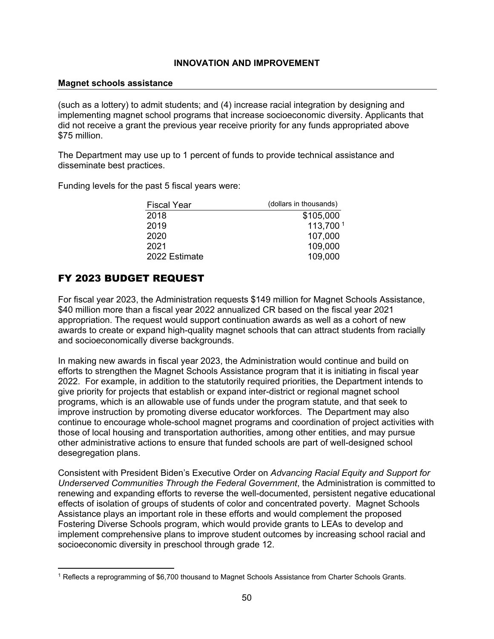### **Magnet schools assistance**

(such as a lottery) to admit students; and (4) increase racial integration by designing and implementing magnet school programs that increase socioeconomic diversity. Applicants that did not receive a grant the previous year receive priority for any funds appropriated above \$75 million.

The Department may use up to 1 percent of funds to provide technical assistance and disseminate best practices.

Funding levels for the past 5 fiscal years were:

| Fiscal Year   | (dollars in thousands) |
|---------------|------------------------|
| 2018          | \$105,000              |
| 2019          | 113,7001               |
| 2020          | 107,000                |
| 2021          | 109,000                |
| 2022 Estimate | 109,000                |
|               |                        |

# FY 2023 BUDGET REQUEST

For fiscal year 2023, the Administration requests \$149 million for Magnet Schools Assistance, \$40 million more than a fiscal year 2022 annualized CR based on the fiscal year 2021 appropriation. The request would support continuation awards as well as a cohort of new awards to create or expand high-quality magnet schools that can attract students from racially and socioeconomically diverse backgrounds.

In making new awards in fiscal year 2023, the Administration would continue and build on efforts to strengthen the Magnet Schools Assistance program that it is initiating in fiscal year 2022. For example, in addition to the statutorily required priorities, the Department intends to give priority for projects that establish or expand inter-district or regional magnet school programs, which is an allowable use of funds under the program statute, and that seek to improve instruction by promoting diverse educator workforces. The Department may also continue to encourage whole-school magnet programs and coordination of project activities with those of local housing and transportation authorities, among other entities, and may pursue other administrative actions to ensure that funded schools are part of well-designed school desegregation plans.

Consistent with President Biden's Executive Order on *Advancing Racial Equity and Support for Underserved Communities Through the Federal Government*, the Administration is committed to renewing and expanding efforts to reverse the well-documented, persistent negative educational effects of isolation of groups of students of color and concentrated poverty. Magnet Schools Assistance plays an important role in these efforts and would complement the proposed Fostering Diverse Schools program, which would provide grants to LEAs to develop and implement comprehensive plans to improve student outcomes by increasing school racial and socioeconomic diversity in preschool through grade 12.

<span id="page-50-0"></span><sup>1</sup> Reflects a reprogramming of \$6,700 thousand to Magnet Schools Assistance from Charter Schools Grants.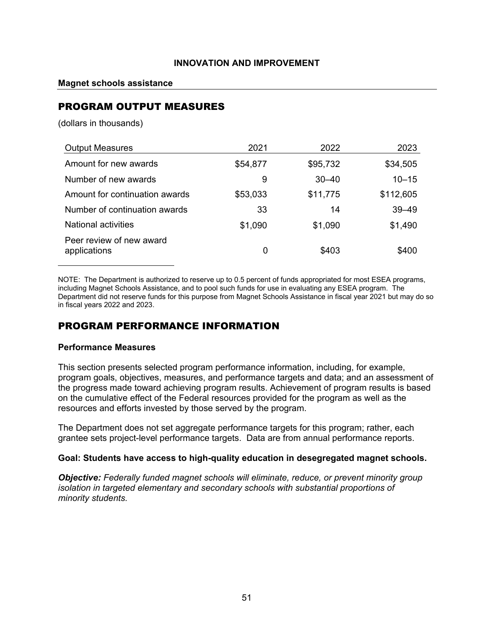### **Magnet schools assistance**

# PROGRAM OUTPUT MEASURES

(dollars in thousands)

| <b>Output Measures</b>                   | 2021     | 2022      | 2023      |
|------------------------------------------|----------|-----------|-----------|
| Amount for new awards                    | \$54,877 | \$95,732  | \$34,505  |
| Number of new awards                     | 9        | $30 - 40$ | $10 - 15$ |
| Amount for continuation awards           | \$53,033 | \$11,775  | \$112,605 |
| Number of continuation awards            | 33       | 14        | $39 - 49$ |
| <b>National activities</b>               | \$1,090  | \$1,090   | \$1,490   |
| Peer review of new award<br>applications | 0        | \$403     | \$400     |

NOTE: The Department is authorized to reserve up to 0.5 percent of funds appropriated for most ESEA programs, including Magnet Schools Assistance, and to pool such funds for use in evaluating any ESEA program. The Department did not reserve funds for this purpose from Magnet Schools Assistance in fiscal year 2021 but may do so in fiscal years 2022 and 2023.

## PROGRAM PERFORMANCE INFORMATION

### **Performance Measures**

This section presents selected program performance information, including, for example, program goals, objectives, measures, and performance targets and data; and an assessment of the progress made toward achieving program results. Achievement of program results is based on the cumulative effect of the Federal resources provided for the program as well as the resources and efforts invested by those served by the program.

The Department does not set aggregate performance targets for this program; rather, each grantee sets project-level performance targets. Data are from annual performance reports.

### **Goal: Students have access to high-quality education in desegregated magnet schools.**

*Objective: Federally funded magnet schools will eliminate, reduce, or prevent minority group isolation in targeted elementary and secondary schools with substantial proportions of minority students.*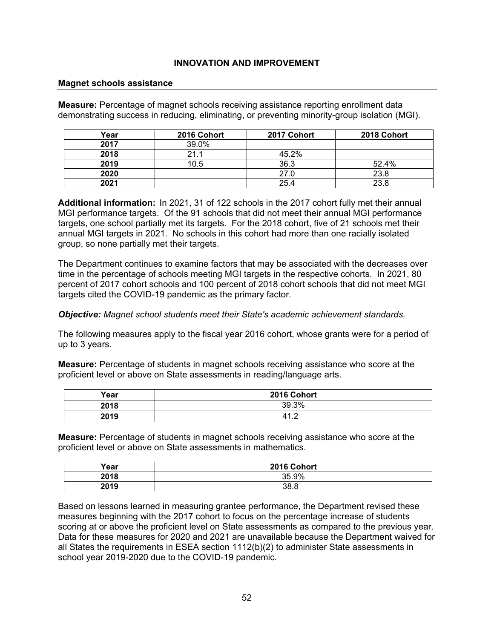### **Magnet schools assistance**

**Measure:** Percentage of magnet schools receiving assistance reporting enrollment data demonstrating success in reducing, eliminating, or preventing minority-group isolation (MGI).

| Year | 2016 Cohort | 2017 Cohort | 2018 Cohort |
|------|-------------|-------------|-------------|
| 2017 | 39.0%       |             |             |
| 2018 | 21.1        | 45.2%       |             |
| 2019 | 10.5        | 36.3        | 52.4%       |
| 2020 |             | 27.0        | 23.8        |
| 2021 |             | 25.4        | 23.8        |

**Additional information:** In 2021, 31 of 122 schools in the 2017 cohort fully met their annual MGI performance targets. Of the 91 schools that did not meet their annual MGI performance targets, one school partially met its targets. For the 2018 cohort, five of 21 schools met their annual MGI targets in 2021. No schools in this cohort had more than one racially isolated group, so none partially met their targets.

The Department continues to examine factors that may be associated with the decreases over time in the percentage of schools meeting MGI targets in the respective cohorts. In 2021, 80 percent of 2017 cohort schools and 100 percent of 2018 cohort schools that did not meet MGI targets cited the COVID-19 pandemic as the primary factor.

### *Objective: Magnet school students meet their State's academic achievement standards.*

The following measures apply to the fiscal year 2016 cohort, whose grants were for a period of up to 3 years.

**Measure:** Percentage of students in magnet schools receiving assistance who score at the proficient level or above on State assessments in reading/language arts.

| Year | 2016 Cohort |
|------|-------------|
| 2018 | 39.3%       |
| 2019 | 41.2        |

**Measure:** Percentage of students in magnet schools receiving assistance who score at the proficient level or above on State assessments in mathematics.

| Year | 2016 Cohort |
|------|-------------|
| 2018 | 35.9%       |
| 2019 | 38.8        |

Based on lessons learned in measuring grantee performance, the Department revised these measures beginning with the 2017 cohort to focus on the percentage increase of students scoring at or above the proficient level on State assessments as compared to the previous year. Data for these measures for 2020 and 2021 are unavailable because the Department waived for all States the requirements in ESEA section 1112(b)(2) to administer State assessments in school year 2019-2020 due to the COVID-19 pandemic.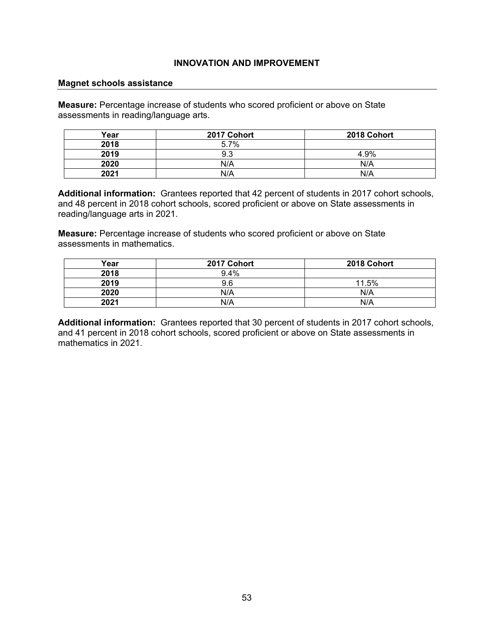#### **Magnet schools assistance**

**Measure:** Percentage increase of students who scored proficient or above on State assessments in reading/language arts.

| Year | 2017 Cohort | 2018 Cohort |
|------|-------------|-------------|
| 2018 | 5.7%        |             |
| 2019 | 9.3         | 4.9%        |
| 2020 | N/A         | N/A         |
| 2021 | N/A         | N/A         |

**Additional information:** Grantees reported that 42 percent of students in 2017 cohort schools, and 48 percent in 2018 cohort schools, scored proficient or above on State assessments in reading/language arts in 2021.

**Measure:** Percentage increase of students who scored proficient or above on State assessments in mathematics.

| Year | 2017 Cohort | 2018 Cohort |
|------|-------------|-------------|
| 2018 | 9.4%        |             |
| 2019 | 9.6         | 11.5%       |
| 2020 | N/A         | N/A         |
| 2021 | N/A         | N/A         |

**Additional information:** Grantees reported that 30 percent of students in 2017 cohort schools, and 41 percent in 2018 cohort schools, scored proficient or above on State assessments in mathematics in 2021.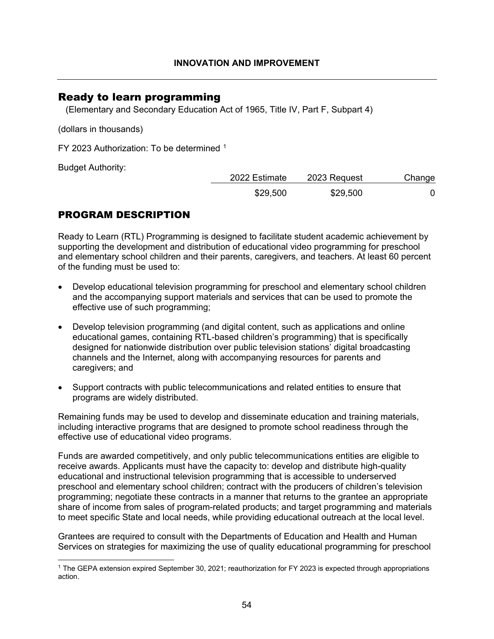## Ready to learn programming

(Elementary and Secondary Education Act of 1965, Title IV, Part F, Subpart 4)

(dollars in thousands)

FY 2023 Authorization: To be determined [1](#page-54-0)

Budget Authority:

| 2022 Estimate | 2023 Request | Change |
|---------------|--------------|--------|
| \$29,500      | \$29,500     |        |

# PROGRAM DESCRIPTION

Ready to Learn (RTL) Programming is designed to facilitate student academic achievement by supporting the development and distribution of educational video programming for preschool and elementary school children and their parents, caregivers, and teachers. At least 60 percent of the funding must be used to:

- Develop educational television programming for preschool and elementary school children and the accompanying support materials and services that can be used to promote the effective use of such programming;
- Develop television programming (and digital content, such as applications and online educational games, containing RTL-based children's programming) that is specifically designed for nationwide distribution over public television stations' digital broadcasting channels and the Internet, along with accompanying resources for parents and caregivers; and
- Support contracts with public telecommunications and related entities to ensure that programs are widely distributed.

Remaining funds may be used to develop and disseminate education and training materials, including interactive programs that are designed to promote school readiness through the effective use of educational video programs.

Funds are awarded competitively, and only public telecommunications entities are eligible to receive awards. Applicants must have the capacity to: develop and distribute high-quality educational and instructional television programming that is accessible to underserved preschool and elementary school children; contract with the producers of children's television programming; negotiate these contracts in a manner that returns to the grantee an appropriate share of income from sales of program-related products; and target programming and materials to meet specific State and local needs, while providing educational outreach at the local level.

Grantees are required to consult with the Departments of Education and Health and Human Services on strategies for maximizing the use of quality educational programming for preschool

<span id="page-54-0"></span><sup>1</sup> The GEPA extension expired September 30, 2021; reauthorization for FY 2023 is expected through appropriations action.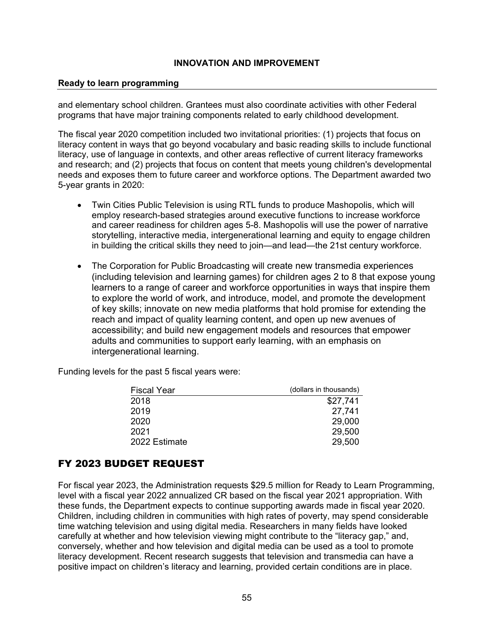### **Ready to learn programming**

and elementary school children. Grantees must also coordinate activities with other Federal programs that have major training components related to early childhood development.

The fiscal year 2020 competition included two invitational priorities: (1) projects that focus on literacy content in ways that go beyond vocabulary and basic reading skills to include functional literacy, use of language in contexts, and other areas reflective of current literacy frameworks and research; and (2) projects that focus on content that meets young children's developmental needs and exposes them to future career and workforce options. The Department awarded two 5-year grants in 2020:

- Twin Cities Public Television is using RTL funds to produce Mashopolis, which will employ research-based strategies around executive functions to increase workforce and career readiness for children ages 5-8. Mashopolis will use the power of narrative storytelling, interactive media, intergenerational learning and equity to engage children in building the critical skills they need to join—and lead—the 21st century workforce.
- The Corporation for Public Broadcasting will create new transmedia experiences (including television and learning games) for children ages 2 to 8 that expose young learners to a range of career and workforce opportunities in ways that inspire them to explore the world of work, and introduce, model, and promote the development of key skills; innovate on new media platforms that hold promise for extending the reach and impact of quality learning content, and open up new avenues of accessibility; and build new engagement models and resources that empower adults and communities to support early learning, with an emphasis on intergenerational learning.

Funding levels for the past 5 fiscal years were:

| <b>Fiscal Year</b> | (dollars in thousands) |
|--------------------|------------------------|
| 2018               | \$27,741               |
| 2019               | 27,741                 |
| 2020               | 29,000                 |
| 2021               | 29,500                 |
| 2022 Estimate      | 29,500                 |

# FY 2023 BUDGET REQUEST

For fiscal year 2023, the Administration requests \$29.5 million for Ready to Learn Programming, level with a fiscal year 2022 annualized CR based on the fiscal year 2021 appropriation. With these funds, the Department expects to continue supporting awards made in fiscal year 2020. Children, including children in communities with high rates of poverty, may spend considerable time watching television and using digital media. Researchers in many fields have looked carefully at whether and how television viewing might contribute to the "literacy gap," and, conversely, whether and how television and digital media can be used as a tool to promote literacy development. Recent research suggests that television and transmedia can have a positive impact on children's literacy and learning, provided certain conditions are in place.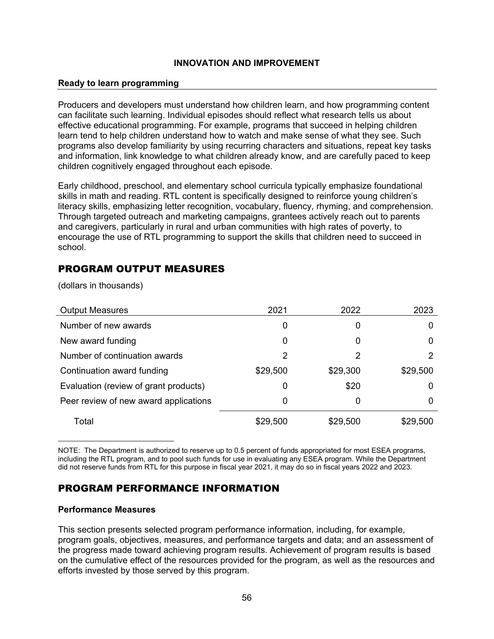### **Ready to learn programming**

Producers and developers must understand how children learn, and how programming content can facilitate such learning. Individual episodes should reflect what research tells us about effective educational programming. For example, programs that succeed in helping children learn tend to help children understand how to watch and make sense of what they see. Such programs also develop familiarity by using recurring characters and situations, repeat key tasks and information, link knowledge to what children already know, and are carefully paced to keep children cognitively engaged throughout each episode.

Early childhood, preschool, and elementary school curricula typically emphasize foundational skills in math and reading. RTL content is specifically designed to reinforce young children's literacy skills, emphasizing letter recognition, vocabulary, fluency, rhyming, and comprehension. Through targeted outreach and marketing campaigns, grantees actively reach out to parents and caregivers, particularly in rural and urban communities with high rates of poverty, to encourage the use of RTL programming to support the skills that children need to succeed in school.

# PROGRAM OUTPUT MEASURES

(dollars in thousands)

| <b>Output Measures</b>                | 2021     | 2022     | 2023     |
|---------------------------------------|----------|----------|----------|
| Number of new awards                  | 0        | 0        | O        |
| New award funding                     | 0        | 0        | 0        |
| Number of continuation awards         | 2        | 2        | 2        |
| Continuation award funding            | \$29,500 | \$29,300 | \$29,500 |
| Evaluation (review of grant products) | 0        | \$20     | $\Omega$ |
| Peer review of new award applications | 0        | 0        | 0        |
| Total                                 | \$29,500 | \$29,500 | \$29,500 |

NOTE: The Department is authorized to reserve up to 0.5 percent of funds appropriated for most ESEA programs, including the RTL program, and to pool such funds for use in evaluating any ESEA program. While the Department did not reserve funds from RTL for this purpose in fiscal year 2021, it may do so in fiscal years 2022 and 2023.

# PROGRAM PERFORMANCE INFORMATION

### **Performance Measures**

This section presents selected program performance information, including, for example, program goals, objectives, measures, and performance targets and data; and an assessment of the progress made toward achieving program results. Achievement of program results is based on the cumulative effect of the resources provided for the program, as well as the resources and efforts invested by those served by this program.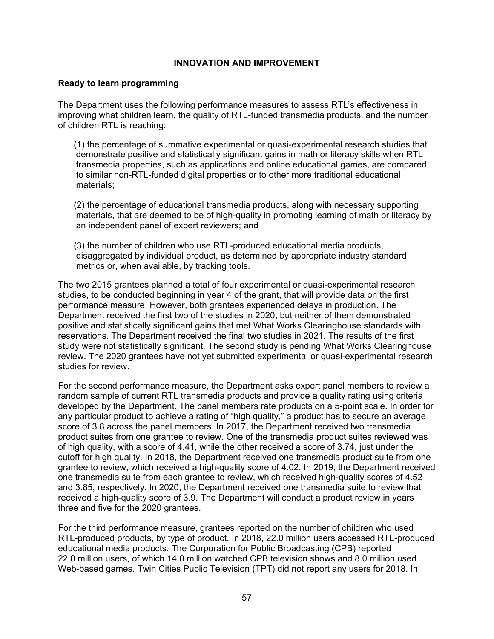### **Ready to learn programming**

The Department uses the following performance measures to assess RTL's effectiveness in improving what children learn, the quality of RTL-funded transmedia products, and the number of children RTL is reaching:

(1) the percentage of summative experimental or quasi-experimental research studies that demonstrate positive and statistically significant gains in math or literacy skills when RTL transmedia properties, such as applications and online educational games, are compared to similar non-RTL-funded digital properties or to other more traditional educational materials;

(2) the percentage of educational transmedia products, along with necessary supporting materials, that are deemed to be of high-quality in promoting learning of math or literacy by an independent panel of expert reviewers; and

(3) the number of children who use RTL-produced educational media products, disaggregated by individual product, as determined by appropriate industry standard metrics or, when available, by tracking tools.

The two 2015 grantees planned a total of four experimental or quasi-experimental research studies, to be conducted beginning in year 4 of the grant, that will provide data on the first performance measure. However, both grantees experienced delays in production. The Department received the first two of the studies in 2020, but neither of them demonstrated positive and statistically significant gains that met What Works Clearinghouse standards with reservations. The Department received the final two studies in 2021. The results of the first study were not statistically significant. The second study is pending What Works Clearinghouse review. The 2020 grantees have not yet submitted experimental or quasi-experimental research studies for review.

For the second performance measure, the Department asks expert panel members to review a random sample of current RTL transmedia products and provide a quality rating using criteria developed by the Department. The panel members rate products on a 5-point scale. In order for any particular product to achieve a rating of "high quality," a product has to secure an average score of 3.8 across the panel members. In 2017, the Department received two transmedia product suites from one grantee to review. One of the transmedia product suites reviewed was of high quality, with a score of 4.41, while the other received a score of 3.74, just under the cutoff for high quality. In 2018, the Department received one transmedia product suite from one grantee to review, which received a high-quality score of 4.02. In 2019, the Department received one transmedia suite from each grantee to review, which received high-quality scores of 4.52 and 3.85, respectively. In 2020, the Department received one transmedia suite to review that received a high-quality score of 3.9. The Department will conduct a product review in years three and five for the 2020 grantees.

For the third performance measure, grantees reported on the number of children who used RTL-produced products, by type of product. In 2018, 22.0 million users accessed RTL-produced educational media products. The Corporation for Public Broadcasting (CPB) reported 22.0 million users, of which 14.0 million watched CPB television shows and 8.0 million used Web-based games. Twin Cities Public Television (TPT) did not report any users for 2018. In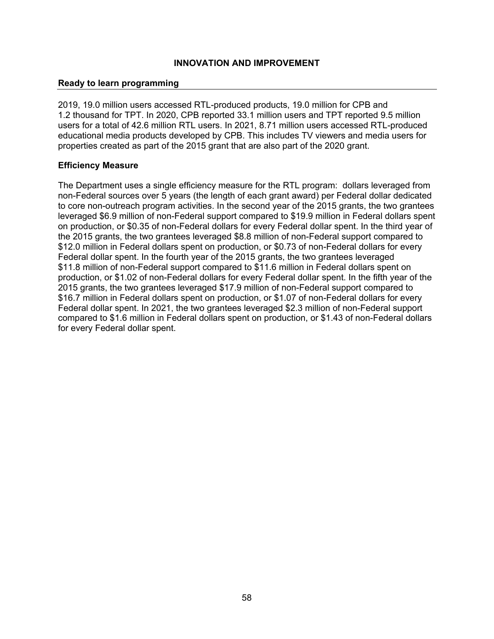### **Ready to learn programming**

2019, 19.0 million users accessed RTL-produced products, 19.0 million for CPB and 1.2 thousand for TPT. In 2020, CPB reported 33.1 million users and TPT reported 9.5 million users for a total of 42.6 million RTL users. In 2021, 8.71 million users accessed RTL-produced educational media products developed by CPB. This includes TV viewers and media users for properties created as part of the 2015 grant that are also part of the 2020 grant.

### **Efficiency Measure**

The Department uses a single efficiency measure for the RTL program: dollars leveraged from non-Federal sources over 5 years (the length of each grant award) per Federal dollar dedicated to core non-outreach program activities. In the second year of the 2015 grants, the two grantees leveraged \$6.9 million of non-Federal support compared to \$19.9 million in Federal dollars spent on production, or \$0.35 of non-Federal dollars for every Federal dollar spent. In the third year of the 2015 grants, the two grantees leveraged \$8.8 million of non-Federal support compared to \$12.0 million in Federal dollars spent on production, or \$0.73 of non-Federal dollars for every Federal dollar spent. In the fourth year of the 2015 grants, the two grantees leveraged \$11.8 million of non-Federal support compared to \$11.6 million in Federal dollars spent on production, or \$1.02 of non-Federal dollars for every Federal dollar spent. In the fifth year of the 2015 grants, the two grantees leveraged \$17.9 million of non-Federal support compared to \$16.7 million in Federal dollars spent on production, or \$1.07 of non-Federal dollars for every Federal dollar spent. In 2021, the two grantees leveraged \$2.3 million of non-Federal support compared to \$1.6 million in Federal dollars spent on production, or \$1.43 of non-Federal dollars for every Federal dollar spent.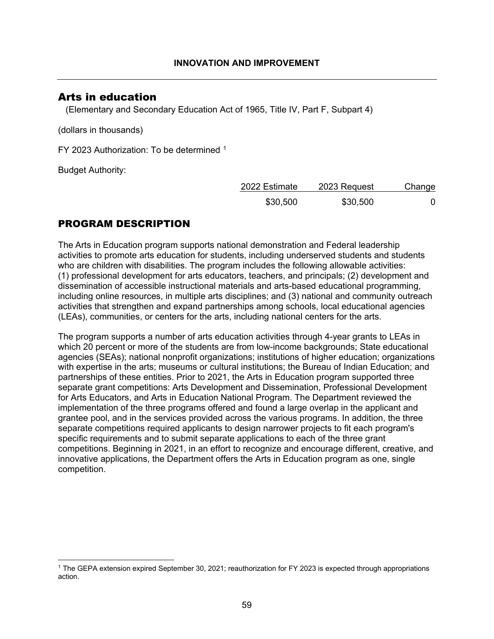# Arts in education

(Elementary and Secondary Education Act of 1965, Title IV, Part F, Subpart 4)

(dollars in thousands)

FY 2023 Authorization: To be determined [1](#page-59-0)

Budget Authority:

| 2022 Estimate | 2023 Request | Change |
|---------------|--------------|--------|
| \$30,500      | \$30,500     |        |

# PROGRAM DESCRIPTION

The Arts in Education program supports national demonstration and Federal leadership activities to promote arts education for students, including underserved students and students who are children with disabilities. The program includes the following allowable activities: (1) professional development for arts educators, teachers, and principals; (2) development and dissemination of accessible instructional materials and arts-based educational programming, including online resources, in multiple arts disciplines; and (3) national and community outreach activities that strengthen and expand partnerships among schools, local educational agencies (LEAs), communities, or centers for the arts, including national centers for the arts.

The program supports a number of arts education activities through 4-year grants to LEAs in which 20 percent or more of the students are from low-income backgrounds; State educational agencies (SEAs); national nonprofit organizations; institutions of higher education; organizations with expertise in the arts; museums or cultural institutions; the Bureau of Indian Education; and partnerships of these entities. Prior to 2021, the Arts in Education program supported three separate grant competitions: Arts Development and Dissemination, Professional Development for Arts Educators, and Arts in Education National Program. The Department reviewed the implementation of the three programs offered and found a large overlap in the applicant and grantee pool, and in the services provided across the various programs. In addition, the three separate competitions required applicants to design narrower projects to fit each program's specific requirements and to submit separate applications to each of the three grant competitions. Beginning in 2021, in an effort to recognize and encourage different, creative, and innovative applications, the Department offers the Arts in Education program as one, single competition.

<span id="page-59-0"></span><sup>1</sup> The GEPA extension expired September 30, 2021; reauthorization for FY 2023 is expected through appropriations action.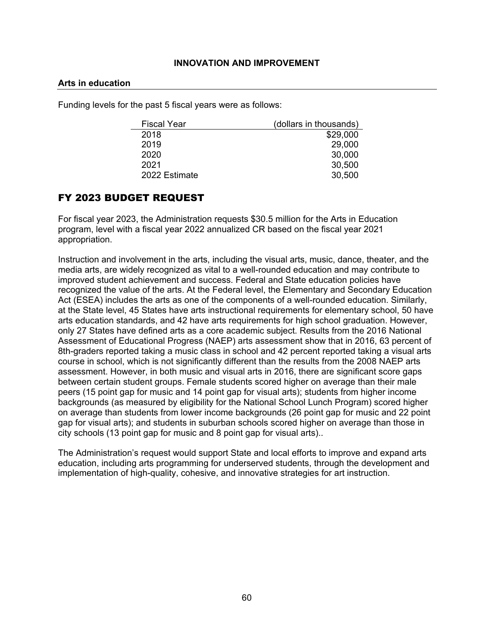#### **Arts in education**

Funding levels for the past 5 fiscal years were as follows:

| <b>Fiscal Year</b> | (dollars in thousands) |
|--------------------|------------------------|
| 2018               | \$29,000               |
| 2019               | 29,000                 |
| 2020               | 30,000                 |
| 2021               | 30,500                 |
| 2022 Estimate      | 30,500                 |

## FY 2023 BUDGET REQUEST

For fiscal year 2023, the Administration requests \$30.5 million for the Arts in Education program, level with a fiscal year 2022 annualized CR based on the fiscal year 2021 appropriation.

Instruction and involvement in the arts, including the visual arts, music, dance, theater, and the media arts, are widely recognized as vital to a well-rounded education and may contribute to improved student achievement and success. Federal and State education policies have recognized the value of the arts. At the Federal level, the Elementary and Secondary Education Act (ESEA) includes the arts as one of the components of a well-rounded education. Similarly, at the State level, 45 States have arts instructional requirements for elementary school, 50 have arts education standards, and 42 have arts requirements for high school graduation. However, only 27 States have defined arts as a core academic subject. Results from the 2016 National Assessment of Educational Progress (NAEP) arts assessment show that in 2016, 63 percent of 8th-graders reported taking a music class in school and 42 percent reported taking a visual arts course in school, which is not significantly different than the results from the 2008 NAEP arts assessment. However, in both music and visual arts in 2016, there are significant score gaps between certain student groups. Female students scored higher on average than their male peers (15 point gap for music and 14 point gap for visual arts); students from higher income backgrounds (as measured by eligibility for the National School Lunch Program) scored higher on average than students from lower income backgrounds (26 point gap for music and 22 point gap for visual arts); and students in suburban schools scored higher on average than those in city schools (13 point gap for music and 8 point gap for visual arts)..

The Administration's request would support State and local efforts to improve and expand arts education, including arts programming for underserved students, through the development and implementation of high-quality, cohesive, and innovative strategies for art instruction.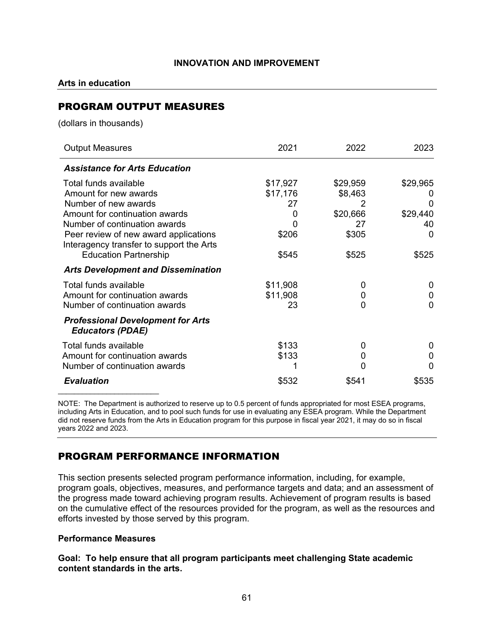**Arts in education**

# PROGRAM OUTPUT MEASURES

(dollars in thousands)

| <b>Output Measures</b>                                                            | 2021     | 2022     | 2023     |
|-----------------------------------------------------------------------------------|----------|----------|----------|
| <b>Assistance for Arts Education</b>                                              |          |          |          |
| Total funds available                                                             | \$17,927 | \$29,959 | \$29,965 |
| Amount for new awards                                                             | \$17,176 | \$8,463  |          |
| Number of new awards                                                              | 27       | 2        |          |
| Amount for continuation awards                                                    | 0        | \$20,666 | \$29,440 |
| Number of continuation awards                                                     |          | 27       | 40       |
| Peer review of new award applications<br>Interagency transfer to support the Arts | \$206    | \$305    | 0        |
| <b>Education Partnership</b>                                                      | \$545    | \$525    | \$525    |
| <b>Arts Development and Dissemination</b>                                         |          |          |          |
| Total funds available                                                             | \$11,908 | 0        | 0        |
| Amount for continuation awards                                                    | \$11,908 | 0        | 0        |
| Number of continuation awards                                                     | 23       | 0        | O        |
| <b>Professional Development for Arts</b><br><b>Educators (PDAE)</b>               |          |          |          |
| Total funds available                                                             | \$133    | 0        | 0        |
| Amount for continuation awards                                                    | \$133    | 0        | 0        |
| Number of continuation awards                                                     |          | O        | 0        |
| <b>Evaluation</b>                                                                 | \$532    | \$541    | \$535    |

NOTE: The Department is authorized to reserve up to 0.5 percent of funds appropriated for most ESEA programs, including Arts in Education, and to pool such funds for use in evaluating any ESEA program. While the Department did not reserve funds from the Arts in Education program for this purpose in fiscal year 2021, it may do so in fiscal years 2022 and 2023.

# PROGRAM PERFORMANCE INFORMATION

This section presents selected program performance information, including, for example, program goals, objectives, measures, and performance targets and data; and an assessment of the progress made toward achieving program results. Achievement of program results is based on the cumulative effect of the resources provided for the program, as well as the resources and efforts invested by those served by this program.

## **Performance Measures**

**Goal: To help ensure that all program participants meet challenging State academic content standards in the arts.**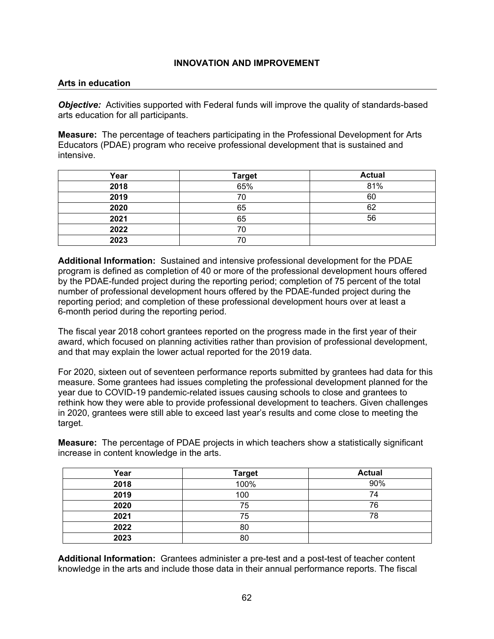#### **Arts in education**

*Objective:* Activities supported with Federal funds will improve the quality of standards-based arts education for all participants.

**Measure:** The percentage of teachers participating in the Professional Development for Arts Educators (PDAE) program who receive professional development that is sustained and intensive.

| Year | <b>Target</b> | <b>Actual</b> |
|------|---------------|---------------|
| 2018 | 65%           | 81%           |
| 2019 | 70            | 60            |
| 2020 | 65            | 62            |
| 2021 | 65            | 56            |
| 2022 | 70            |               |
| 2023 | 70            |               |

**Additional Information:** Sustained and intensive professional development for the PDAE program is defined as completion of 40 or more of the professional development hours offered by the PDAE-funded project during the reporting period; completion of 75 percent of the total number of professional development hours offered by the PDAE-funded project during the reporting period; and completion of these professional development hours over at least a 6-month period during the reporting period.

The fiscal year 2018 cohort grantees reported on the progress made in the first year of their award, which focused on planning activities rather than provision of professional development, and that may explain the lower actual reported for the 2019 data.

For 2020, sixteen out of seventeen performance reports submitted by grantees had data for this measure. Some grantees had issues completing the professional development planned for the year due to COVID-19 pandemic-related issues causing schools to close and grantees to rethink how they were able to provide professional development to teachers. Given challenges in 2020, grantees were still able to exceed last year's results and come close to meeting the target.

**Measure:** The percentage of PDAE projects in which teachers show a statistically significant increase in content knowledge in the arts.

| Year | <b>Target</b> | <b>Actual</b> |
|------|---------------|---------------|
| 2018 | 100%          | 90%           |
| 2019 | 100           | 74            |
| 2020 | 75            | 76            |
| 2021 | 75            | 78            |
| 2022 | 80            |               |
| 2023 | 80            |               |

**Additional Information:** Grantees administer a pre-test and a post-test of teacher content knowledge in the arts and include those data in their annual performance reports. The fiscal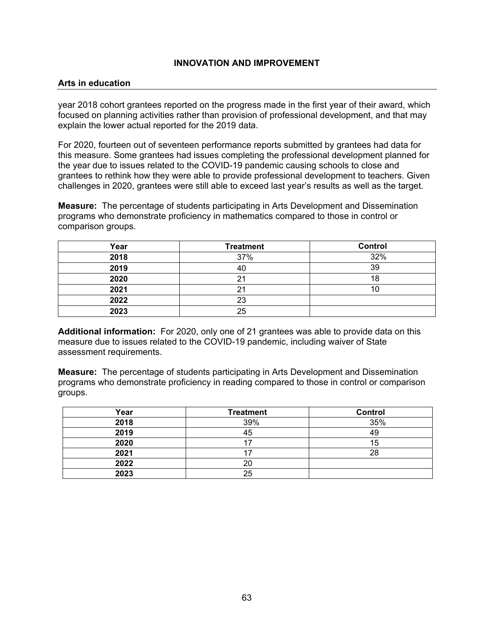#### **Arts in education**

year 2018 cohort grantees reported on the progress made in the first year of their award, which focused on planning activities rather than provision of professional development, and that may explain the lower actual reported for the 2019 data.

For 2020, fourteen out of seventeen performance reports submitted by grantees had data for this measure. Some grantees had issues completing the professional development planned for the year due to issues related to the COVID-19 pandemic causing schools to close and grantees to rethink how they were able to provide professional development to teachers. Given challenges in 2020, grantees were still able to exceed last year's results as well as the target.

**Measure:** The percentage of students participating in Arts Development and Dissemination programs who demonstrate proficiency in mathematics compared to those in control or comparison groups.

| Year | <b>Treatment</b> | <b>Control</b> |
|------|------------------|----------------|
| 2018 | 37%              | 32%            |
| 2019 | 40               | 39             |
| 2020 | 21               | 18             |
| 2021 | 21               |                |
| 2022 | 23               |                |
| 2023 | 25               |                |

**Additional information:** For 2020, only one of 21 grantees was able to provide data on this measure due to issues related to the COVID-19 pandemic, including waiver of State assessment requirements.

**Measure:** The percentage of students participating in Arts Development and Dissemination programs who demonstrate proficiency in reading compared to those in control or comparison groups.

| Year | <b>Treatment</b> | <b>Control</b> |
|------|------------------|----------------|
| 2018 | 39%              | 35%            |
| 2019 | 45               | 49             |
| 2020 |                  | 15             |
| 2021 |                  | 28             |
| 2022 | 20               |                |
| 2023 | 25               |                |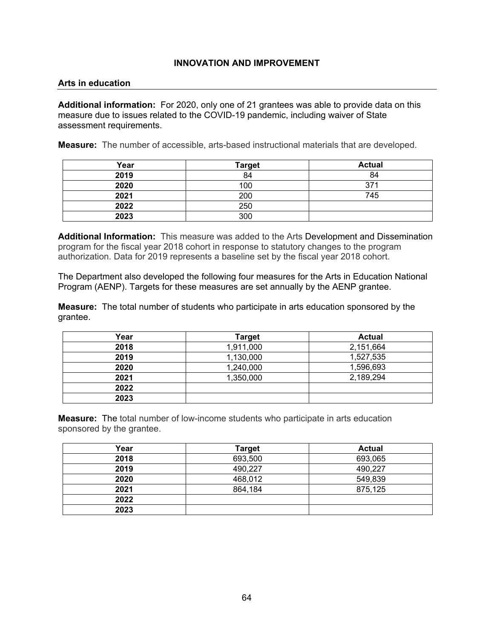### **Arts in education**

**Additional information:** For 2020, only one of 21 grantees was able to provide data on this measure due to issues related to the COVID-19 pandemic, including waiver of State assessment requirements.

**Measure:** The number of accessible, arts-based instructional materials that are developed.

| Year | <b>Target</b> | <b>Actual</b> |
|------|---------------|---------------|
| 2019 | 84            | 84            |
| 2020 | 100           | 371           |
| 2021 | 200           | 745           |
| 2022 | 250           |               |
| 2023 | 300           |               |

**Additional Information:** This measure was added to the Arts Development and Dissemination program for the fiscal year 2018 cohort in response to statutory changes to the program authorization. Data for 2019 represents a baseline set by the fiscal year 2018 cohort.

The Department also developed the following four measures for the Arts in Education National Program (AENP). Targets for these measures are set annually by the AENP grantee.

**Measure:** The total number of students who participate in arts education sponsored by the grantee.

| Year | <b>Target</b> | <b>Actual</b> |
|------|---------------|---------------|
| 2018 | 1,911,000     | 2,151,664     |
| 2019 | 1,130,000     | 1,527,535     |
| 2020 | 1,240,000     | 1,596,693     |
| 2021 | 1,350,000     | 2,189,294     |
| 2022 |               |               |
| 2023 |               |               |

**Measure:** The total number of low-income students who participate in arts education sponsored by the grantee.

| Year | <b>Target</b> | <b>Actual</b> |
|------|---------------|---------------|
| 2018 | 693,500       | 693,065       |
| 2019 | 490,227       | 490,227       |
| 2020 | 468,012       | 549,839       |
| 2021 | 864,184       | 875,125       |
| 2022 |               |               |
| 2023 |               |               |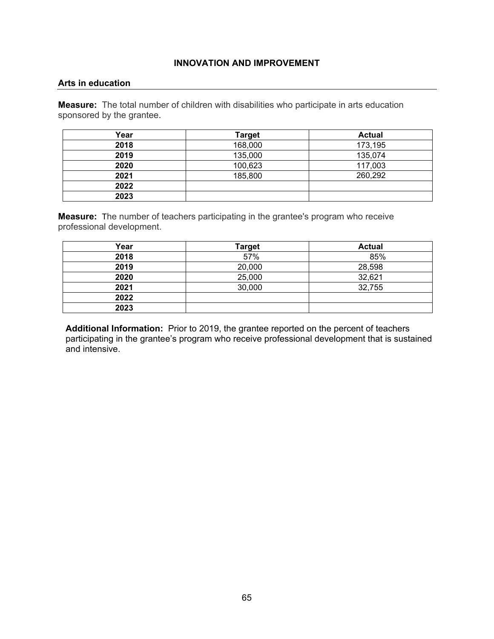#### **Arts in education**

**Measure:** The total number of children with disabilities who participate in arts education sponsored by the grantee.

| Year | <b>Target</b> | <b>Actual</b> |
|------|---------------|---------------|
| 2018 | 168,000       | 173,195       |
| 2019 | 135,000       | 135,074       |
| 2020 | 100,623       | 117,003       |
| 2021 | 185,800       | 260,292       |
| 2022 |               |               |
| 2023 |               |               |

**Measure:** The number of teachers participating in the grantee's program who receive professional development.

| Year | <b>Target</b> | <b>Actual</b> |
|------|---------------|---------------|
| 2018 | 57%           | 85%           |
| 2019 | 20,000        | 28,598        |
| 2020 | 25,000        | 32,621        |
| 2021 | 30,000        | 32,755        |
| 2022 |               |               |
| 2023 |               |               |

**Additional Information:** Prior to 2019, the grantee reported on the percent of teachers participating in the grantee's program who receive professional development that is sustained and intensive.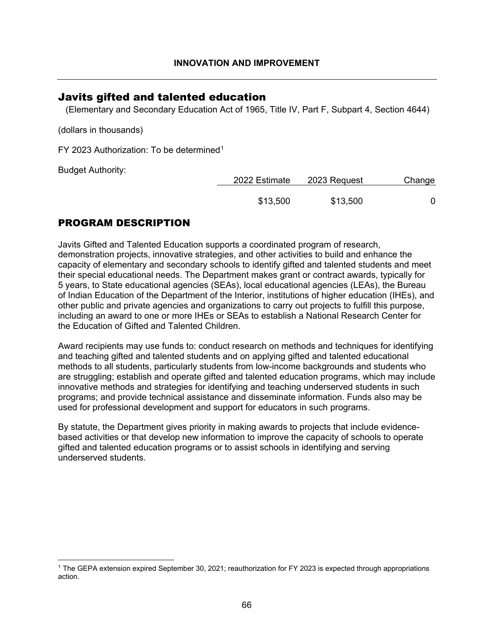## Javits gifted and talented education

(Elementary and Secondary Education Act of 1965, Title IV, Part F, Subpart 4, Section 4644)

(dollars in thousands)

FY 2023 Authorization: To be determined[1](#page-66-0)

Budget Authority:

| 2022 Estimate | 2023 Request | Change |
|---------------|--------------|--------|
| \$13,500      | \$13,500     |        |

# PROGRAM DESCRIPTION

Javits Gifted and Talented Education supports a coordinated program of research, demonstration projects, innovative strategies, and other activities to build and enhance the capacity of elementary and secondary schools to identify gifted and talented students and meet their special educational needs. The Department makes grant or contract awards, typically for 5 years, to State educational agencies (SEAs), local educational agencies (LEAs), the Bureau of Indian Education of the Department of the Interior, institutions of higher education (IHEs), and other public and private agencies and organizations to carry out projects to fulfill this purpose, including an award to one or more IHEs or SEAs to establish a National Research Center for the Education of Gifted and Talented Children.

Award recipients may use funds to: conduct research on methods and techniques for identifying and teaching gifted and talented students and on applying gifted and talented educational methods to all students, particularly students from low-income backgrounds and students who are struggling; establish and operate gifted and talented education programs, which may include innovative methods and strategies for identifying and teaching underserved students in such programs; and provide technical assistance and disseminate information. Funds also may be used for professional development and support for educators in such programs.

By statute, the Department gives priority in making awards to projects that include evidencebased activities or that develop new information to improve the capacity of schools to operate gifted and talented education programs or to assist schools in identifying and serving underserved students.

<span id="page-66-0"></span><sup>1</sup> The GEPA extension expired September 30, 2021; reauthorization for FY 2023 is expected through appropriations action.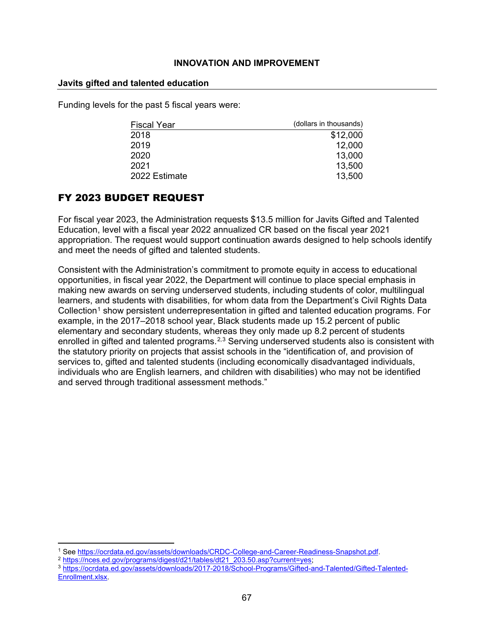### **Javits gifted and talented education**

Funding levels for the past 5 fiscal years were:

| <b>Fiscal Year</b> | (dollars in thousands) |
|--------------------|------------------------|
| 2018               | \$12,000               |
| 2019               | 12,000                 |
| 2020               | 13,000                 |
| 2021               | 13,500                 |
| 2022 Estimate      | 13,500                 |

# FY 2023 BUDGET REQUEST

For fiscal year 2023, the Administration requests \$13.5 million for Javits Gifted and Talented Education, level with a fiscal year 2022 annualized CR based on the fiscal year 2021 appropriation. The request would support continuation awards designed to help schools identify and meet the needs of gifted and talented students.

Consistent with the Administration's commitment to promote equity in access to educational opportunities, in fiscal year 2022, the Department will continue to place special emphasis in making new awards on serving underserved students, including students of color, multilingual learners, and students with disabilities, for whom data from the Department's Civil Rights Data Collection<sup>[1](#page-67-0)</sup> show persistent underrepresentation in gifted and talented education programs. For example, in the 2017–2018 school year, Black students made up 15.2 percent of public elementary and secondary students, whereas they only made up 8.2 percent of students enrolled in gifted and talented programs.<sup>[2](#page-67-1),[3](#page-67-2)</sup> Serving underserved students also is consistent with the statutory priority on projects that assist schools in the "identification of, and provision of services to, gifted and talented students (including economically disadvantaged individuals, individuals who are English learners, and children with disabilities) who may not be identified and served through traditional assessment methods."

<span id="page-67-0"></span><sup>&</sup>lt;sup>1</sup> See [https://ocrdata.ed.gov/assets/downloads/CRDC-College-and-Career-Readiness-Snapshot.pdf.](https://ocrdata.ed.gov/assets/downloads/CRDC-College-and-Career-Readiness-Snapshot.pdf)<br>
<sup>2</sup> https://nces.ed.gov/programs/digest/d21/tables/dt21\_203.50.asp?current=yes;<br>
<sup>3</sup> https://ocrdata.ed.gov/assets/downloads/

<span id="page-67-2"></span><span id="page-67-1"></span>[Enrollment.xlsx.](https://ocrdata.ed.gov/assets/downloads/2017-2018/School-Programs/Gifted-and-Talented/Gifted-Talented-Enrollment.xlsx)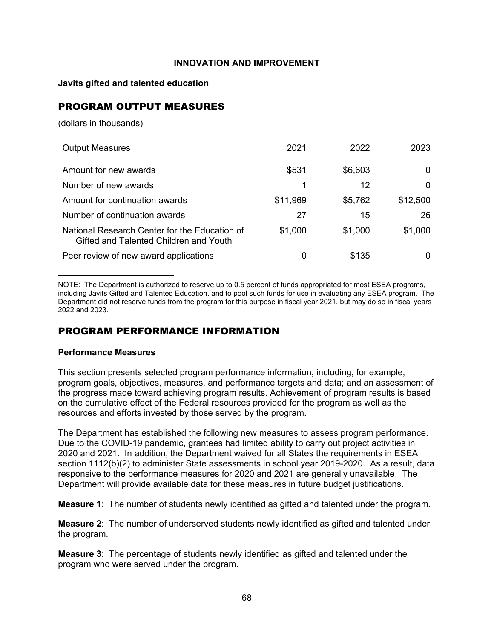## **Javits gifted and talented education**

# PROGRAM OUTPUT MEASURES

(dollars in thousands)

| <b>Output Measures</b>                                                                  | 2021     | 2022    | 2023     |
|-----------------------------------------------------------------------------------------|----------|---------|----------|
| Amount for new awards                                                                   | \$531    | \$6,603 | 0        |
| Number of new awards                                                                    |          | 12      | 0        |
| Amount for continuation awards                                                          | \$11,969 | \$5,762 | \$12,500 |
| Number of continuation awards                                                           | 27       | 15      | 26       |
| National Research Center for the Education of<br>Gifted and Talented Children and Youth | \$1,000  | \$1,000 | \$1,000  |
| Peer review of new award applications                                                   | 0        | \$135   | 0        |

NOTE: The Department is authorized to reserve up to 0.5 percent of funds appropriated for most ESEA programs, including Javits Gifted and Talented Education, and to pool such funds for use in evaluating any ESEA program. The Department did not reserve funds from the program for this purpose in fiscal year 2021, but may do so in fiscal years 2022 and 2023.

# PROGRAM PERFORMANCE INFORMATION

## **Performance Measures**

This section presents selected program performance information, including, for example, program goals, objectives, measures, and performance targets and data; and an assessment of the progress made toward achieving program results. Achievement of program results is based on the cumulative effect of the Federal resources provided for the program as well as the resources and efforts invested by those served by the program.

The Department has established the following new measures to assess program performance. Due to the COVID-19 pandemic, grantees had limited ability to carry out project activities in 2020 and 2021. In addition, the Department waived for all States the requirements in ESEA section 1112(b)(2) to administer State assessments in school year 2019-2020. As a result, data responsive to the performance measures for 2020 and 2021 are generally unavailable. The Department will provide available data for these measures in future budget justifications.

**Measure 1**: The number of students newly identified as gifted and talented under the program.

**Measure 2**: The number of underserved students newly identified as gifted and talented under the program.

**Measure 3**: The percentage of students newly identified as gifted and talented under the program who were served under the program.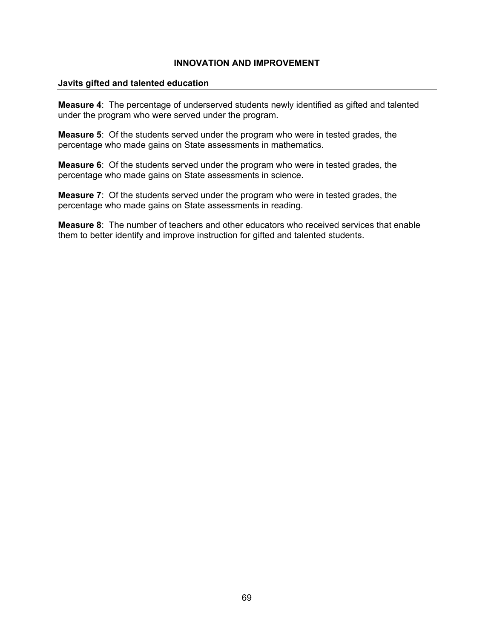#### **Javits gifted and talented education**

**Measure 4**: The percentage of underserved students newly identified as gifted and talented under the program who were served under the program.

**Measure 5**: Of the students served under the program who were in tested grades, the percentage who made gains on State assessments in mathematics.

**Measure 6**: Of the students served under the program who were in tested grades, the percentage who made gains on State assessments in science.

**Measure 7**: Of the students served under the program who were in tested grades, the percentage who made gains on State assessments in reading.

**Measure 8**: The number of teachers and other educators who received services that enable them to better identify and improve instruction for gifted and talented students.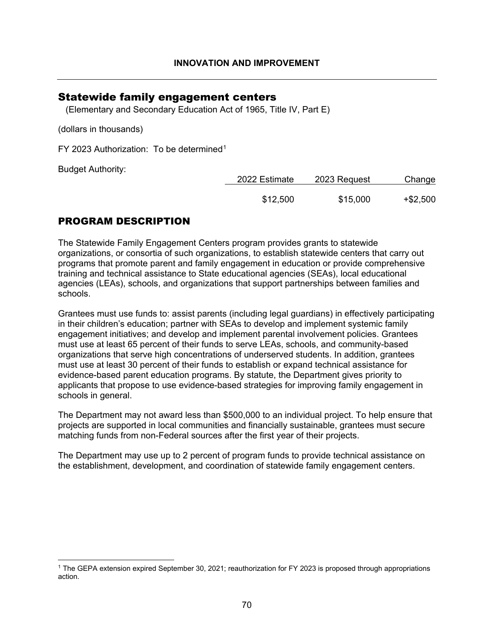## Statewide family engagement centers

(Elementary and Secondary Education Act of 1965, Title IV, Part E)

(dollars in thousands)

FY 2023 Authorization: To be determined<sup>[1](#page-70-0)</sup>

Budget Authority:

| 2023 Request<br>2022 Estimate |          | Change      |  |
|-------------------------------|----------|-------------|--|
| \$12,500                      | \$15,000 | $+$ \$2,500 |  |

# PROGRAM DESCRIPTION

The Statewide Family Engagement Centers program provides grants to statewide organizations, or consortia of such organizations, to establish statewide centers that carry out programs that promote parent and family engagement in education or provide comprehensive training and technical assistance to State educational agencies (SEAs), local educational agencies (LEAs), schools, and organizations that support partnerships between families and schools.

Grantees must use funds to: assist parents (including legal guardians) in effectively participating in their children's education; partner with SEAs to develop and implement systemic family engagement initiatives; and develop and implement parental involvement policies. Grantees must use at least 65 percent of their funds to serve LEAs, schools, and community-based organizations that serve high concentrations of underserved students. In addition, grantees must use at least 30 percent of their funds to establish or expand technical assistance for evidence-based parent education programs. By statute, the Department gives priority to applicants that propose to use evidence-based strategies for improving family engagement in schools in general.

The Department may not award less than \$500,000 to an individual project. To help ensure that projects are supported in local communities and financially sustainable, grantees must secure matching funds from non-Federal sources after the first year of their projects.

The Department may use up to 2 percent of program funds to provide technical assistance on the establishment, development, and coordination of statewide family engagement centers.

<span id="page-70-0"></span><sup>1</sup> The GEPA extension expired September 30, 2021; reauthorization for FY 2023 is proposed through appropriations action.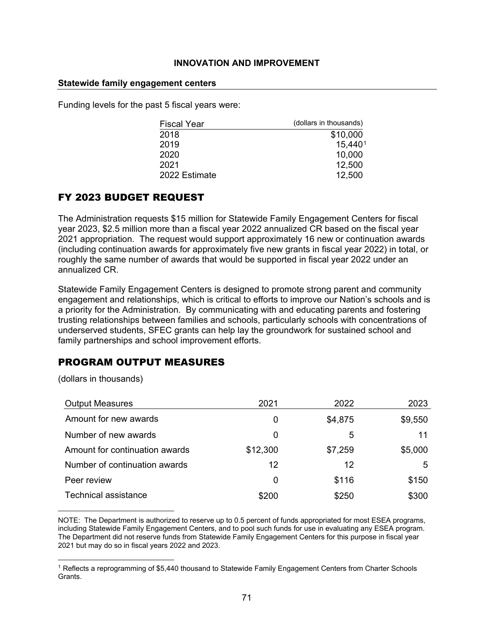### **Statewide family engagement centers**

Funding levels for the past 5 fiscal years were:

| <b>Fiscal Year</b> | (dollars in thousands) |
|--------------------|------------------------|
| 2018               | \$10,000               |
| 2019               | 15,4401                |
| 2020               | 10,000                 |
| 2021               | 12,500                 |
| 2022 Estimate      | 12,500                 |
|                    |                        |

# FY 2023 BUDGET REQUEST

The Administration requests \$15 million for Statewide Family Engagement Centers for fiscal year 2023, \$2.5 million more than a fiscal year 2022 annualized CR based on the fiscal year 2021 appropriation. The request would support approximately 16 new or continuation awards (including continuation awards for approximately five new grants in fiscal year 2022) in total, or roughly the same number of awards that would be supported in fiscal year 2022 under an annualized CR.

Statewide Family Engagement Centers is designed to promote strong parent and community engagement and relationships, which is critical to efforts to improve our Nation's schools and is a priority for the Administration. By communicating with and educating parents and fostering trusting relationships between families and schools, particularly schools with concentrations of underserved students, SFEC grants can help lay the groundwork for sustained school and family partnerships and school improvement efforts.

# PROGRAM OUTPUT MEASURES

(dollars in thousands)

| <b>Output Measures</b>         | 2021     | 2022    | 2023    |
|--------------------------------|----------|---------|---------|
| Amount for new awards          | 0        | \$4,875 | \$9,550 |
| Number of new awards           | 0        | 5       | 11      |
| Amount for continuation awards | \$12,300 | \$7,259 | \$5,000 |
| Number of continuation awards  | 12       | 12      | 5       |
| Peer review                    | 0        | \$116   | \$150   |
| <b>Technical assistance</b>    | \$200    | \$250   | \$300   |

NOTE: The Department is authorized to reserve up to 0.5 percent of funds appropriated for most ESEA programs, including Statewide Family Engagement Centers, and to pool such funds for use in evaluating any ESEA program. The Department did not reserve funds from Statewide Family Engagement Centers for this purpose in fiscal year 2021 but may do so in fiscal years 2022 and 2023.

<span id="page-71-0"></span><sup>&</sup>lt;sup>1</sup> Reflects a reprogramming of \$5,440 thousand to Statewide Family Engagement Centers from Charter Schools Grants.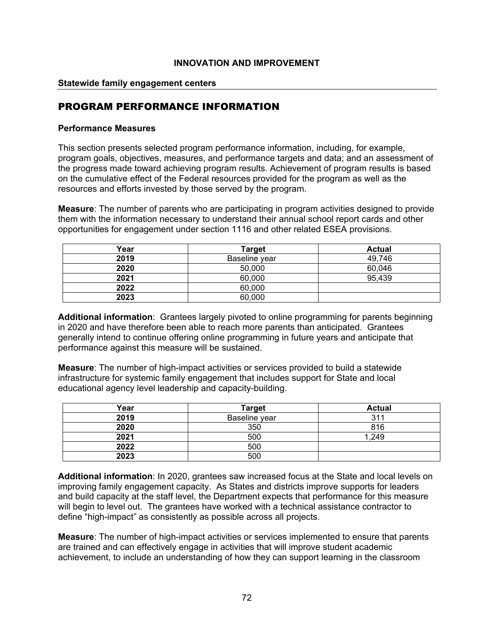#### **Statewide family engagement centers**

### PROGRAM PERFORMANCE INFORMATION

#### **Performance Measures**

This section presents selected program performance information, including, for example, program goals, objectives, measures, and performance targets and data; and an assessment of the progress made toward achieving program results. Achievement of program results is based on the cumulative effect of the Federal resources provided for the program as well as the resources and efforts invested by those served by the program.

**Measure**: The number of parents who are participating in program activities designed to provide them with the information necessary to understand their annual school report cards and other opportunities for engagement under section 1116 and other related ESEA provisions.

| Year | Target        | <b>Actual</b> |
|------|---------------|---------------|
| 2019 | Baseline vear | 49,746        |
| 2020 | 50,000        | 60,046        |
| 2021 | 60,000        | 95,439        |
| 2022 | 60,000        |               |
| 2023 | 60,000        |               |

**Additional information**: Grantees largely pivoted to online programming for parents beginning in 2020 and have therefore been able to reach more parents than anticipated. Grantees generally intend to continue offering online programming in future years and anticipate that performance against this measure will be sustained.

**Measure**: The number of high-impact activities or services provided to build a statewide infrastructure for systemic family engagement that includes support for State and local educational agency level leadership and capacity-building.

| Year | <b>Target</b> | <b>Actual</b> |
|------|---------------|---------------|
| 2019 | Baseline year | 311           |
| 2020 | 350           | 816           |
| 2021 | 500           | 1,249         |
| 2022 | 500           |               |
| 2023 | 500           |               |

**Additional information**: In 2020, grantees saw increased focus at the State and local levels on improving family engagement capacity. As States and districts improve supports for leaders and build capacity at the staff level, the Department expects that performance for this measure will begin to level out. The grantees have worked with a technical assistance contractor to define "high-impact" as consistently as possible across all projects.

**Measure**: The number of high-impact activities or services implemented to ensure that parents are trained and can effectively engage in activities that will improve student academic achievement, to include an understanding of how they can support learning in the classroom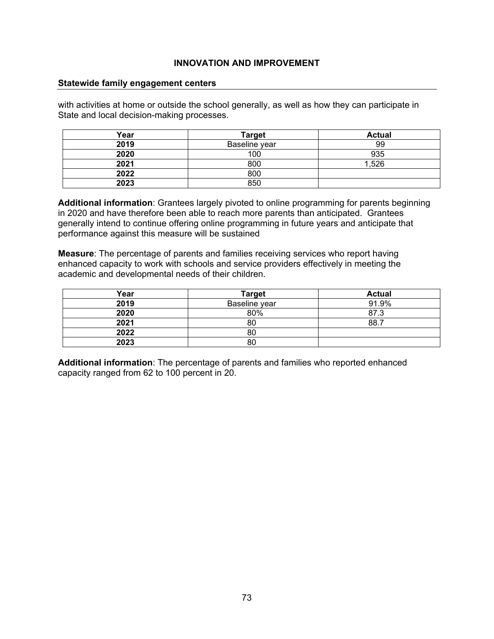#### **Statewide family engagement centers**

with activities at home or outside the school generally, as well as how they can participate in State and local decision-making processes.

| Year | <b>Target</b> | <b>Actual</b> |
|------|---------------|---------------|
| 2019 | Baseline year | 99            |
| 2020 | 100           | 935           |
| 2021 | 800           | 1,526         |
| 2022 | 800           |               |
| 2023 | 850           |               |

**Additional information**: Grantees largely pivoted to online programming for parents beginning in 2020 and have therefore been able to reach more parents than anticipated. Grantees generally intend to continue offering online programming in future years and anticipate that performance against this measure will be sustained

**Measure**: The percentage of parents and families receiving services who report having enhanced capacity to work with schools and service providers effectively in meeting the academic and developmental needs of their children.

| Year | Target        | <b>Actual</b> |
|------|---------------|---------------|
| 2019 | Baseline year | 91.9%         |
| 2020 | 80%           | 87.3          |
| 2021 | 80            | 88.7          |
| 2022 | 80            |               |
| 2023 | 80            |               |

**Additional information**: The percentage of parents and families who reported enhanced capacity ranged from 62 to 100 percent in 20.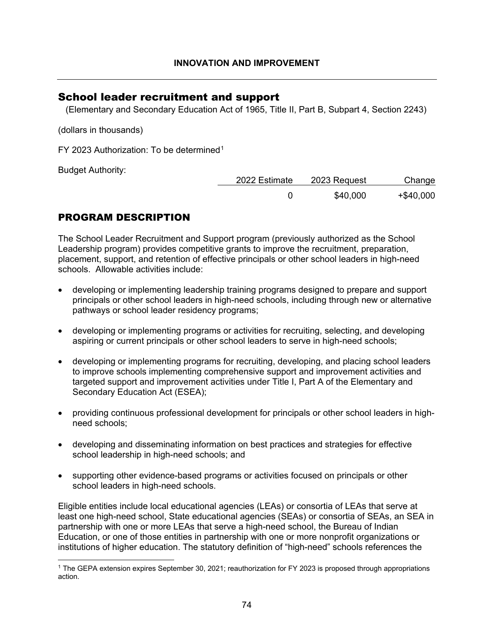## School leader recruitment and support

(Elementary and Secondary Education Act of 1965, Title II, Part B, Subpart 4, Section 2243)

(dollars in thousands)

FY 2023 Authorization: To be determined<sup>[1](#page-74-0)</sup>

Budget Authority:

| 2022 Estimate | 2023 Request | Change       |  |
|---------------|--------------|--------------|--|
|               | \$40,000     | $+$ \$40,000 |  |

# PROGRAM DESCRIPTION

The School Leader Recruitment and Support program (previously authorized as the School Leadership program) provides competitive grants to improve the recruitment, preparation, placement, support, and retention of effective principals or other school leaders in high-need schools. Allowable activities include:

- developing or implementing leadership training programs designed to prepare and support principals or other school leaders in high-need schools, including through new or alternative pathways or school leader residency programs;
- developing or implementing programs or activities for recruiting, selecting, and developing aspiring or current principals or other school leaders to serve in high-need schools;
- developing or implementing programs for recruiting, developing, and placing school leaders to improve schools implementing comprehensive support and improvement activities and targeted support and improvement activities under Title I, Part A of the Elementary and Secondary Education Act (ESEA);
- providing continuous professional development for principals or other school leaders in highneed schools;
- developing and disseminating information on best practices and strategies for effective school leadership in high-need schools; and
- supporting other evidence-based programs or activities focused on principals or other school leaders in high-need schools.

Eligible entities include local educational agencies (LEAs) or consortia of LEAs that serve at least one high-need school, State educational agencies (SEAs) or consortia of SEAs, an SEA in partnership with one or more LEAs that serve a high-need school, the Bureau of Indian Education, or one of those entities in partnership with one or more nonprofit organizations or institutions of higher education. The statutory definition of "high-need" schools references the

<span id="page-74-0"></span><sup>1</sup> The GEPA extension expires September 30, 2021; reauthorization for FY 2023 is proposed through appropriations action.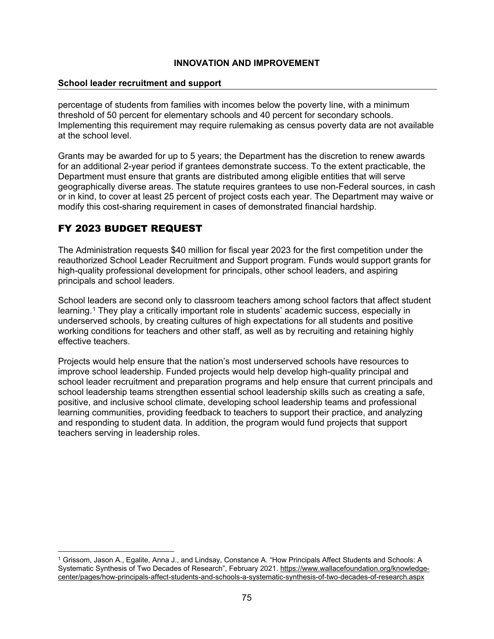#### **School leader recruitment and support**

percentage of students from families with incomes below the poverty line, with a minimum threshold of 50 percent for elementary schools and 40 percent for secondary schools. Implementing this requirement may require rulemaking as census poverty data are not available at the school level.

Grants may be awarded for up to 5 years; the Department has the discretion to renew awards for an additional 2-year period if grantees demonstrate success. To the extent practicable, the Department must ensure that grants are distributed among eligible entities that will serve geographically diverse areas. The statute requires grantees to use non-Federal sources, in cash or in kind, to cover at least 25 percent of project costs each year. The Department may waive or modify this cost-sharing requirement in cases of demonstrated financial hardship.

# FY 2023 BUDGET REQUEST

The Administration requests \$40 million for fiscal year 2023 for the first competition under the reauthorized School Leader Recruitment and Support program. Funds would support grants for high-quality professional development for principals, other school leaders, and aspiring principals and school leaders.

School leaders are second only to classroom teachers among school factors that affect student learning.<sup>[1](#page-75-0)</sup> They play a critically important role in students' academic success, especially in underserved schools, by creating cultures of high expectations for all students and positive working conditions for teachers and other staff, as well as by recruiting and retaining highly effective teachers.

Projects would help ensure that the nation's most underserved schools have resources to improve school leadership. Funded projects would help develop high-quality principal and school leader recruitment and preparation programs and help ensure that current principals and school leadership teams strengthen essential school leadership skills such as creating a safe, positive, and inclusive school climate, developing school leadership teams and professional learning communities, providing feedback to teachers to support their practice, and analyzing and responding to student data. In addition, the program would fund projects that support teachers serving in leadership roles.

<span id="page-75-0"></span><sup>1</sup> Grissom, Jason A., Egalite, Anna J., and Lindsay, Constance A. "How Principals Affect Students and Schools: A Systematic Synthesis of Two Decades of Research", February 2021. [https://www.wallacefoundation.org/knowledge](https://www.wallacefoundation.org/knowledge-center/pages/how-principals-affect-students-and-schools-a-systematic-synthesis-of-two-decades-of-research.aspx)[center/pages/how-principals-affect-students-and-schools-a-systematic-synthesis-of-two-decades-of-research.aspx](https://www.wallacefoundation.org/knowledge-center/pages/how-principals-affect-students-and-schools-a-systematic-synthesis-of-two-decades-of-research.aspx)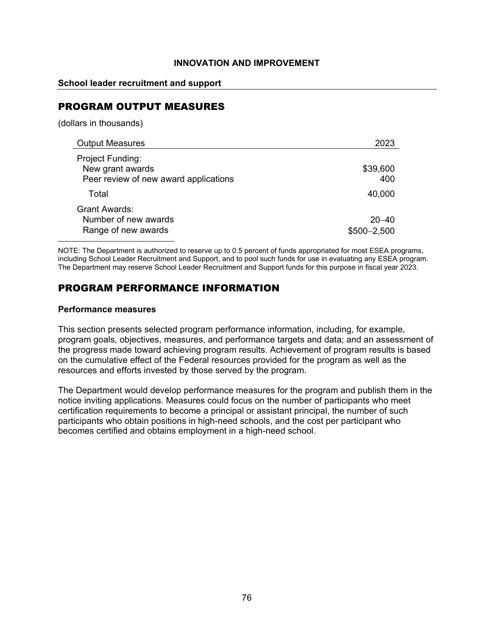### **School leader recruitment and support**

# PROGRAM OUTPUT MEASURES

(dollars in thousands)

| <b>Output Measures</b>                                                        | 2023                        |
|-------------------------------------------------------------------------------|-----------------------------|
| Project Funding:<br>New grant awards<br>Peer review of new award applications | \$39,600<br>400             |
| Total                                                                         | 40,000                      |
| <b>Grant Awards:</b><br>Number of new awards<br>Range of new awards           | $20 - 40$<br>$$500 - 2,500$ |

NOTE: The Department is authorized to reserve up to 0.5 percent of funds appropriated for most ESEA programs, including School Leader Recruitment and Support, and to pool such funds for use in evaluating any ESEA program. The Department may reserve School Leader Recruitment and Support funds for this purpose in fiscal year 2023.

# PROGRAM PERFORMANCE INFORMATION

#### **Performance measures**

This section presents selected program performance information, including, for example, program goals, objectives, measures, and performance targets and data; and an assessment of the progress made toward achieving program results. Achievement of program results is based on the cumulative effect of the Federal resources provided for the program as well as the resources and efforts invested by those served by the program.

The Department would develop performance measures for the program and publish them in the notice inviting applications. Measures could focus on the number of participants who meet certification requirements to become a principal or assistant principal, the number of such participants who obtain positions in high-need schools, and the cost per participant who becomes certified and obtains employment in a high-need school.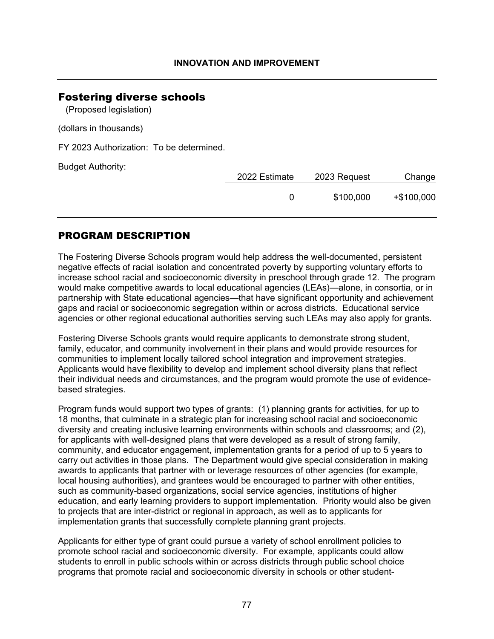### Fostering diverse schools

(Proposed legislation)

(dollars in thousands)

FY 2023 Authorization: To be determined.

Budget Authority:

| ັ |  | 2022 Estimate<br>2023 Request |           | Change      |  |  |
|---|--|-------------------------------|-----------|-------------|--|--|
|   |  |                               | \$100,000 | $+$100,000$ |  |  |
|   |  |                               |           |             |  |  |

### PROGRAM DESCRIPTION

The Fostering Diverse Schools program would help address the well-documented, persistent negative effects of racial isolation and concentrated poverty by supporting voluntary efforts to increase school racial and socioeconomic diversity in preschool through grade 12. The program would make competitive awards to local educational agencies (LEAs)—alone, in consortia, or in partnership with State educational agencies—that have significant opportunity and achievement gaps and racial or socioeconomic segregation within or across districts. Educational service agencies or other regional educational authorities serving such LEAs may also apply for grants.

Fostering Diverse Schools grants would require applicants to demonstrate strong student, family, educator, and community involvement in their plans and would provide resources for communities to implement locally tailored school integration and improvement strategies. Applicants would have flexibility to develop and implement school diversity plans that reflect their individual needs and circumstances, and the program would promote the use of evidencebased strategies.

Program funds would support two types of grants: (1) planning grants for activities, for up to 18 months, that culminate in a strategic plan for increasing school racial and socioeconomic diversity and creating inclusive learning environments within schools and classrooms; and (2), for applicants with well-designed plans that were developed as a result of strong family, community, and educator engagement, implementation grants for a period of up to 5 years to carry out activities in those plans. The Department would give special consideration in making awards to applicants that partner with or leverage resources of other agencies (for example, local housing authorities), and grantees would be encouraged to partner with other entities, such as community-based organizations, social service agencies, institutions of higher education, and early learning providers to support implementation. Priority would also be given to projects that are inter-district or regional in approach, as well as to applicants for implementation grants that successfully complete planning grant projects.

Applicants for either type of grant could pursue a variety of school enrollment policies to promote school racial and socioeconomic diversity. For example, applicants could allow students to enroll in public schools within or across districts through public school choice programs that promote racial and socioeconomic diversity in schools or other student-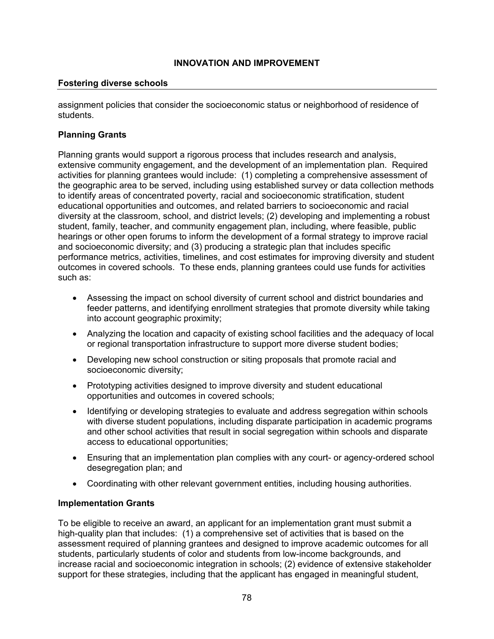#### **Fostering diverse schools**

assignment policies that consider the socioeconomic status or neighborhood of residence of students.

### **Planning Grants**

Planning grants would support a rigorous process that includes research and analysis, extensive community engagement, and the development of an implementation plan. Required activities for planning grantees would include: (1) completing a comprehensive assessment of the geographic area to be served, including using established survey or data collection methods to identify areas of concentrated poverty, racial and socioeconomic stratification, student educational opportunities and outcomes, and related barriers to socioeconomic and racial diversity at the classroom, school, and district levels; (2) developing and implementing a robust student, family, teacher, and community engagement plan, including, where feasible, public hearings or other open forums to inform the development of a formal strategy to improve racial and socioeconomic diversity; and (3) producing a strategic plan that includes specific performance metrics, activities, timelines, and cost estimates for improving diversity and student outcomes in covered schools. To these ends, planning grantees could use funds for activities such as:

- Assessing the impact on school diversity of current school and district boundaries and feeder patterns, and identifying enrollment strategies that promote diversity while taking into account geographic proximity;
- Analyzing the location and capacity of existing school facilities and the adequacy of local or regional transportation infrastructure to support more diverse student bodies;
- Developing new school construction or siting proposals that promote racial and socioeconomic diversity;
- Prototyping activities designed to improve diversity and student educational opportunities and outcomes in covered schools;
- Identifying or developing strategies to evaluate and address segregation within schools with diverse student populations, including disparate participation in academic programs and other school activities that result in social segregation within schools and disparate access to educational opportunities;
- Ensuring that an implementation plan complies with any court- or agency-ordered school desegregation plan; and
- Coordinating with other relevant government entities, including housing authorities.

#### **Implementation Grants**

To be eligible to receive an award, an applicant for an implementation grant must submit a high-quality plan that includes: (1) a comprehensive set of activities that is based on the assessment required of planning grantees and designed to improve academic outcomes for all students, particularly students of color and students from low-income backgrounds, and increase racial and socioeconomic integration in schools; (2) evidence of extensive stakeholder support for these strategies, including that the applicant has engaged in meaningful student,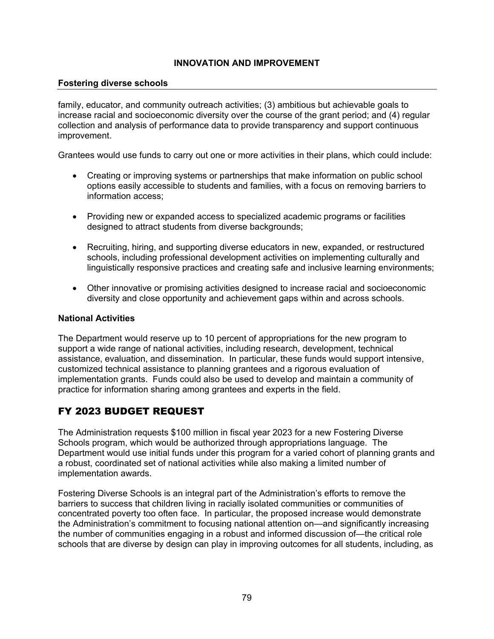#### **Fostering diverse schools**

family, educator, and community outreach activities; (3) ambitious but achievable goals to increase racial and socioeconomic diversity over the course of the grant period; and (4) regular collection and analysis of performance data to provide transparency and support continuous improvement.

Grantees would use funds to carry out one or more activities in their plans, which could include:

- Creating or improving systems or partnerships that make information on public school options easily accessible to students and families, with a focus on removing barriers to information access;
- Providing new or expanded access to specialized academic programs or facilities designed to attract students from diverse backgrounds;
- Recruiting, hiring, and supporting diverse educators in new, expanded, or restructured schools, including professional development activities on implementing culturally and linguistically responsive practices and creating safe and inclusive learning environments;
- Other innovative or promising activities designed to increase racial and socioeconomic diversity and close opportunity and achievement gaps within and across schools.

#### **National Activities**

The Department would reserve up to 10 percent of appropriations for the new program to support a wide range of national activities, including research, development, technical assistance, evaluation, and dissemination. In particular, these funds would support intensive, customized technical assistance to planning grantees and a rigorous evaluation of implementation grants. Funds could also be used to develop and maintain a community of practice for information sharing among grantees and experts in the field.

# FY 2023 BUDGET REQUEST

The Administration requests \$100 million in fiscal year 2023 for a new Fostering Diverse Schools program, which would be authorized through appropriations language. The Department would use initial funds under this program for a varied cohort of planning grants and a robust, coordinated set of national activities while also making a limited number of implementation awards.

Fostering Diverse Schools is an integral part of the Administration's efforts to remove the barriers to success that children living in racially isolated communities or communities of concentrated poverty too often face. In particular, the proposed increase would demonstrate the Administration's commitment to focusing national attention on—and significantly increasing the number of communities engaging in a robust and informed discussion of—the critical role schools that are diverse by design can play in improving outcomes for all students, including, as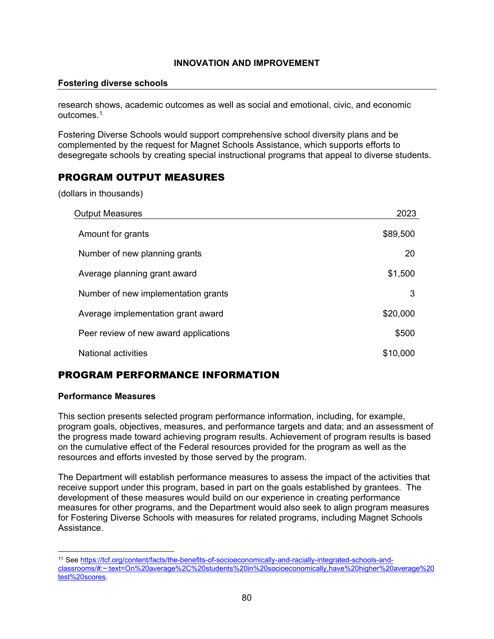#### **Fostering diverse schools**

research shows, academic outcomes as well as social and emotional, civic, and economic outcomes.[1](#page-80-0)

Fostering Diverse Schools would support comprehensive school diversity plans and be complemented by the request for Magnet Schools Assistance, which supports efforts to desegregate schools by creating special instructional programs that appeal to diverse students.

## PROGRAM OUTPUT MEASURES

(dollars in thousands)

| <b>Output Measures</b>                | 2023     |
|---------------------------------------|----------|
| Amount for grants                     | \$89,500 |
| Number of new planning grants         | 20       |
| Average planning grant award          | \$1,500  |
| Number of new implementation grants   | 3        |
| Average implementation grant award    | \$20,000 |
| Peer review of new award applications | \$500    |
| <b>National activities</b>            | \$10,000 |

# PROGRAM PERFORMANCE INFORMATION

#### **Performance Measures**

This section presents selected program performance information, including, for example, program goals, objectives, measures, and performance targets and data; and an assessment of the progress made toward achieving program results. Achievement of program results is based on the cumulative effect of the Federal resources provided for the program as well as the resources and efforts invested by those served by the program.

The Department will establish performance measures to assess the impact of the activities that receive support under this program, based in part on the goals established by grantees. The development of these measures would build on our experience in creating performance measures for other programs, and the Department would also seek to align program measures for Fostering Diverse Schools with measures for related programs, including Magnet Schools Assistance.

<span id="page-80-0"></span><sup>11</sup> Se[e https://tcf.org/content/facts/the-benefits-of-socioeconomically-and-racially-integrated-schools-and](https://tcf.org/content/facts/the-benefits-of-socioeconomically-and-racially-integrated-schools-and-classrooms/#:%7E:text=On%20average%2C%20students%20in%20socioeconomically,have%20higher%20average%20test%20scores)[classrooms/#:~:text=On%20average%2C%20students%20in%20socioeconomically,have%20higher%20average%20](https://tcf.org/content/facts/the-benefits-of-socioeconomically-and-racially-integrated-schools-and-classrooms/#:%7E:text=On%20average%2C%20students%20in%20socioeconomically,have%20higher%20average%20test%20scores) [test%20scores.](https://tcf.org/content/facts/the-benefits-of-socioeconomically-and-racially-integrated-schools-and-classrooms/#:%7E:text=On%20average%2C%20students%20in%20socioeconomically,have%20higher%20average%20test%20scores)